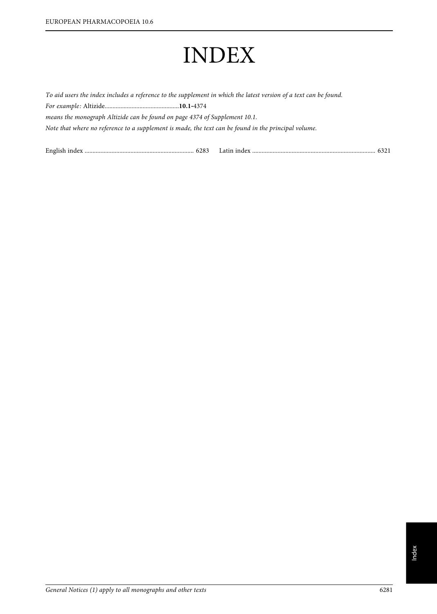# INDEX

To aid users the index includes a reference to the supplement in which the latest version of a text can be found. For example: Altizide...............................................**10.1**‑<sup>4374</sup>  $\delta$  is monograph altizide can be found on page 4374 of  $\delta$ Note that where no reference to a supplement is made, the text can be found in the principal volume.

English index ..................................................................... 6283 Latin index .............................................................................. 6321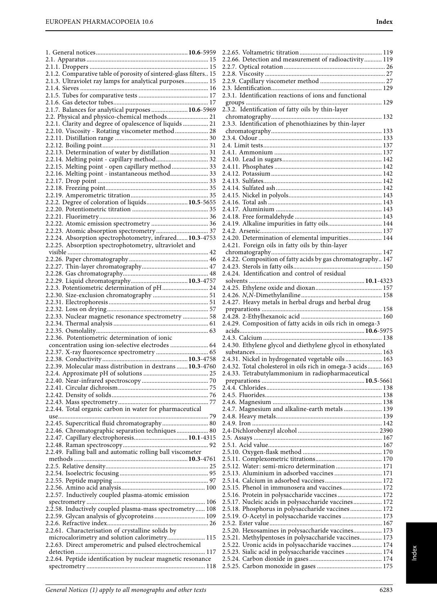| 2.1.2. Comparative table of porosity of sintered-glass filters 15                                       |  |
|---------------------------------------------------------------------------------------------------------|--|
| 2.1.3. Ultraviolet ray lamps for analytical purposes 15                                                 |  |
|                                                                                                         |  |
|                                                                                                         |  |
|                                                                                                         |  |
| 2.1.7. Balances for analytical purposes  10.6-5969                                                      |  |
| 2.2. Physical and physico-chemical methods 21                                                           |  |
| 2.2.1. Clarity and degree of opalescence of liquids  21                                                 |  |
| 2.2.10. Viscosity - Rotating viscometer method  28                                                      |  |
|                                                                                                         |  |
| 2.2.13. Determination of water by distillation  31                                                      |  |
| 2.2.14. Melting point - capillary method 32                                                             |  |
| 2.2.15. Melting point - open capillary method  33                                                       |  |
| 2.2.16. Melting point - instantaneous method 33                                                         |  |
|                                                                                                         |  |
|                                                                                                         |  |
|                                                                                                         |  |
| 2.2.2. Degree of coloration of liquids 10.5-5655                                                        |  |
|                                                                                                         |  |
|                                                                                                         |  |
|                                                                                                         |  |
|                                                                                                         |  |
| 2.2.24. Absorption spectrophotometry, infrared 10.3-4753                                                |  |
| 2.2.25. Absorption spectrophotometry, ultraviolet and                                                   |  |
|                                                                                                         |  |
|                                                                                                         |  |
|                                                                                                         |  |
|                                                                                                         |  |
| 2.2.3. Potentiometric determination of pH 24                                                            |  |
|                                                                                                         |  |
|                                                                                                         |  |
|                                                                                                         |  |
| 2.2.33. Nuclear magnetic resonance spectrometry  58                                                     |  |
|                                                                                                         |  |
|                                                                                                         |  |
| 2.2.36. Potentiometric determination of ionic                                                           |  |
| concentration using ion-selective electrodes  64                                                        |  |
|                                                                                                         |  |
|                                                                                                         |  |
| 2.2.39. Molecular mass distribution in dextrans  10.3-4760                                              |  |
|                                                                                                         |  |
|                                                                                                         |  |
|                                                                                                         |  |
|                                                                                                         |  |
| 2.2.44. Total organic carbon in water for pharmaceutical                                                |  |
|                                                                                                         |  |
| 2.2.45. Supercritical fluid chromatography 80                                                           |  |
| 2.2.46. Chromatographic separation techniques 80                                                        |  |
|                                                                                                         |  |
|                                                                                                         |  |
| 2.2.49. Falling ball and automatic rolling ball viscometer                                              |  |
|                                                                                                         |  |
|                                                                                                         |  |
|                                                                                                         |  |
|                                                                                                         |  |
|                                                                                                         |  |
| 2.2.57. Inductively coupled plasma-atomic emission                                                      |  |
|                                                                                                         |  |
| 2.2.58. Inductively coupled plasma-mass spectrometry 108                                                |  |
| 2.2.59. Glycan analysis of glycoproteins 109                                                            |  |
|                                                                                                         |  |
| 2.2.61. Characterisation of crystalline solids by                                                       |  |
| microcalorimetry and solution calorimetry 115<br>2.2.63. Direct amperometric and pulsed electrochemical |  |
|                                                                                                         |  |
| 2.2.64. Peptide identification by nuclear magnetic resonance                                            |  |
|                                                                                                         |  |
|                                                                                                         |  |

2.4.5. Fluorides.......................................................................... 138 2.4.6. Magnesium ..................................................................... 138 2.4.7. Magnesium and alkaline-earth metals ........................ 139 2.4.8. Heavy metals................................................................... 139 2.4.9. Iron .................................................................................. 142 2,4-Dichlorobenzyl alcohol ................................................... 2390 2.5. Assays ................................................................................. 167 2.5.1. Acid value........................................................................ 167 2.5.10. Oxygen-flask method .................................................. 170 2.5.11. Complexometric titrations.......................................... 170 2.5.12. Water: semi-micro determination ............................. 171 2.5.13. Aluminium in adsorbed vaccines .............................. 171 2.5.14. Calcium in adsorbed vaccines.................................... 172 2.5.15. Phenol in immunosera and vaccines......................... 172 2.5.16. Protein in polysaccharide vaccines ............................ 172 2.5.17. Nucleic acids in polysaccharide vaccines.................. 172 2.5.18. Phosphorus in polysaccharide vaccines .................... 172 2.5.19. O-Acetyl in polysaccharide vaccines ......................... 173 2.5.2. Ester value....................................................................... 167 2.5.20. Hexosamines in polysaccharide vaccines.................. 173 2.5.21. Methylpentoses in polysaccharide vaccines.............. 173 2.5.22. Uronic acids in polysaccharide vaccines................... 174 2.5.23. Sialic acid in polysaccharide vaccines ....................... 174 2.5.24. Carbon dioxide in gases .............................................. 174 2.5.25. Carbon monoxide in gases ......................................... 175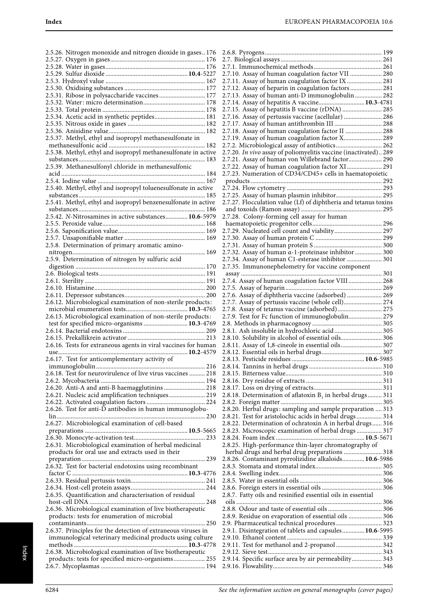| 2.5.26. Nitrogen monoxide and nitrogen dioxide in gases 176                                                     |
|-----------------------------------------------------------------------------------------------------------------|
|                                                                                                                 |
|                                                                                                                 |
|                                                                                                                 |
|                                                                                                                 |
|                                                                                                                 |
| 2.5.31. Ribose in polysaccharide vaccines 177                                                                   |
|                                                                                                                 |
|                                                                                                                 |
| 2.5.34. Acetic acid in synthetic peptides 181                                                                   |
|                                                                                                                 |
|                                                                                                                 |
| 2.5.37. Methyl, ethyl and isopropyl methanesulfonate in                                                         |
|                                                                                                                 |
| 2.5.38. Methyl, ethyl and isopropyl methanesulfonate in active                                                  |
|                                                                                                                 |
|                                                                                                                 |
|                                                                                                                 |
|                                                                                                                 |
| 2.5.40. Methyl, ethyl and isopropyl toluenesulfonate in active                                                  |
|                                                                                                                 |
|                                                                                                                 |
|                                                                                                                 |
| 2.5.42. N-Nitrosamines in active substances 10.6-5979                                                           |
|                                                                                                                 |
|                                                                                                                 |
|                                                                                                                 |
| 2.5.8. Determination of primary aromatic amino-                                                                 |
|                                                                                                                 |
| 2.5.9. Determination of nitrogen by sulfuric acid                                                               |
|                                                                                                                 |
|                                                                                                                 |
|                                                                                                                 |
|                                                                                                                 |
|                                                                                                                 |
| 2.6.12. Microbiological examination of non-sterile products:                                                    |
|                                                                                                                 |
| 2.6.13. Microbiological examination of non-sterile products:                                                    |
| test for specified micro-organisms  10.3-4769                                                                   |
|                                                                                                                 |
|                                                                                                                 |
|                                                                                                                 |
|                                                                                                                 |
| 2.6.16. Tests for extraneous agents in viral vaccines for human                                                 |
| <b>10.2</b> -4579                                                                                               |
| 2.6.17. Test for anticomplementary activity of<br>216                                                           |
|                                                                                                                 |
| 2.6.18. Test for neurovirulence of live virus vaccines  218                                                     |
|                                                                                                                 |
| 2.6.20. Anti-A and anti-B haemagglutinins  218                                                                  |
| 2.6.21. Nucleic acid amplification techniques 219                                                               |
|                                                                                                                 |
| 2.6.26. Test for anti-D antibodies in human immunoglobu-                                                        |
|                                                                                                                 |
| 2.6.27. Microbiological examination of cell-based                                                               |
|                                                                                                                 |
|                                                                                                                 |
| 2.6.31. Microbiological examination of herbal medicinal                                                         |
| products for oral use and extracts used in their                                                                |
|                                                                                                                 |
| 2.6.32. Test for bacterial endotoxins using recombinant                                                         |
|                                                                                                                 |
|                                                                                                                 |
|                                                                                                                 |
| 2.6.35. Quantification and characterisation of residual                                                         |
|                                                                                                                 |
| 2.6.36. Microbiological examination of live biotherapeutic                                                      |
| products: tests for enumeration of microbial                                                                    |
|                                                                                                                 |
| 2.6.37. Principles for the detection of extraneous viruses in                                                   |
| immunological veterinary medicinal products using culture                                                       |
|                                                                                                                 |
| 2.6.38. Microbiological examination of live biotherapeutic<br>products: tests for specified micro-organisms 255 |

| 2.7.10. Assay of human coagulation factor VII  280               |
|------------------------------------------------------------------|
| 2.7.11. Assay of human coagulation factor IX  281                |
| 2.7.12. Assay of heparin in coagulation factors  281             |
|                                                                  |
| 2.7.13. Assay of human anti-D immunoglobulin 282                 |
| 2.7.14. Assay of hepatitis A vaccine 10.3-4781                   |
| 2.7.15. Assay of hepatitis B vaccine (rDNA)  285                 |
| 2.7.16. Assay of pertussis vaccine (acellular)  286              |
|                                                                  |
| 2.7.17. Assay of human antithrombin III  288                     |
| 2.7.18. Assay of human coagulation factor II  288                |
| 2.7.19. Assay of human coagulation factor X 289                  |
|                                                                  |
| 2.7.2. Microbiological assay of antibiotics 262                  |
| 2.7.20. In vivo assay of poliomyelitis vaccine (inactivated) 289 |
| 2.7.21. Assay of human von Willebrand factor 290                 |
| 2.7.22. Assay of human coagulation factor XI 291                 |
|                                                                  |
| 2.7.23. Numeration of CD34/CD45+ cells in haematopoietic         |
|                                                                  |
|                                                                  |
| 2.7.25. Assay of human plasmin inhibitor 295                     |
|                                                                  |
| 2.7.27. Flocculation value (Lf) of diphtheria and tetanus toxins |
|                                                                  |
| 2.7.28. Colony-forming cell assay for human                      |
|                                                                  |
|                                                                  |
| 2.7.29. Nucleated cell count and viability 297                   |
|                                                                  |
|                                                                  |
|                                                                  |
| 2.7.32. Assay of human a-1-proteinase inhibitor  300             |
| 2.7.34. Assay of human C1-esterase inhibitor  301                |
| 2.7.35. Immunonephelometry for vaccine component                 |
|                                                                  |
|                                                                  |
| 2.7.4. Assay of human coagulation factor VIII  268               |
|                                                                  |
| 2.7.6. Assay of diphtheria vaccine (adsorbed)  269               |
| 2.7.7. Assay of pertussis vaccine (whole cell) 274               |
| 2.7.8. Assay of tetanus vaccine (adsorbed) 275                   |
|                                                                  |
| 2.7.9. Test for Fc function of immunoglobulin 279                |
|                                                                  |
| 2.8.1. Ash insoluble in hydrochloric acid  305                   |
|                                                                  |
|                                                                  |
| 2.8.10. Solubility in alcohol of essential oils 306              |
| 2.8.11. Assay of 1,8-cineole in essential oils 307               |
|                                                                  |
|                                                                  |
|                                                                  |
| 310                                                              |
|                                                                  |
|                                                                  |
|                                                                  |
|                                                                  |
| 2.8.18. Determination of aflatoxin $B_1$ in herbal drugs 311     |
|                                                                  |
| 2.8.20. Herbal drugs: sampling and sample preparation  313       |
| 2.8.21. Test for aristolochic acids in herbal drugs 314          |
|                                                                  |
| 2.8.22. Determination of ochratoxin A in herbal drugs 316        |
| 2.8.23. Microscopic examination of herbal drugs  317             |
|                                                                  |
| 2.8.25. High-performance thin-layer chromatography of            |
| herbal drugs and herbal drug preparations  318                   |
|                                                                  |
| 2.8.26. Contaminant pyrrolizidine alkaloids 10.6-5986            |
|                                                                  |
|                                                                  |
|                                                                  |
|                                                                  |
|                                                                  |
| 2.8.7. Fatty oils and resinified essential oils in essential     |
|                                                                  |
|                                                                  |
| 2.8.9. Residue on evaporation of essential oils  306             |
|                                                                  |
| 2.9. Pharmaceutical technical procedures 323                     |
| 2.9.1. Disintegration of tablets and capsules 10.6-5995          |
|                                                                  |
| 2.9.11. Test for methanol and 2-propanol  342                    |
|                                                                  |
|                                                                  |
| 2.9.14. Specific surface area by air permeability 343            |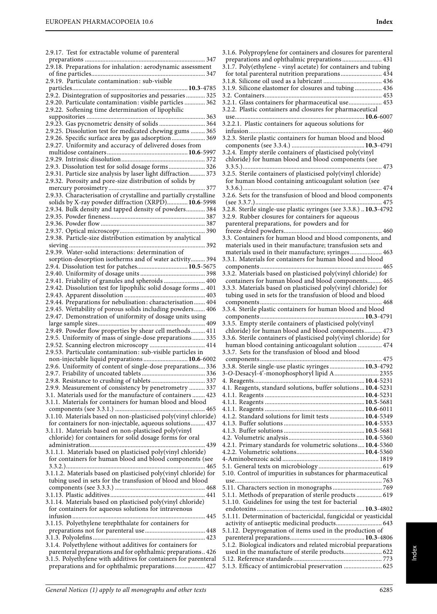2.9.17. Test for extractable volume of parenteral

preparations ............................................................................ 347

| 2.9.18. Preparations for inhalation: aerodynamic assessment                                                             |  |
|-------------------------------------------------------------------------------------------------------------------------|--|
|                                                                                                                         |  |
| 2.9.19. Particulate contamination: sub-visible                                                                          |  |
| 2.9.2. Disintegration of suppositories and pessaries  325                                                               |  |
| 2.9.20. Particulate contamination: visible particles  362                                                               |  |
| 2.9.22. Softening time determination of lipophilic                                                                      |  |
|                                                                                                                         |  |
|                                                                                                                         |  |
| 2.9.25. Dissolution test for medicated chewing gums  365                                                                |  |
| 2.9.26. Specific surface area by gas adsorption  369                                                                    |  |
| 2.9.27. Uniformity and accuracy of delivered doses from                                                                 |  |
|                                                                                                                         |  |
|                                                                                                                         |  |
| 2.9.3. Dissolution test for solid dosage forms 326                                                                      |  |
| 2.9.31. Particle size analysis by laser light diffraction 373                                                           |  |
| 2.9.32. Porosity and pore-size distribution of solids by                                                                |  |
|                                                                                                                         |  |
| 2.9.33. Characterisation of crystalline and partially crystalline                                                       |  |
| solids by X-ray powder diffraction (XRPD) 10.6-5998                                                                     |  |
| 2.9.34. Bulk density and tapped density of powders 384                                                                  |  |
|                                                                                                                         |  |
|                                                                                                                         |  |
| 2.9.38. Particle-size distribution estimation by analytical                                                             |  |
|                                                                                                                         |  |
| 2.9.39. Water-solid interactions: determination of                                                                      |  |
| sorption-desorption isotherms and of water activity 394                                                                 |  |
| 2.9.4. Dissolution test for patches 10.5-5675                                                                           |  |
|                                                                                                                         |  |
| 2.9.41. Friability of granules and spheroids  400                                                                       |  |
| 2.9.42. Dissolution test for lipophilic solid dosage forms  401                                                         |  |
|                                                                                                                         |  |
| 2.9.44. Preparations for nebulisation: characterisation 404                                                             |  |
| 2.9.45. Wettability of porous solids including powders 406<br>2.9.47. Demonstration of uniformity of dosage units using |  |
|                                                                                                                         |  |
| 2.9.49. Powder flow properties by shear cell methods 411                                                                |  |
| 2.9.5. Uniformity of mass of single-dose preparations  335                                                              |  |
| 2.9.52. Scanning electron microscopy  414                                                                               |  |
| 2.9.53. Particulate contamination: sub-visible particles in                                                             |  |
| non-injectable liquid preparations  10.6-6002                                                                           |  |
|                                                                                                                         |  |
|                                                                                                                         |  |
|                                                                                                                         |  |
| 2.9.9. Measurement of consistency by penetrometry  337                                                                  |  |
| 3.1. Materials used for the manufacture of containers  423                                                              |  |
| 3.1.1. Materials for containers for human blood and blood                                                               |  |
| 3.1.10. Materials based on non-plasticised poly(vinyl chloride)                                                         |  |
| for containers for non-injectable, aqueous solutions 437                                                                |  |
| 3.1.11. Materials based on non-plasticised poly(vinyl                                                                   |  |
| chloride) for containers for solid dosage forms for oral                                                                |  |
|                                                                                                                         |  |
| 3.1.1.1. Materials based on plasticised poly(vinyl chloride)                                                            |  |
| for containers for human blood and blood components (see                                                                |  |
|                                                                                                                         |  |
| 3.1.1.2. Materials based on plasticised poly(vinyl chloride) for                                                        |  |
| tubing used in sets for the transfusion of blood and blood                                                              |  |
|                                                                                                                         |  |
|                                                                                                                         |  |
| 3.1.14. Materials based on plasticised poly(vinyl chloride)<br>for containers for aqueous solutions for intravenous     |  |
|                                                                                                                         |  |
| 3.1.15. Polyethylene terephthalate for containers for                                                                   |  |
|                                                                                                                         |  |
|                                                                                                                         |  |
| 3.1.4. Polyethylene without additives for containers for                                                                |  |
| parenteral preparations and for ophthalmic preparations 426                                                             |  |
| 3.1.5. Polyethylene with additives for containers for parenteral                                                        |  |
| preparations and for ophthalmic preparations 427                                                                        |  |
|                                                                                                                         |  |

| 3.1.6. Polypropylene for containers and closures for parenteral                                                         |
|-------------------------------------------------------------------------------------------------------------------------|
| preparations and ophthalmic preparations 431                                                                            |
| 3.1.7. Poly(ethylene - vinyl acetate) for containers and tubing                                                         |
| for total parenteral nutrition preparations 434                                                                         |
| 3.1.9. Silicone elastomer for closures and tubing 436                                                                   |
|                                                                                                                         |
| 3.2.1. Glass containers for pharmaceutical use 453                                                                      |
| 3.2.2. Plastic containers and closures for pharmaceutical                                                               |
|                                                                                                                         |
| 3.2.2.1. Plastic containers for aqueous solutions for                                                                   |
|                                                                                                                         |
| 3.2.3. Sterile plastic containers for human blood and blood                                                             |
|                                                                                                                         |
| 3.2.4. Empty sterile containers of plasticised poly(vinyl                                                               |
| chloride) for human blood and blood components (see                                                                     |
|                                                                                                                         |
| 3.2.5. Sterile containers of plasticised poly(vinyl chloride)<br>for human blood containing anticoagulant solution (see |
|                                                                                                                         |
| 3.2.6. Sets for the transfusion of blood and blood components                                                           |
|                                                                                                                         |
| 3.2.8. Sterile single-use plastic syringes (see 3.3.8.)  10.3-4792                                                      |
| 3.2.9. Rubber closures for containers for aqueous                                                                       |
| parenteral preparations, for powders and for                                                                            |
|                                                                                                                         |
| 3.3. Containers for human blood and blood components, and                                                               |
| materials used in their manufacture; transfusion sets and                                                               |
| materials used in their manufacture; syringes 463                                                                       |
| 3.3.1. Materials for containers for human blood and blood                                                               |
|                                                                                                                         |
| 3.3.2. Materials based on plasticised poly(vinyl chloride) for<br>containers for human blood and blood components 465   |
| 3.3.3. Materials based on plasticised poly(vinyl chloride) for                                                          |
| tubing used in sets for the transfusion of blood and blood                                                              |
|                                                                                                                         |
| 3.3.4. Sterile plastic containers for human blood and blood                                                             |
|                                                                                                                         |
| 3.3.5. Empty sterile containers of plasticised poly(vinyl                                                               |
| chloride) for human blood and blood components 473                                                                      |
| 3.3.6. Sterile containers of plasticised poly(vinyl chloride) for                                                       |
| human blood containing anticoagulant solution  474                                                                      |
| 3.3.7. Sets for the transfusion of blood and blood                                                                      |
|                                                                                                                         |
| 3.3.8. Sterile single-use plastic syringes  10.3-4792<br>3-O-Desacyl-4'-monophosphoryl lipid A 2355                     |
|                                                                                                                         |
| 4.1. Reagents, standard solutions, buffer solutions  10.4-5231                                                          |
|                                                                                                                         |
|                                                                                                                         |
|                                                                                                                         |
| 4.1.2. Standard solutions for limit tests  10.4-5349                                                                    |
|                                                                                                                         |
|                                                                                                                         |
|                                                                                                                         |
| 4.2.1. Primary standards for volumetric solutions 10.4-5360                                                             |
|                                                                                                                         |
|                                                                                                                         |
| 5.10. Control of impurities in substances for pharmaceutical                                                            |
|                                                                                                                         |
|                                                                                                                         |
| 5.1.1. Methods of preparation of sterile products 619                                                                   |
| 5.1.10. Guidelines for using the test for bacterial                                                                     |
|                                                                                                                         |
| 5.1.11. Determination of bactericidal, fungicidal or yeasticidal                                                        |
| activity of antiseptic medicinal products 643                                                                           |
| 5.1.12. Depyrogenation of items used in the production of                                                               |
|                                                                                                                         |
| 5.1.2. Biological indicators and related microbial preparations                                                         |
| used in the manufacture of sterile products 622                                                                         |
| 5.1.3. Efficacy of antimicrobial preservation  625                                                                      |
|                                                                                                                         |

Index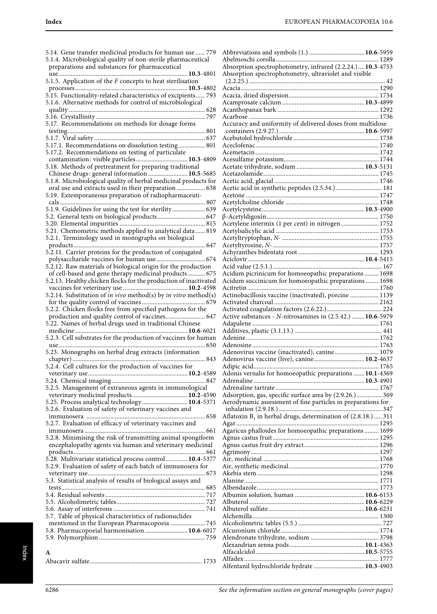| 5.14. Gene transfer medicinal products for human use  779                                               |  |
|---------------------------------------------------------------------------------------------------------|--|
| 5.1.4. Microbiological quality of non-sterile pharmaceutical                                            |  |
| preparations and substances for pharmaceutical                                                          |  |
| use                                                                                                     |  |
| 5.1.5. Application of the ${\cal F}$ concepts to heat sterilisation                                     |  |
|                                                                                                         |  |
| 5.15. Functionality-related characteristics of excipients 793                                           |  |
| 5.1.6. Alternative methods for control of microbiological                                               |  |
|                                                                                                         |  |
|                                                                                                         |  |
| 5.17. Recommendations on methods for dosage forms                                                       |  |
|                                                                                                         |  |
|                                                                                                         |  |
| 5.17.1. Recommendations on dissolution testing 801                                                      |  |
| 5.17.2. Recommendations on testing of particulate                                                       |  |
| contamination: visible particles 10.3-4809                                                              |  |
| 5.18. Methods of pretreatment for preparing traditional                                                 |  |
| Chinese drugs: general information  10.5-5685                                                           |  |
| 5.1.8. Microbiological quality of herbal medicinal products for                                         |  |
| oral use and extracts used in their preparation  638                                                    |  |
| 5.19. Extemporaneous preparation of radiopharmaceuti-                                                   |  |
| cals<br>807                                                                                             |  |
| 5.1.9. Guidelines for using the test for sterility 639                                                  |  |
| 5.2. General texts on biological products 647                                                           |  |
|                                                                                                         |  |
| 5.21. Chemometric methods applied to analytical data  819                                               |  |
| 5.2.1. Terminology used in monographs on biological                                                     |  |
| 647                                                                                                     |  |
| 5.2.11. Carrier proteins for the production of conjugated                                               |  |
| polysaccharide vaccines for human use 674                                                               |  |
| 5.2.12. Raw materials of biological origin for the production                                           |  |
| of cell-based and gene therapy medicinal products 675                                                   |  |
|                                                                                                         |  |
|                                                                                                         |  |
|                                                                                                         |  |
| 5.2.14. Substitution of in vivo method(s) by in vitro method(s)                                         |  |
| 5.2.2. Chicken flocks free from specified pathogens for the                                             |  |
| production and quality control of vaccines 647                                                          |  |
| 5.22. Names of herbal drugs used in traditional Chinese                                                 |  |
| medicine<br><b>10.6</b> -6021                                                                           |  |
| 5.2.3. Cell substrates for the production of vaccines for human                                         |  |
|                                                                                                         |  |
| use<br>5.23. Monographs on herbal drug extracts (information                                            |  |
| . 843                                                                                                   |  |
| 5.2.4. Cell cultures for the production of vaccines for                                                 |  |
|                                                                                                         |  |
|                                                                                                         |  |
|                                                                                                         |  |
| 5.2.5. Management of extraneous agents in immunological                                                 |  |
|                                                                                                         |  |
| 5.25. Process analytical technology 10.4-5371<br>5.2.6. Evaluation of safety of veterinary vaccines and |  |
|                                                                                                         |  |
| 5.2.7. Evaluation of efficacy of veterinary vaccines and                                                |  |
|                                                                                                         |  |
|                                                                                                         |  |
| 5.2.8. Minimising the risk of transmitting animal spongiform                                            |  |
| encephalopathy agents via human and veterinary medicinal                                                |  |
|                                                                                                         |  |
| 5.28. Multivariate statistical process control 10.4-5377                                                |  |
| 5.2.9. Evaluation of safety of each batch of immunosera for                                             |  |
|                                                                                                         |  |
| 5.3. Statistical analysis of results of biological assays and                                           |  |
|                                                                                                         |  |
|                                                                                                         |  |
|                                                                                                         |  |
|                                                                                                         |  |
| 5.7. Table of physical characteristics of radionuclides                                                 |  |
| mentioned in the European Pharmacopoeia  745                                                            |  |
| 5.8. Pharmacopoeial harmonisation  10.6-6017                                                            |  |
|                                                                                                         |  |
|                                                                                                         |  |
|                                                                                                         |  |
| A                                                                                                       |  |

| Absorption spectrophotometry, infrared (2.2.24.) 10.3-4753       |  |
|------------------------------------------------------------------|--|
| Absorption spectrophotometry, ultraviolet and visible            |  |
|                                                                  |  |
|                                                                  |  |
|                                                                  |  |
|                                                                  |  |
|                                                                  |  |
| Accuracy and uniformity of delivered doses from multidose        |  |
|                                                                  |  |
|                                                                  |  |
|                                                                  |  |
|                                                                  |  |
|                                                                  |  |
|                                                                  |  |
|                                                                  |  |
|                                                                  |  |
|                                                                  |  |
| Acetylene intermix (1 per cent) in nitrogen 1752                 |  |
|                                                                  |  |
|                                                                  |  |
|                                                                  |  |
|                                                                  |  |
|                                                                  |  |
| Acidum picrinicum for homoeopathic preparations  1698            |  |
| Acidum succinicum for homoeopathic preparations  1698            |  |
| Actinobacillosis vaccine (inactivated), porcine  1139            |  |
|                                                                  |  |
|                                                                  |  |
|                                                                  |  |
|                                                                  |  |
|                                                                  |  |
| Adenovirus vaccine (inactivated), canine 1079                    |  |
| Adenovirus vaccine (live), canine 10.2-4637                      |  |
| Adipic acid                                                      |  |
| Adonis vernalis for homoeopathic preparations  10.1-4369         |  |
|                                                                  |  |
| Adsorption, gas, specific surface area by (2.9.26.) 369          |  |
| Aerodynamic assessment of fine particles in preparations for     |  |
| Aflatoxin $B_1$ in herbal drugs, determination of (2.8.18.)  311 |  |
|                                                                  |  |
| Agaricus phalloides for homoeopathic preparations  1699          |  |
|                                                                  |  |
|                                                                  |  |
|                                                                  |  |
|                                                                  |  |
|                                                                  |  |
|                                                                  |  |
|                                                                  |  |
|                                                                  |  |
|                                                                  |  |
|                                                                  |  |
|                                                                  |  |
|                                                                  |  |
|                                                                  |  |
| Alfentanil hydrochloride hydrate  10.3-4903                      |  |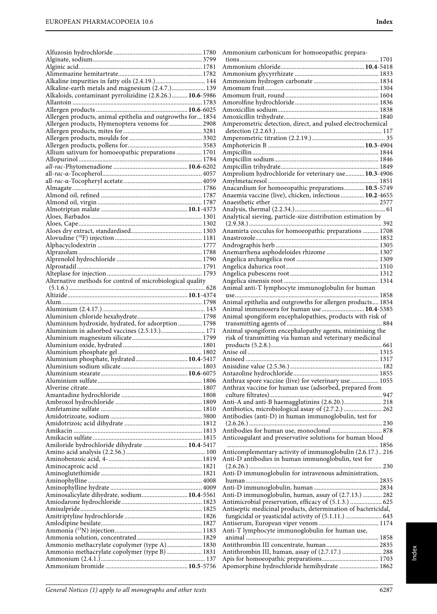| Alkaline impurities in fatty oils (2.4.19.)  144                     |  |
|----------------------------------------------------------------------|--|
| Alkaline-earth metals and magnesium (2.4.7.) 139                     |  |
| Alkaloids, contaminant pyrrolizidine (2.8.26.) 10.6-5986             |  |
|                                                                      |  |
|                                                                      |  |
| Allergen products, animal epithelia and outgrowths for 1854          |  |
| Allergen products, Hymenoptera venoms for 2908                       |  |
|                                                                      |  |
|                                                                      |  |
|                                                                      |  |
| Allium sativum for homoeopathic preparations  1701                   |  |
|                                                                      |  |
|                                                                      |  |
|                                                                      |  |
|                                                                      |  |
|                                                                      |  |
|                                                                      |  |
|                                                                      |  |
|                                                                      |  |
|                                                                      |  |
|                                                                      |  |
|                                                                      |  |
|                                                                      |  |
|                                                                      |  |
|                                                                      |  |
|                                                                      |  |
|                                                                      |  |
|                                                                      |  |
| Alternative methods for control of microbiological quality           |  |
|                                                                      |  |
|                                                                      |  |
|                                                                      |  |
|                                                                      |  |
|                                                                      |  |
|                                                                      |  |
|                                                                      |  |
| Aluminium hydroxide, hydrated, for adsorption  1798                  |  |
| Aluminium in adsorbed vaccines (2.5.13.) 171                         |  |
|                                                                      |  |
|                                                                      |  |
|                                                                      |  |
| Aluminium phosphate, hydrated 10.4-5417<br>Aluminium sodium silicate |  |
|                                                                      |  |
|                                                                      |  |
|                                                                      |  |
|                                                                      |  |
|                                                                      |  |
|                                                                      |  |
|                                                                      |  |
|                                                                      |  |
|                                                                      |  |
|                                                                      |  |
| Amiloride hydrochloride dihydrate  10.4-5417                         |  |
|                                                                      |  |
|                                                                      |  |
|                                                                      |  |
|                                                                      |  |
|                                                                      |  |
|                                                                      |  |
| Aminosalicylate dihydrate, sodium 10.4-5561                          |  |
|                                                                      |  |
|                                                                      |  |
|                                                                      |  |
|                                                                      |  |
|                                                                      |  |
|                                                                      |  |
| Ammonio methacrylate copolymer (type A) 1830                         |  |
| Ammonio methacrylate copolymer (type B)  1831                        |  |
|                                                                      |  |

| Amperometric detection, direct, and pulsed electrochemical                                                         |  |
|--------------------------------------------------------------------------------------------------------------------|--|
|                                                                                                                    |  |
|                                                                                                                    |  |
|                                                                                                                    |  |
|                                                                                                                    |  |
|                                                                                                                    |  |
| Amprolium hydrochloride for veterinary use 10.3-4906                                                               |  |
| Anacardium for homoeopathic preparations 10.5-5749                                                                 |  |
| Anaemia vaccine (live), chicken, infectious  10.2-4655                                                             |  |
|                                                                                                                    |  |
|                                                                                                                    |  |
| Analytical sieving, particle-size distribution estimation by                                                       |  |
| Anamirta cocculus for homoeopathic preparations  1708                                                              |  |
|                                                                                                                    |  |
| Anemarrhena asphodeloides rhizome  1307                                                                            |  |
|                                                                                                                    |  |
|                                                                                                                    |  |
|                                                                                                                    |  |
| Animal anti-T lymphocyte immunoglobulin for human                                                                  |  |
|                                                                                                                    |  |
| Animal epithelia and outgrowths for allergen products 1854<br>Animal immunosera for human use  10.4-5385           |  |
| Animal spongiform encephalopathies, products with risk of                                                          |  |
|                                                                                                                    |  |
|                                                                                                                    |  |
| Animal spongiform encephalopathy agents, minimising the<br>risk of transmitting via human and veterinary medicinal |  |
|                                                                                                                    |  |
|                                                                                                                    |  |
|                                                                                                                    |  |
|                                                                                                                    |  |
| Anthrax spore vaccine (live) for veterinary use 1055                                                               |  |
| Anthrax vaccine for human use (adsorbed, prepared from                                                             |  |
| Anti-A and anti-B haemagglutinins (2.6.20.) 218                                                                    |  |
| Antibiotics, microbiological assay of (2.7.2.)  262                                                                |  |
| Antibodies (anti-D) in human immunoglobulin, test for                                                              |  |
| Antibodies for human use, monoclonal  878                                                                          |  |
| Anticoagulant and preservative solutions for human blood                                                           |  |
| Anticomplementary activity of immunoglobulin (2.6.17.) 216<br>Anti-D antibodies in human immunoglobulin, test for  |  |
|                                                                                                                    |  |
| Anti-D immunoglobulin for intravenous administration,                                                              |  |
|                                                                                                                    |  |
| Anti-D immunoglobulin, human, assay of (2.7.13.)  282                                                              |  |
| Antimicrobial preservation, efficacy of (5.1.3.)  625                                                              |  |
| Antiseptic medicinal products, determination of bactericidal,                                                      |  |
| fungicidal or yeasticidal activity of (5.1.11.)  643                                                               |  |
| Anti-T lymphocyte immunoglobulin for human use,                                                                    |  |
|                                                                                                                    |  |
| Antithrombin III concentrate, human 2835                                                                           |  |
| Antithrombin III, human, assay of (2.7.17.)  288                                                                   |  |
| Apomorphine hydrochloride hemihydrate  1862                                                                        |  |

Ammonium carbonicum for homoeopathic prepara-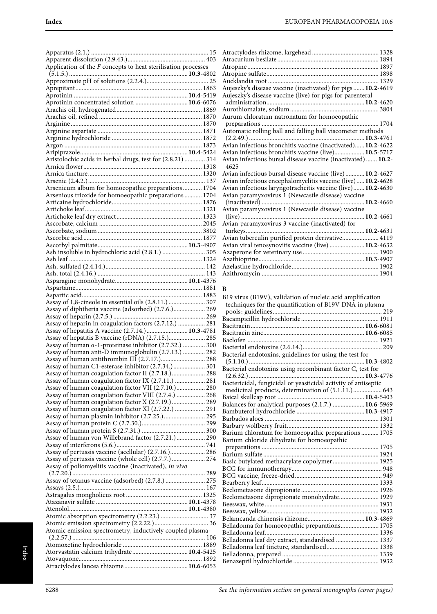| Application of the $F$ concepts to heat sterilisation processes |  |
|-----------------------------------------------------------------|--|
|                                                                 |  |
|                                                                 |  |
| Aprotinin concentrated solution  10.6-6076                      |  |
|                                                                 |  |
|                                                                 |  |
|                                                                 |  |
|                                                                 |  |
|                                                                 |  |
|                                                                 |  |
| Aristolochic acids in herbal drugs, test for (2.8.21)  314      |  |
|                                                                 |  |
|                                                                 |  |
|                                                                 |  |
| Arsenicum album for homoeopathic preparations 1704              |  |
| Arsenious trioxide for homoeopathic preparations  1704          |  |
|                                                                 |  |
|                                                                 |  |
|                                                                 |  |
|                                                                 |  |
|                                                                 |  |
|                                                                 |  |
| Ash insoluble in hydrochloric acid (2.8.1.)  305                |  |
|                                                                 |  |
|                                                                 |  |
|                                                                 |  |
|                                                                 |  |
|                                                                 |  |
|                                                                 |  |
| Assay of 1,8-cineole in essential oils (2.8.11.)  307           |  |
| Assay of diphtheria vaccine (adsorbed) (2.7.6.) 269             |  |
| Assay of heparin in coagulation factors (2.7.12.)  281          |  |
| Assay of hepatitis A vaccine (2.7.14.)  10.3-4781               |  |
| Assay of hepatitis B vaccine (rDNA) (2.7.15.) 285               |  |
| Assay of human a-1-proteinase inhibitor (2.7.32.)  300          |  |
| Assay of human anti-D immunoglobulin (2.7.13.)  282             |  |
|                                                                 |  |
| Assay of human C1-esterase inhibitor (2.7.34.)  301             |  |
| Assay of human coagulation factor II (2.7.18.) 288              |  |
| Assay of human coagulation factor IX (2.7.11.)  281             |  |
| Assay of human coagulation factor VII (2.7.10.) 280             |  |
| Assay of human coagulation factor VIII (2.7.4.)  268            |  |
| Assay of human coagulation factor X (2.7.19.)  289              |  |
| Assay of human coagulation factor XI (2.7.22.)  291             |  |
| Assay of human plasmin inhibitor (2.7.25.) 295                  |  |
|                                                                 |  |
| Assay of human von Willebrand factor (2.7.21.) 290              |  |
|                                                                 |  |
| Assay of pertussis vaccine (acellular) (2.7.16.) 286            |  |
| Assay of pertussis vaccine (whole cell) (2.7.7.) 274            |  |
| Assay of poliomyelitis vaccine (inactivated), in vivo           |  |
|                                                                 |  |
| Assay of tetanus vaccine (adsorbed) (2.7.8.)  275               |  |
|                                                                 |  |
|                                                                 |  |
|                                                                 |  |
|                                                                 |  |
|                                                                 |  |
| Atomic emission spectrometry, inductively coupled plasma-       |  |
|                                                                 |  |
|                                                                 |  |
|                                                                 |  |
|                                                                 |  |
|                                                                 |  |

| Aujeszky's disease vaccine (inactivated) for pigs  10.2-4619         |  |
|----------------------------------------------------------------------|--|
| Aujeszky's disease vaccine (live) for pigs for parenteral            |  |
|                                                                      |  |
|                                                                      |  |
| Aurum chloratum natronatum for homoeopathic                          |  |
|                                                                      |  |
| Automatic rolling ball and falling ball viscometer methods           |  |
|                                                                      |  |
| Avian infectious bronchitis vaccine (inactivated) 10.2-4622          |  |
| Avian infectious bronchitis vaccine (live) 10.5-5717                 |  |
| Avian infectious bursal disease vaccine (inactivated)  10.2-<br>4625 |  |
| Avian infectious bursal disease vaccine (live) 10.2-4627             |  |
| Avian infectious encephalomyelitis vaccine (live) 10.2-4628          |  |
| Avian infectious laryngotracheitis vaccine (live) 10.2-4630          |  |
| Avian paramyxovirus 1 (Newcastle disease) vaccine                    |  |
|                                                                      |  |
| Avian paramyxovirus 1 (Newcastle disease) vaccine                    |  |
|                                                                      |  |
| Avian paramyxovirus 3 vaccine (inactivated) for                      |  |
|                                                                      |  |
| Avian tuberculin purified protein derivative 4119                    |  |
| Avian viral tenosynovitis vaccine (live)  10.2-4632                  |  |
|                                                                      |  |
|                                                                      |  |
|                                                                      |  |
|                                                                      |  |

#### **B**

| B19 virus (B19V), validation of nucleic acid amplification     |
|----------------------------------------------------------------|
| techniques for the quantification of B19V DNA in plasma        |
|                                                                |
|                                                                |
|                                                                |
|                                                                |
|                                                                |
|                                                                |
| Bacterial endotoxins, guidelines for using the test for        |
|                                                                |
| Bacterial endotoxins using recombinant factor C, test for      |
|                                                                |
| Bactericidal, fungicidal or yeasticidal activity of antiseptic |
| medicinal products, determination of (5.1.11.) 643             |
|                                                                |
| Balances for analytical purposes (2.1.7.)  10.6-5969           |
|                                                                |
|                                                                |
|                                                                |
| Barium chloratum for homoeopathic preparations  1705           |
| Barium chloride dihydrate for homoeopathic                     |
|                                                                |
|                                                                |
| Basic butylated methacrylate copolymer 1925                    |
|                                                                |
|                                                                |
|                                                                |
|                                                                |
| Beclometasone dipropionate monohydrate 1929                    |
|                                                                |
|                                                                |
|                                                                |
| Belladonna for homoeopathic preparations 1705                  |
|                                                                |
| Belladonna leaf dry extract, standardised  1337                |
| Belladonna leaf tincture, standardised 1338                    |
|                                                                |
|                                                                |
|                                                                |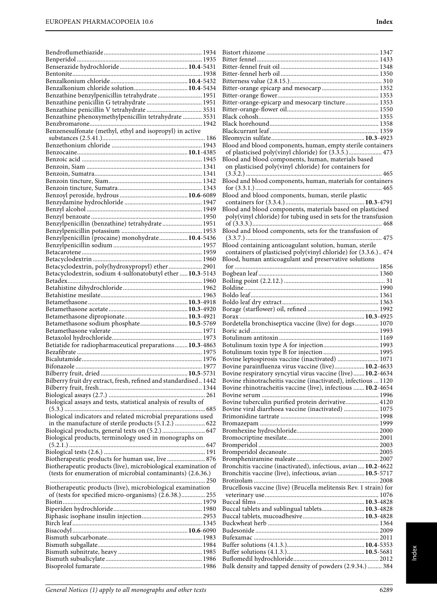| Benzalkonium chloride solution 10.4-5434                         |  |
|------------------------------------------------------------------|--|
| Benzathine benzylpenicillin tetrahydrate 1951                    |  |
|                                                                  |  |
|                                                                  |  |
| Benzathine phenoxymethylpenicillin tetrahydrate  3531            |  |
|                                                                  |  |
| Benzenesulfonate (methyl, ethyl and isopropyl) in active         |  |
|                                                                  |  |
|                                                                  |  |
|                                                                  |  |
|                                                                  |  |
|                                                                  |  |
|                                                                  |  |
|                                                                  |  |
|                                                                  |  |
|                                                                  |  |
|                                                                  |  |
|                                                                  |  |
|                                                                  |  |
|                                                                  |  |
| Benzylpenicillin (benzathine) tetrahydrate 1951                  |  |
|                                                                  |  |
| Benzylpenicillin (procaine) monohydrate 10.4-5436                |  |
|                                                                  |  |
|                                                                  |  |
|                                                                  |  |
|                                                                  |  |
| Betacyclodextrin, poly(hydroxypropyl) ether 2901                 |  |
| Betacyclodextrin, sodium 4-sulfonatobutyl ether  10.3-5143       |  |
|                                                                  |  |
|                                                                  |  |
|                                                                  |  |
|                                                                  |  |
|                                                                  |  |
|                                                                  |  |
|                                                                  |  |
|                                                                  |  |
| Betamethasone sodium phosphate 10.5-5769                         |  |
|                                                                  |  |
|                                                                  |  |
| Betiatide for radiopharmaceutical preparations  10.3-4863        |  |
|                                                                  |  |
|                                                                  |  |
| Bifonazole                                                       |  |
|                                                                  |  |
| Bilberry fruit dry extract, fresh, refined and standardised 1442 |  |
|                                                                  |  |
|                                                                  |  |
|                                                                  |  |
| Biological assays and tests, statistical analysis of results of  |  |
|                                                                  |  |
| Biological indicators and related microbial preparations used    |  |
| in the manufacture of sterile products (5.1.2.)  622             |  |
| Biological products, general texts on (5.2.)  647                |  |
| Biological products, terminology used in monographs on           |  |
|                                                                  |  |
|                                                                  |  |
| Biotherapeutic products for human use, live  876                 |  |
| Biotherapeutic products (live), microbiological examination of   |  |
| (tests for enumeration of microbial contaminants) (2.6.36.)      |  |
|                                                                  |  |
| Biotherapeutic products (live), microbiological examination      |  |
|                                                                  |  |
| of (tests for specified micro-organisms) (2.6.38.) 255           |  |
|                                                                  |  |
|                                                                  |  |
|                                                                  |  |
|                                                                  |  |
|                                                                  |  |
|                                                                  |  |
|                                                                  |  |
|                                                                  |  |
|                                                                  |  |

| Bitter-orange-epicarp and mesocarp tincture 1353                   |
|--------------------------------------------------------------------|
|                                                                    |
|                                                                    |
|                                                                    |
|                                                                    |
|                                                                    |
| Blood and blood components, human, empty sterile containers        |
| of plasticised poly(vinyl chloride) for (3.3.5.) 473               |
| Blood and blood components, human, materials based                 |
| on plasticised poly(vinyl chloride) for containers for             |
|                                                                    |
| Blood and blood components, human, materials for containers        |
|                                                                    |
|                                                                    |
| Blood and blood components, human, sterile plastic                 |
|                                                                    |
| Blood and blood components, materials based on plasticised         |
| poly(vinyl chloride) for tubing used in sets for the transfusion   |
|                                                                    |
| Blood and blood components, sets for the transfusion of            |
|                                                                    |
| Blood containing anticoagulant solution, human, sterile            |
| containers of plasticised poly(vinyl chloride) for (3.3.6.) 474    |
| Blood, human anticoagulant and preservative solutions              |
|                                                                    |
|                                                                    |
|                                                                    |
|                                                                    |
|                                                                    |
|                                                                    |
|                                                                    |
|                                                                    |
| Bordetella bronchiseptica vaccine (live) for dogs 1070             |
|                                                                    |
|                                                                    |
|                                                                    |
| Bovine leptospirosis vaccine (inactivated)  1071                   |
|                                                                    |
| Bovine parainfluenza virus vaccine (live) 10.2-4633                |
| Bovine respiratory syncytial virus vaccine (live) 10.2-4634        |
| Bovine rhinotracheitis vaccine (inactivated), infectious  1120     |
| Bovine rhinotracheitis vaccine (live), infectious  10.2-4654       |
|                                                                    |
| Bovine tuberculin purified protein derivative 4120                 |
| Bovine viral diarrhoea vaccine (inactivated)  1075                 |
|                                                                    |
|                                                                    |
|                                                                    |
|                                                                    |
|                                                                    |
|                                                                    |
|                                                                    |
| Bronchitis vaccine (inactivated), infectious, avian 10.2-4622      |
| Bronchitis vaccine (live), infectious, avian  10.5-5717            |
|                                                                    |
| Brucellosis vaccine (live) (Brucella melitensis Rev. 1 strain) for |
|                                                                    |
|                                                                    |
| Buccal tablets and sublingual tablets 10.3-4828                    |
|                                                                    |
|                                                                    |
|                                                                    |
|                                                                    |
|                                                                    |
|                                                                    |
| Bulk density and tapped density of powders (2.9.34.)  384          |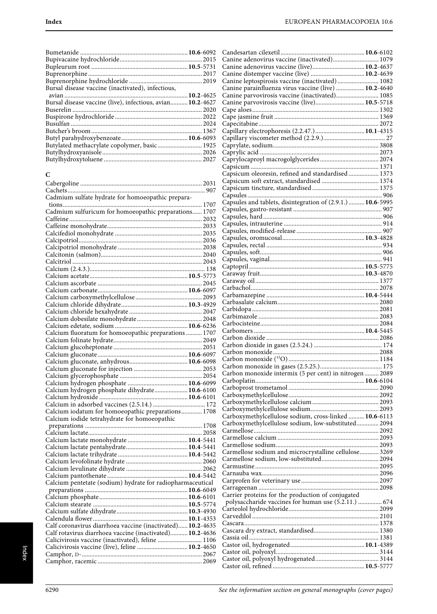| Bursal disease vaccine (live), infectious, avian 10.2-4627 |
|------------------------------------------------------------|
|                                                            |
|                                                            |
|                                                            |
|                                                            |
|                                                            |
| Butylated methacrylate copolymer, basic 1925               |
|                                                            |
|                                                            |
|                                                            |

#### **C**

| Cadmium sulfate hydrate for homoeopathic prepara-          |
|------------------------------------------------------------|
|                                                            |
| Cadmium sulfuricum for homoeopathic preparations 1707      |
|                                                            |
|                                                            |
|                                                            |
|                                                            |
|                                                            |
|                                                            |
|                                                            |
|                                                            |
|                                                            |
|                                                            |
|                                                            |
|                                                            |
|                                                            |
|                                                            |
|                                                            |
|                                                            |
| Calcium fluoratum for homoeopathic preparations  1707      |
|                                                            |
|                                                            |
|                                                            |
|                                                            |
|                                                            |
|                                                            |
|                                                            |
| Calcium hydrogen phosphate dihydrate 10.6-6100             |
|                                                            |
|                                                            |
| Calcium iodatum for homoeopathic preparations 1708         |
| Calcium iodide tetrahydrate for homoeopathic               |
|                                                            |
|                                                            |
|                                                            |
|                                                            |
|                                                            |
|                                                            |
|                                                            |
|                                                            |
| Calcium pentetate (sodium) hydrate for radiopharmaceutical |
|                                                            |
|                                                            |
|                                                            |
|                                                            |
|                                                            |
|                                                            |
| Calf coronavirus diarrhoea vaccine (inactivated) 10.2-4635 |
| Calf rotavirus diarrhoea vaccine (inactivated) 10.2-4636   |
| Calicivirosis vaccine (inactivated), feline  1106          |
|                                                            |
| Calicivirosis vaccine (live), feline  10.2-4650            |
|                                                            |

| Canine adenovirus vaccine (inactivated) 1079                |  |
|-------------------------------------------------------------|--|
| Canine adenovirus vaccine (live) 10.2-4637                  |  |
| Canine distemper vaccine (live)  10.2-4639                  |  |
| Canine leptospirosis vaccine (inactivated)  1082            |  |
| Canine parainfluenza virus vaccine (live)  10.2-4640        |  |
| Canine parvovirosis vaccine (inactivated) 1085              |  |
| Canine parvovirosis vaccine (live) 10.5-5718                |  |
|                                                             |  |
|                                                             |  |
| Capillary electrophoresis (2.2.47.)  10.1-4315              |  |
|                                                             |  |
|                                                             |  |
|                                                             |  |
|                                                             |  |
|                                                             |  |
| Capsicum oleoresin, refined and standardised  1373          |  |
|                                                             |  |
|                                                             |  |
|                                                             |  |
| Capsules and tablets, disintegration of (2.9.1.)  10.6-5995 |  |
|                                                             |  |
|                                                             |  |
|                                                             |  |
|                                                             |  |
|                                                             |  |
|                                                             |  |
|                                                             |  |
|                                                             |  |
|                                                             |  |
|                                                             |  |
|                                                             |  |
|                                                             |  |
|                                                             |  |
|                                                             |  |
|                                                             |  |
|                                                             |  |
|                                                             |  |
|                                                             |  |
|                                                             |  |
|                                                             |  |
|                                                             |  |
|                                                             |  |
|                                                             |  |
| Carbon monoxide intermix (5 per cent) in nitrogen  2089     |  |
|                                                             |  |
|                                                             |  |
|                                                             |  |
|                                                             |  |
| Carboxymethylcellulose sodium, cross-linked  10.6-6113      |  |
| Carboxymethylcellulose sodium, low-substituted 2094         |  |
|                                                             |  |
|                                                             |  |
|                                                             |  |
| Carmellose sodium and microcrystalline cellulose 3269       |  |
|                                                             |  |
|                                                             |  |
|                                                             |  |
|                                                             |  |
| Carrier proteins for the production of conjugated           |  |
| polysaccharide vaccines for human use (5.2.11.)  674        |  |
|                                                             |  |
|                                                             |  |
|                                                             |  |
|                                                             |  |
|                                                             |  |
|                                                             |  |
|                                                             |  |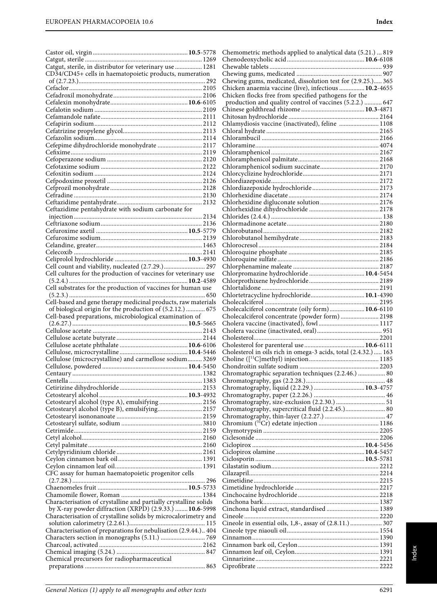| Catgut, sterile, in distributor for veterinary use  1281<br>CD34/CD45+ cells in haematopoietic products, numeration       |  |
|---------------------------------------------------------------------------------------------------------------------------|--|
|                                                                                                                           |  |
|                                                                                                                           |  |
|                                                                                                                           |  |
|                                                                                                                           |  |
|                                                                                                                           |  |
|                                                                                                                           |  |
|                                                                                                                           |  |
| Cefepime dihydrochloride monohydrate  2117                                                                                |  |
|                                                                                                                           |  |
|                                                                                                                           |  |
|                                                                                                                           |  |
|                                                                                                                           |  |
|                                                                                                                           |  |
|                                                                                                                           |  |
|                                                                                                                           |  |
| Ceftazidime pentahydrate with sodium carbonate for                                                                        |  |
|                                                                                                                           |  |
|                                                                                                                           |  |
|                                                                                                                           |  |
|                                                                                                                           |  |
|                                                                                                                           |  |
| Cell count and viability, nucleated (2.7.29.) 297                                                                         |  |
| Cell cultures for the production of vaccines for veterinary use                                                           |  |
| Cell substrates for the production of vaccines for human use                                                              |  |
|                                                                                                                           |  |
| Cell-based and gene therapy medicinal products, raw materials                                                             |  |
| of biological origin for the production of (5.2.12.)  675                                                                 |  |
|                                                                                                                           |  |
| Cell-based preparations, microbiological examination of                                                                   |  |
|                                                                                                                           |  |
|                                                                                                                           |  |
|                                                                                                                           |  |
|                                                                                                                           |  |
| Cellulose (microcrystalline) and carmellose sodium 3269                                                                   |  |
|                                                                                                                           |  |
|                                                                                                                           |  |
|                                                                                                                           |  |
|                                                                                                                           |  |
| Cetostearyl alcohol (type A), emulsifying  2156                                                                           |  |
| Cetostearyl alcohol (type B), emulsifying 2157                                                                            |  |
|                                                                                                                           |  |
|                                                                                                                           |  |
|                                                                                                                           |  |
|                                                                                                                           |  |
|                                                                                                                           |  |
|                                                                                                                           |  |
| CFC assay for human haematopoietic progenitor cells                                                                       |  |
|                                                                                                                           |  |
|                                                                                                                           |  |
| Characterisation of crystalline and partially crystalline solids                                                          |  |
| by X-ray powder diffraction (XRPD) (2.9.33.)  10.6-5998<br>Characterisation of crystalline solids by microcalorimetry and |  |
|                                                                                                                           |  |
| Characterisation of preparations for nebulisation (2.9.44.) 404                                                           |  |
|                                                                                                                           |  |
|                                                                                                                           |  |
| Chemical precursors for radiopharmaceutical                                                                               |  |

| Chemometric methods applied to analytical data (5.21.)  819                                      |  |
|--------------------------------------------------------------------------------------------------|--|
|                                                                                                  |  |
|                                                                                                  |  |
| Chewing gums, medicated, dissolution test for (2.9.25.) 365                                      |  |
| Chicken anaemia vaccine (live), infectious  10.2-4655                                            |  |
| Chicken flocks free from specified pathogens for the                                             |  |
| production and quality control of vaccines (5.2.2.)  647                                         |  |
|                                                                                                  |  |
| Chlamydiosis vaccine (inactivated), feline  1108                                                 |  |
|                                                                                                  |  |
|                                                                                                  |  |
|                                                                                                  |  |
|                                                                                                  |  |
|                                                                                                  |  |
|                                                                                                  |  |
|                                                                                                  |  |
|                                                                                                  |  |
|                                                                                                  |  |
|                                                                                                  |  |
|                                                                                                  |  |
|                                                                                                  |  |
|                                                                                                  |  |
|                                                                                                  |  |
|                                                                                                  |  |
|                                                                                                  |  |
|                                                                                                  |  |
| Chlorpromazine hydrochloride  10.4-5454                                                          |  |
|                                                                                                  |  |
|                                                                                                  |  |
| Chlortetracycline hydrochloride 10.1-4390                                                        |  |
| Cholecalciferol concentrate (oily form) 10.6-6110                                                |  |
| Cholecalciferol concentrate (powder form)  2198                                                  |  |
|                                                                                                  |  |
|                                                                                                  |  |
|                                                                                                  |  |
|                                                                                                  |  |
| Cholesterol in oils rich in omega-3 acids, total (2.4.32.)  163                                  |  |
|                                                                                                  |  |
| Chromatographic separation techniques (2.2.46.)  80                                              |  |
|                                                                                                  |  |
|                                                                                                  |  |
|                                                                                                  |  |
| Chromatography, size-exclusion (2.2.30.)  51<br>Chromatography, supercritical fluid (2.2.45.) 80 |  |
|                                                                                                  |  |
|                                                                                                  |  |
|                                                                                                  |  |
|                                                                                                  |  |
|                                                                                                  |  |
|                                                                                                  |  |
|                                                                                                  |  |
|                                                                                                  |  |
|                                                                                                  |  |
|                                                                                                  |  |
|                                                                                                  |  |
| Cinchona liquid extract, standardised  1389                                                      |  |
|                                                                                                  |  |
| Cineole in essential oils, 1,8-, assay of (2.8.11.)  307                                         |  |
|                                                                                                  |  |
|                                                                                                  |  |
|                                                                                                  |  |
|                                                                                                  |  |
|                                                                                                  |  |
|                                                                                                  |  |

Index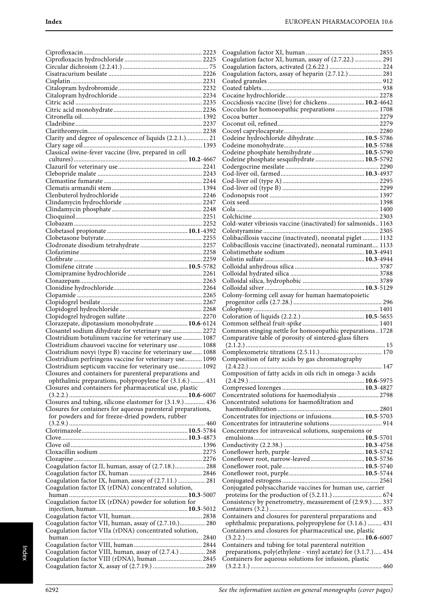| Clarity and degree of opalescence of liquids (2.2.1.) 21     |   |
|--------------------------------------------------------------|---|
|                                                              |   |
| Classical swine-fever vaccine (live, prepared in cell        |   |
|                                                              |   |
|                                                              |   |
|                                                              |   |
|                                                              |   |
|                                                              |   |
|                                                              |   |
|                                                              |   |
|                                                              |   |
|                                                              |   |
|                                                              |   |
|                                                              |   |
|                                                              |   |
|                                                              |   |
|                                                              |   |
|                                                              |   |
|                                                              |   |
|                                                              |   |
|                                                              |   |
|                                                              |   |
|                                                              |   |
|                                                              |   |
|                                                              |   |
|                                                              |   |
|                                                              |   |
|                                                              |   |
| Clorazepate, dipotassium monohydrate  10.6-6124              |   |
|                                                              |   |
|                                                              |   |
| Closantel sodium dihydrate for veterinary use  2272          |   |
| Clostridium botulinum vaccine for veterinary use  1087       |   |
| Clostridium chauvoei vaccine for veterinary use  1088        |   |
| Clostridium novyi (type B) vaccine for veterinary use 1088   |   |
|                                                              | Í |
| Clostridium perfringens vaccine for veterinary use 1090      |   |
| Clostridium septicum vaccine for veterinary use 1092         |   |
| Closures and containers for parenteral preparations and      |   |
| ophthalmic preparations, polypropylene for (3.1.6.)  431     |   |
| Closures and containers for pharmaceutical use, plastic      |   |
|                                                              |   |
| Closures and tubing, silicone elastomer for (3.1.9.) 436     |   |
| Closures for containers for aqueous parenteral preparations, |   |
| for powders and for freeze-dried powders, rubber             |   |
|                                                              |   |
|                                                              |   |
|                                                              |   |
|                                                              |   |
|                                                              |   |
|                                                              |   |
|                                                              |   |
| Coagulation factor II, human, assay of (2.7.18.) 288         |   |
|                                                              |   |
| Coagulation factor IX, human, assay of (2.7.11.)  281        |   |
| Coagulation factor IX (rDNA) concentrated solution,          |   |
|                                                              |   |
| Coagulation factor IX (rDNA) powder for solution for         |   |
|                                                              |   |
|                                                              |   |
|                                                              |   |
| Coagulation factor VII, human, assay of (2.7.10.) 280        |   |
| Coagulation factor VIIa (rDNA) concentrated solution,        |   |
|                                                              |   |
|                                                              |   |
| Coagulation factor VIII, human, assay of (2.7.4.)  268       |   |
| Coagulation factor VIII (rDNA), human  2845                  |   |

| Coagulation factor XI, human, assay of (2.7.22.)  291         |     |
|---------------------------------------------------------------|-----|
|                                                               |     |
| Coagulation factors, assay of heparin (2.7.12.)  281          |     |
|                                                               |     |
|                                                               |     |
|                                                               |     |
|                                                               |     |
| Coccidiosis vaccine (live) for chickens  10.2-4642            |     |
| Cocculus for homoeopathic preparations  1708                  |     |
|                                                               |     |
|                                                               |     |
|                                                               |     |
| Codeine hydrochloride dihydrate 10.5-5786                     |     |
|                                                               |     |
| Codeine phosphate hemihydrate 10.5-5790                       |     |
| Codeine phosphate sesquihydrate  10.5-5792                    |     |
|                                                               |     |
|                                                               |     |
|                                                               |     |
|                                                               |     |
|                                                               |     |
|                                                               |     |
|                                                               |     |
|                                                               |     |
|                                                               |     |
| Cold-water vibriosis vaccine (inactivated) for salmonids 1163 |     |
|                                                               |     |
| Colibacillosis vaccine (inactivated), neonatal piglet  1132   |     |
| Colibacillosis vaccine (inactivated), neonatal ruminant 1133  |     |
|                                                               |     |
|                                                               |     |
|                                                               |     |
|                                                               |     |
|                                                               |     |
|                                                               |     |
|                                                               |     |
| Colony-forming cell assay for human haematopoietic            |     |
|                                                               |     |
|                                                               |     |
|                                                               |     |
|                                                               |     |
|                                                               |     |
|                                                               |     |
| Common stinging nettle for homoeopathic preparations 1728     |     |
| Comparative table of porosity of sintered-glass filters       |     |
|                                                               |     |
|                                                               |     |
| Composition of fatty acids by gas chromatography              |     |
|                                                               | 147 |
| Composition of fatty acids in oils rich in omega-3 acids      |     |
|                                                               |     |
|                                                               |     |
| Concentrated solutions for haemodialysis  2798                |     |
| Concentrated solutions for haemofiltration and                |     |
|                                                               |     |
|                                                               |     |
| Concentrates for injections or infusions 10.5-5703            |     |
|                                                               |     |
| Concentrates for intravesical solutions, suspensions or       |     |
|                                                               |     |
|                                                               |     |
|                                                               |     |
| Coneflower root, narrow-leaved 10.5-5736                      |     |
|                                                               |     |
|                                                               |     |
|                                                               |     |
| Conjugated polysaccharide vaccines for human use, carrier     |     |
|                                                               |     |
| Consistency by penetrometry, measurement of (2.9.9.) 337      |     |
|                                                               |     |
|                                                               |     |
| Containers and closures for parenteral preparations and       |     |
| ophthalmic preparations, polypropylene for (3.1.6.)  431      |     |
| Containers and closures for pharmaceutical use, plastic       |     |
|                                                               |     |
| Containers and tubing for total parenteral nutrition          |     |
| preparations, poly(ethylene - vinyl acetate) for (3.1.7.) 434 |     |
| Containers for aqueous solutions for infusion, plastic        |     |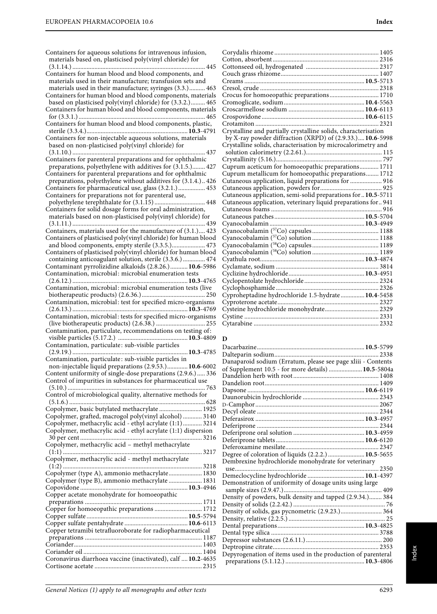| Containers for aqueous solutions for intravenous infusion,<br>materials based on, plasticised poly(vinyl chloride) for         | C<br>C               |
|--------------------------------------------------------------------------------------------------------------------------------|----------------------|
|                                                                                                                                | C                    |
| Containers for human blood and blood components, and<br>materials used in their manufacture; transfusion sets and              | C<br>C               |
| materials used in their manufacture; syringes (3.3.) 463                                                                       | C                    |
| Containers for human blood and blood components, materials<br>based on plasticised poly(vinyl chloride) for (3.3.2.) 465       | C<br>C               |
| Containers for human blood and blood components, materials                                                                     | C<br>C               |
| Containers for human blood and blood components, plastic,                                                                      | C<br>C               |
| Containers for non-injectable aqueous solutions, materials                                                                     |                      |
| based on non-plasticised poly(vinyl chloride) for                                                                              | C                    |
| Containers for parenteral preparations and for ophthalmic<br>preparations, polyethylene with additives for (3.1.5.) 427        | C<br>C               |
| Containers for parenteral preparations and for ophthalmic<br>preparations, polyethylene without additives for (3.1.4.) 426     | C<br>C               |
| Containers for pharmaceutical use, glass (3.2.1.) 453                                                                          | C                    |
| Containers for preparations not for parenteral use,                                                                            | C                    |
| Containers for solid dosage forms for oral administration,                                                                     | C<br>C               |
| materials based on non-plasticised poly(vinyl chloride) for                                                                    | C                    |
|                                                                                                                                | C                    |
| Containers, materials used for the manufacture of (3.1.) 423<br>Containers of plasticised poly(vinyl chloride) for human blood | C<br>C               |
| and blood components, empty sterile (3.3.5.) 473                                                                               | C                    |
| Containers of plasticised poly(vinyl chloride) for human blood                                                                 | C                    |
| containing anticoagulant solution, sterile (3.3.6.) 474<br>Contaminant pyrrolizidine alkaloids (2.8.26.) 10.6-5986             | C<br>C               |
| Contamination, microbial: microbial enumeration tests                                                                          | C                    |
|                                                                                                                                | C                    |
| Contamination, microbial: microbial enumeration tests (live                                                                    | C<br>C               |
| Contamination, microbial: test for specified micro-organisms                                                                   | C                    |
|                                                                                                                                | C                    |
| Contamination, microbial: tests for specified micro-organisms<br>Contamination, particulate, recommendations on testing of:    | C<br>C               |
|                                                                                                                                | Г                    |
| Contamination, particulate: sub-visible particles<br><b>10.3</b> -4785                                                         | Γ<br>$\Gamma$        |
| Contamination, particulate: sub-visible particles in                                                                           | $\Gamma$             |
| non-injectable liquid preparations (2.9.53.) 10.6-6002<br>Content uniformity of single-dose preparations (2.9.6.)  336         | $\mathbf o$          |
| Control of impurities in substances for pharmaceutical use                                                                     | Г<br>Г               |
|                                                                                                                                | $\Gamma$             |
| Control of microbiological quality, alternative methods for                                                                    | Γ<br>$\overline{D}$  |
| Copolymer, basic butylated methacrylate  1925                                                                                  | Γ                    |
| Copolymer, grafted, macrogol poly(vinyl alcohol)  3140                                                                         | Γ                    |
| Copolymer, methacrylic acid - ethyl acrylate (1:1) 3214<br>Copolymer, methacrylic acid - ethyl acrylate (1:1) dispersion       | $\overline{L}$       |
|                                                                                                                                | $\Gamma$<br>$\Gamma$ |
| Copolymer, methacrylic acid - methyl methacrylate                                                                              | $\Gamma$             |
| Copolymer, methacrylic acid - methyl methacrylate                                                                              | $\Gamma$<br>Γ        |
|                                                                                                                                |                      |
| Copolymer (type A), ammonio methacrylate 1830<br>Copolymer (type B), ammonio methacrylate  1831                                | Γ                    |
|                                                                                                                                | $\Gamma$             |
| Copper acetate monohydrate for homoeopathic                                                                                    | Γ                    |
| Copper for homoeopathic preparations  1712                                                                                     | $\Gamma$<br>$\Gamma$ |
|                                                                                                                                | $\Gamma$             |
| Copper tetramibi tetrafluoroborate for radiopharmaceutical                                                                     | $\Gamma$             |
|                                                                                                                                | $\Gamma$<br>$\Gamma$ |
|                                                                                                                                | $\overline{\Gamma}$  |
| Coronavirus diarrhoea vaccine (inactivated), calf  10.2-4635                                                                   | $\overline{L}$       |
|                                                                                                                                |                      |

| Crocus for homoeopathic preparations 1710                      |  |
|----------------------------------------------------------------|--|
|                                                                |  |
|                                                                |  |
|                                                                |  |
|                                                                |  |
| Crystalline and partially crystalline solids, characterisation |  |
| by X-ray powder diffraction (XRPD) of (2.9.33.) 10.6-5998      |  |
| Crystalline solids, characterisation by microcalorimetry and   |  |
|                                                                |  |
|                                                                |  |
| Cuprum aceticum for homoeopathic preparations 1711             |  |
| Cuprum metallicum for homoeopathic preparations 1712           |  |
| Cutaneous application, liquid preparations for  916            |  |
|                                                                |  |
| Cutaneous application, semi-solid preparations for  10.5-5711  |  |
| Cutaneous application, veterinary liquid preparations for 941  |  |
|                                                                |  |
|                                                                |  |
|                                                                |  |
|                                                                |  |
|                                                                |  |
|                                                                |  |
|                                                                |  |
|                                                                |  |
|                                                                |  |
|                                                                |  |
|                                                                |  |
|                                                                |  |
| Cyproheptadine hydrochloride 1.5-hydrate 10.4-5458             |  |
|                                                                |  |
|                                                                |  |
|                                                                |  |
|                                                                |  |

#### **D**

| Danaparoid sodium (Erratum, please see page xliii - Contents |  |
|--------------------------------------------------------------|--|
| of Supplement 10.5 - for more details)  10.5-5804a           |  |
|                                                              |  |
|                                                              |  |
|                                                              |  |
|                                                              |  |
|                                                              |  |
|                                                              |  |
|                                                              |  |
|                                                              |  |
|                                                              |  |
|                                                              |  |
|                                                              |  |
| Degree of coloration of liquids (2.2.2.)  10.5-5655          |  |
| Dembrexine hydrochloride monohydrate for veterinary          |  |
|                                                              |  |
|                                                              |  |
| Demonstration of uniformity of dosage units using large      |  |
|                                                              |  |
| Density of powders, bulk density and tapped (2.9.34.) 384    |  |
|                                                              |  |
| Density of solids, gas pycnometric (2.9.23.) 364             |  |
|                                                              |  |
|                                                              |  |
|                                                              |  |
|                                                              |  |
|                                                              |  |
| Depyrogenation of items used in the production of parenteral |  |
|                                                              |  |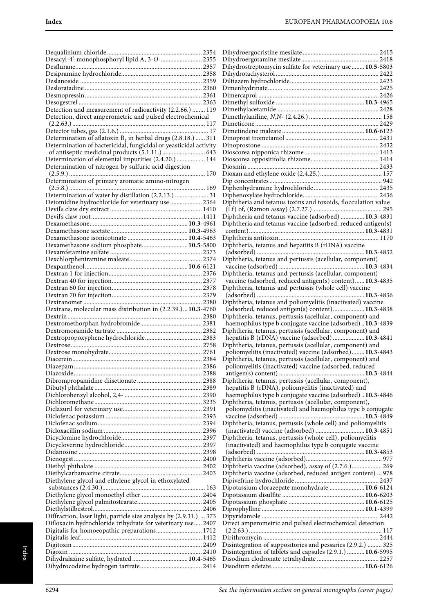| Desacyl-4'-monophosphoryl lipid A, 3-O- 2355                       |               |
|--------------------------------------------------------------------|---------------|
|                                                                    |               |
|                                                                    |               |
|                                                                    |               |
|                                                                    |               |
|                                                                    |               |
|                                                                    |               |
|                                                                    |               |
| Detection and measurement of radioactivity (2.2.66.)  119          |               |
|                                                                    |               |
| Detection, direct amperometric and pulsed electrochemical          |               |
|                                                                    |               |
|                                                                    |               |
| Determination of aflatoxin $B_1$ in herbal drugs (2.8.18.)  311    |               |
| Determination of bactericidal, fungicidal or yeasticidal activity  |               |
|                                                                    |               |
|                                                                    |               |
| Determination of elemental impurities (2.4.20.)  144               |               |
| Determination of nitrogen by sulfuric acid digestion               |               |
|                                                                    |               |
| Determination of primary aromatic amino-nitrogen                   |               |
|                                                                    |               |
|                                                                    |               |
| Determination of water by distillation (2.2.13.)  31               |               |
| Detomidine hydrochloride for veterinary use  2364                  |               |
|                                                                    |               |
|                                                                    |               |
|                                                                    |               |
|                                                                    |               |
|                                                                    |               |
|                                                                    |               |
| Dexamethasone sodium phosphate 10.5-5800                           |               |
|                                                                    |               |
|                                                                    |               |
|                                                                    |               |
|                                                                    |               |
|                                                                    |               |
|                                                                    |               |
|                                                                    |               |
|                                                                    |               |
|                                                                    |               |
|                                                                    |               |
| Dextrans, molecular mass distribution in (2.2.39.) 10.3-4760       |               |
|                                                                    |               |
|                                                                    |               |
|                                                                    |               |
|                                                                    |               |
|                                                                    |               |
|                                                                    |               |
|                                                                    |               |
|                                                                    |               |
|                                                                    | $\ldots$ 2386 |
|                                                                    |               |
|                                                                    |               |
|                                                                    |               |
|                                                                    |               |
|                                                                    |               |
|                                                                    |               |
|                                                                    |               |
|                                                                    |               |
|                                                                    |               |
|                                                                    |               |
|                                                                    |               |
|                                                                    |               |
|                                                                    |               |
|                                                                    |               |
|                                                                    |               |
|                                                                    |               |
|                                                                    |               |
|                                                                    |               |
| Diethylene glycol and ethylene glycol in ethoxylated               |               |
|                                                                    |               |
|                                                                    |               |
|                                                                    |               |
|                                                                    |               |
|                                                                    |               |
| Diffraction, laser light, particle size analysis by (2.9.31.)  373 |               |
|                                                                    |               |
| Difloxacin hydrochloride trihydrate for veterinary use 2407        |               |
|                                                                    |               |
| Digitalis for homoeopathic preparations 1712                       |               |
|                                                                    |               |
|                                                                    |               |
|                                                                    |               |
|                                                                    |               |

| Dihydrostreptomycin sulfate for veterinary use  10.5-5803                                                              |  |
|------------------------------------------------------------------------------------------------------------------------|--|
|                                                                                                                        |  |
|                                                                                                                        |  |
|                                                                                                                        |  |
|                                                                                                                        |  |
|                                                                                                                        |  |
|                                                                                                                        |  |
|                                                                                                                        |  |
|                                                                                                                        |  |
|                                                                                                                        |  |
|                                                                                                                        |  |
|                                                                                                                        |  |
|                                                                                                                        |  |
|                                                                                                                        |  |
|                                                                                                                        |  |
|                                                                                                                        |  |
| Diphtheria and tetanus toxins and toxoids, flocculation value                                                          |  |
|                                                                                                                        |  |
| Diphtheria and tetanus vaccine (adsorbed)  10.3-4831                                                                   |  |
| Diphtheria and tetanus vaccine (adsorbed, reduced antigen(s)                                                           |  |
|                                                                                                                        |  |
| Diphtheria, tetanus and hepatitis B (rDNA) vaccine                                                                     |  |
|                                                                                                                        |  |
| Diphtheria, tetanus and pertussis (acellular, component)                                                               |  |
|                                                                                                                        |  |
| Diphtheria, tetanus and pertussis (acellular, component)<br>vaccine (adsorbed, reduced antigen(s) content) 10.3-4835   |  |
| Diphtheria, tetanus and pertussis (whole cell) vaccine                                                                 |  |
|                                                                                                                        |  |
| Diphtheria, tetanus and poliomyelitis (inactivated) vaccine                                                            |  |
| (adsorbed, reduced antigen(s) content) 10.3-4838                                                                       |  |
| Diphtheria, tetanus, pertussis (acellular, component) and                                                              |  |
| haemophilus type b conjugate vaccine (adsorbed) 10.3-4839<br>Diphtheria, tetanus, pertussis (acellular, component) and |  |
| hepatitis B (rDNA) vaccine (adsorbed)  10.3-4841                                                                       |  |
| Diphtheria, tetanus, pertussis (acellular, component) and                                                              |  |
| poliomyelitis (inactivated) vaccine (adsorbed) 10.3-4843                                                               |  |
| Diphtheria, tetanus, pertussis (acellular, component) and                                                              |  |
| poliomyelitis (inactivated) vaccine (adsorbed, reduced                                                                 |  |
| Diphtheria, tetanus, pertussis (acellular, component),                                                                 |  |
| hepatitis B (rDNA), poliomyelitis (inactivated) and                                                                    |  |
| haemophilus type b conjugate vaccine (adsorbed) 10.3-4846                                                              |  |
|                                                                                                                        |  |
| Diphtheria, tetanus, pertussis (acellular, component),                                                                 |  |
| poliomyelitis (inactivated) and haemophilus type b conjugate                                                           |  |
|                                                                                                                        |  |
| Diphtheria, tetanus, pertussis (whole cell) and poliomyelitis                                                          |  |
| (inactivated) vaccine (adsorbed)  10.3-4851<br>Diphtheria, tetanus, pertussis (whole cell), poliomyelitis              |  |
| (inactivated) and haemophilus type b conjugate vaccine                                                                 |  |
|                                                                                                                        |  |
|                                                                                                                        |  |
| Diphtheria vaccine (adsorbed), assay of (2.7.6.) 269                                                                   |  |
| Diphtheria vaccine (adsorbed, reduced antigen content)  978                                                            |  |
| Dipotassium clorazepate monohydrate  10.6-6124                                                                         |  |
|                                                                                                                        |  |
|                                                                                                                        |  |
|                                                                                                                        |  |
|                                                                                                                        |  |
| Direct amperometric and pulsed electrochemical detection                                                               |  |
|                                                                                                                        |  |
| Disintegration of suppositories and pessaries (2.9.2.)  325                                                            |  |
| Disintegration of tablets and capsules (2.9.1.)  10.6-5995                                                             |  |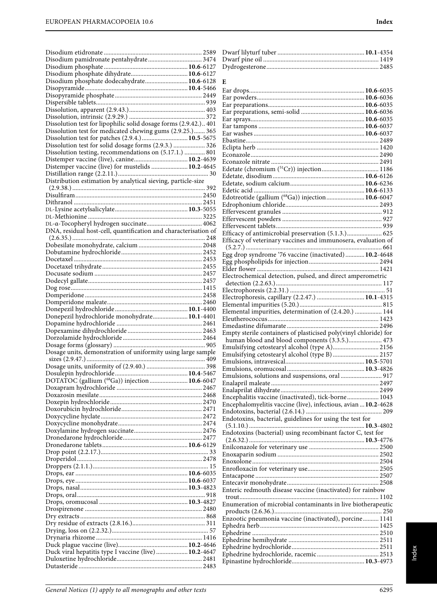| Disodium phosphate dodecahydrate 10.6-6128                                                                |  |
|-----------------------------------------------------------------------------------------------------------|--|
|                                                                                                           |  |
|                                                                                                           |  |
|                                                                                                           |  |
|                                                                                                           |  |
| Dissolution test for lipophilic solid dosage forms (2.9.42.) 401                                          |  |
| Dissolution test for medicated chewing gums (2.9.25.) 365                                                 |  |
| Dissolution test for patches (2.9.4.)  10.5-5675<br>Dissolution test for solid dosage forms (2.9.3.)  326 |  |
| Dissolution testing, recommendations on (5.17.1.)  801                                                    |  |
|                                                                                                           |  |
| Distemper vaccine (live) for mustelids  10.2-4645                                                         |  |
|                                                                                                           |  |
| Distribution estimation by analytical sieving, particle-size                                              |  |
|                                                                                                           |  |
|                                                                                                           |  |
|                                                                                                           |  |
|                                                                                                           |  |
|                                                                                                           |  |
| DNA, residual host-cell, quantification and characterisation of                                           |  |
|                                                                                                           |  |
|                                                                                                           |  |
|                                                                                                           |  |
|                                                                                                           |  |
|                                                                                                           |  |
|                                                                                                           |  |
|                                                                                                           |  |
|                                                                                                           |  |
|                                                                                                           |  |
|                                                                                                           |  |
| Donepezil hydrochloride monohydrate 10.1-4401                                                             |  |
|                                                                                                           |  |
|                                                                                                           |  |
|                                                                                                           |  |
| Dosage units, demonstration of uniformity using large sample                                              |  |
|                                                                                                           |  |
|                                                                                                           |  |
|                                                                                                           |  |
| DOTATOC (gallium (68Ga)) injection  10.6-6047                                                             |  |
|                                                                                                           |  |
|                                                                                                           |  |
|                                                                                                           |  |
|                                                                                                           |  |
|                                                                                                           |  |
|                                                                                                           |  |
|                                                                                                           |  |
|                                                                                                           |  |
|                                                                                                           |  |
|                                                                                                           |  |
|                                                                                                           |  |
|                                                                                                           |  |
|                                                                                                           |  |
|                                                                                                           |  |
|                                                                                                           |  |
|                                                                                                           |  |
|                                                                                                           |  |
|                                                                                                           |  |
|                                                                                                           |  |
| Duck viral hepatitis type I vaccine (live)  10.2-4647                                                     |  |

| E                                                                                                                    |  |
|----------------------------------------------------------------------------------------------------------------------|--|
|                                                                                                                      |  |
|                                                                                                                      |  |
|                                                                                                                      |  |
|                                                                                                                      |  |
|                                                                                                                      |  |
|                                                                                                                      |  |
|                                                                                                                      |  |
|                                                                                                                      |  |
|                                                                                                                      |  |
|                                                                                                                      |  |
|                                                                                                                      |  |
| Edotreotide (gallium (68Ga)) injection 10.6-6047                                                                     |  |
|                                                                                                                      |  |
|                                                                                                                      |  |
|                                                                                                                      |  |
| Efficacy of antimicrobial preservation (5.1.3.) 625<br>Efficacy of veterinary vaccines and immunosera, evaluation of |  |
| Egg drop syndrome '76 vaccine (inactivated) 10.2-4648                                                                |  |
|                                                                                                                      |  |
| Electrochemical detection, pulsed, and direct amperometric                                                           |  |
|                                                                                                                      |  |
|                                                                                                                      |  |
| Electrophoresis, capillary (2.2.47.)  10.1-4315                                                                      |  |
| Elemental impurities, determination of (2.4.20.)  144                                                                |  |
|                                                                                                                      |  |
| Empty sterile containers of plasticised poly(vinyl chloride) for                                                     |  |
| human blood and blood components (3.3.5.) 473                                                                        |  |
| Emulsifying cetostearyl alcohol (type A) 2156<br>Emulsifying cetostearyl alcohol (type B)  2157                      |  |
|                                                                                                                      |  |
|                                                                                                                      |  |
| Emulsions, solutions and suspensions, oral  917                                                                      |  |
|                                                                                                                      |  |
| Encephalitis vaccine (inactivated), tick-borne 1043                                                                  |  |
| Encephalomyelitis vaccine (live), infectious, avian  10.2-4628                                                       |  |
| Endotoxins, bacterial, guidelines for using the test for                                                             |  |
| Endotoxins (bacterial) using recombinant factor C, test for                                                          |  |
|                                                                                                                      |  |
|                                                                                                                      |  |
|                                                                                                                      |  |
|                                                                                                                      |  |
|                                                                                                                      |  |
| Enteric redmouth disease vaccine (inactivated) for rainbow                                                           |  |
| Enumeration of microbial contaminants in live biotherapeutic                                                         |  |
|                                                                                                                      |  |
| Enzootic pneumonia vaccine (inactivated), porcine 1141                                                               |  |
|                                                                                                                      |  |
|                                                                                                                      |  |
|                                                                                                                      |  |
|                                                                                                                      |  |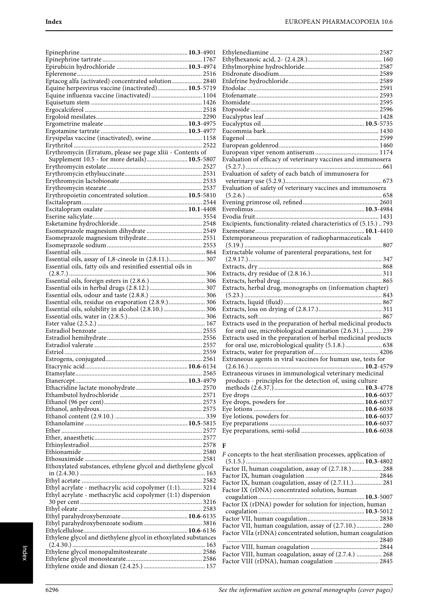| Eptacog alfa (activated) concentrated solution 2840                                                                  |  |
|----------------------------------------------------------------------------------------------------------------------|--|
| Equine herpesvirus vaccine (inactivated) 10.5-5719<br>Equine influenza vaccine (inactivated) 1104                    |  |
|                                                                                                                      |  |
|                                                                                                                      |  |
|                                                                                                                      |  |
|                                                                                                                      |  |
|                                                                                                                      |  |
| Erysipelas vaccine (inactivated), swine 1158                                                                         |  |
| Erythromycin (Erratum, please see page xliii - Contents of                                                           |  |
| Supplement 10.5 - for more details) 10.5-5807                                                                        |  |
|                                                                                                                      |  |
|                                                                                                                      |  |
|                                                                                                                      |  |
|                                                                                                                      |  |
| Erythropoietin concentrated solution 10.5-5810                                                                       |  |
|                                                                                                                      |  |
|                                                                                                                      |  |
|                                                                                                                      |  |
|                                                                                                                      |  |
|                                                                                                                      |  |
|                                                                                                                      |  |
|                                                                                                                      |  |
| Essential oils, assay of 1,8-cineole in (2.8.11.) 307<br>Essential oils, fatty oils and resinified essential oils in |  |
|                                                                                                                      |  |
|                                                                                                                      |  |
|                                                                                                                      |  |
|                                                                                                                      |  |
| Essential oils, residue on evaporation (2.8.9.) 306                                                                  |  |
| Essential oils, solubility in alcohol (2.8.10.)  306                                                                 |  |
|                                                                                                                      |  |
|                                                                                                                      |  |
|                                                                                                                      |  |
|                                                                                                                      |  |
|                                                                                                                      |  |
|                                                                                                                      |  |
|                                                                                                                      |  |
|                                                                                                                      |  |
|                                                                                                                      |  |
|                                                                                                                      |  |
|                                                                                                                      |  |
|                                                                                                                      |  |
|                                                                                                                      |  |
|                                                                                                                      |  |
|                                                                                                                      |  |
|                                                                                                                      |  |
|                                                                                                                      |  |
|                                                                                                                      |  |
|                                                                                                                      |  |
| Ethoxylated substances, ethylene glycol and diethylene glycol                                                        |  |
|                                                                                                                      |  |
|                                                                                                                      |  |
| Ethyl acrylate - methacrylic acid copolymer (1:1) 3214                                                               |  |
| Ethyl acrylate - methacrylic acid copolymer (1:1) dispersion                                                         |  |
|                                                                                                                      |  |
|                                                                                                                      |  |
|                                                                                                                      |  |
|                                                                                                                      |  |
| Ethylene glycol and diethylene glycol in ethoxylated substances                                                      |  |
|                                                                                                                      |  |
|                                                                                                                      |  |

| Evaluation of efficacy of veterinary vaccines and immunosera     |
|------------------------------------------------------------------|
|                                                                  |
| Evaluation of safety of each batch of immunosera for             |
|                                                                  |
| Evaluation of safety of veterinary vaccines and immunosera       |
|                                                                  |
|                                                                  |
|                                                                  |
|                                                                  |
| Excipients, functionality-related characteristics of (5.15.) 793 |
|                                                                  |
| Extemporaneous preparation of radiopharmaceuticals               |
|                                                                  |
| Extractable volume of parenteral preparations, test for          |
|                                                                  |
|                                                                  |
|                                                                  |
|                                                                  |
|                                                                  |
|                                                                  |
| Extracts, herbal drug, monographs on (information chapter)       |
|                                                                  |
|                                                                  |
|                                                                  |
| Extracts used in the preparation of herbal medicinal products    |
| for oral use, microbiological examination (2.6.31.)  239         |
| Extracts used in the preparation of herbal medicinal products    |
|                                                                  |
| for oral use, microbiological quality (5.1.8.)  638              |
|                                                                  |
| Extraneous agents in viral vaccines for human use, tests for     |
| Extraneous viruses in immunological veterinary medicinal         |
| products - principles for the detection of, using culture        |
|                                                                  |
|                                                                  |
|                                                                  |
|                                                                  |
|                                                                  |
|                                                                  |

# **F**

| F concepts to the heat sterilisation processes, application of |  |
|----------------------------------------------------------------|--|
|                                                                |  |
| Factor II, human coagulation, assay of (2.7.18.) 288           |  |
|                                                                |  |
| Factor IX, human coagulation, assay of (2.7.11.) 281           |  |
| Factor IX (rDNA) concentrated solution, human                  |  |
|                                                                |  |
| Factor IX (rDNA) powder for solution for injection, human      |  |
|                                                                |  |
|                                                                |  |
|                                                                |  |
| Factor VII, human coagulation, assay of (2.7.10.) 280          |  |
| Factor VIIa (rDNA) concentrated solution, human coagulation    |  |
|                                                                |  |
|                                                                |  |
| Factor VIII, human coagulation, assay of (2.7.4.)  268         |  |
| Factor VIII (rDNA), human coagulation  2845                    |  |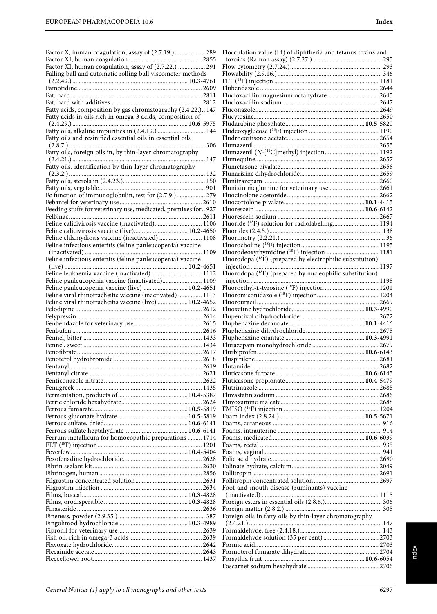| Factor X, human coagulation, assay of (2.7.19.)  289                                              | Flocculation value (Lf) of diphtheria and tetanus toxins and           |
|---------------------------------------------------------------------------------------------------|------------------------------------------------------------------------|
|                                                                                                   |                                                                        |
| Factor XI, human coagulation, assay of (2.7.22.)  291                                             |                                                                        |
| Falling ball and automatic rolling ball viscometer methods                                        |                                                                        |
|                                                                                                   |                                                                        |
|                                                                                                   |                                                                        |
|                                                                                                   | Flucloxacillin magnesium octahydrate  2645                             |
| Fatty acids, composition by gas chromatography (2.4.22.) 147                                      |                                                                        |
| Fatty acids in oils rich in omega-3 acids, composition of                                         |                                                                        |
|                                                                                                   |                                                                        |
| Fatty oils, alkaline impurities in (2.4.19.)  144                                                 |                                                                        |
| Fatty oils and resinified essential oils in essential oils                                        |                                                                        |
|                                                                                                   |                                                                        |
| Fatty oils, foreign oils in, by thin-layer chromatography                                         |                                                                        |
|                                                                                                   |                                                                        |
| Fatty oils, identification by thin-layer chromatography                                           |                                                                        |
|                                                                                                   |                                                                        |
|                                                                                                   | Flunixin meglumine for veterinary use  2661                            |
| Fc function of immunoglobulin, test for (2.7.9.) 279                                              |                                                                        |
|                                                                                                   |                                                                        |
| Feeding stuffs for veterinary use, medicated, premixes for 927                                    |                                                                        |
|                                                                                                   |                                                                        |
| Feline calicivirosis vaccine (inactivated) 1106                                                   | Fluoride ( <sup>18</sup> F) solution for radiolabelling 1194           |
|                                                                                                   |                                                                        |
| Feline chlamydiosis vaccine (inactivated)  1108                                                   |                                                                        |
| Feline infectious enteritis (feline panleucopenia) vaccine                                        |                                                                        |
|                                                                                                   | Fluorodeoxythymidine ( <sup>18</sup> F) injection  1181                |
| Feline infectious enteritis (feline panleucopenia) vaccine                                        | Fluorodopa ( <sup>18</sup> F) (prepared by electrophilic substitution) |
|                                                                                                   |                                                                        |
| Feline leukaemia vaccine (inactivated)  1112                                                      | Fluorodopa ( <sup>18</sup> F) (prepared by nucleophilic substitution)  |
| Feline panleucopenia vaccine (inactivated) 1109<br>Feline panleucopenia vaccine (live)  10.2-4651 |                                                                        |
| Feline viral rhinotracheitis vaccine (inactivated)  1113                                          |                                                                        |
| Feline viral rhinotracheitis vaccine (live)  10.2-4652                                            |                                                                        |
|                                                                                                   |                                                                        |
|                                                                                                   |                                                                        |
|                                                                                                   |                                                                        |
|                                                                                                   |                                                                        |
|                                                                                                   |                                                                        |
|                                                                                                   |                                                                        |
|                                                                                                   |                                                                        |
|                                                                                                   |                                                                        |
|                                                                                                   |                                                                        |
|                                                                                                   |                                                                        |
|                                                                                                   |                                                                        |
|                                                                                                   |                                                                        |
|                                                                                                   |                                                                        |
|                                                                                                   |                                                                        |
|                                                                                                   |                                                                        |
|                                                                                                   |                                                                        |
|                                                                                                   |                                                                        |
| Ferrum metallicum for homoeopathic preparations  1714                                             |                                                                        |
|                                                                                                   |                                                                        |
|                                                                                                   |                                                                        |
|                                                                                                   |                                                                        |
|                                                                                                   |                                                                        |
|                                                                                                   |                                                                        |
|                                                                                                   | Foot-and-mouth disease (ruminants) vaccine                             |
|                                                                                                   |                                                                        |
|                                                                                                   |                                                                        |
|                                                                                                   |                                                                        |
|                                                                                                   | Foreign oils in fatty oils by thin-layer chromatography                |
|                                                                                                   |                                                                        |
|                                                                                                   |                                                                        |
|                                                                                                   |                                                                        |
|                                                                                                   |                                                                        |
|                                                                                                   |                                                                        |
|                                                                                                   |                                                                        |
|                                                                                                   |                                                                        |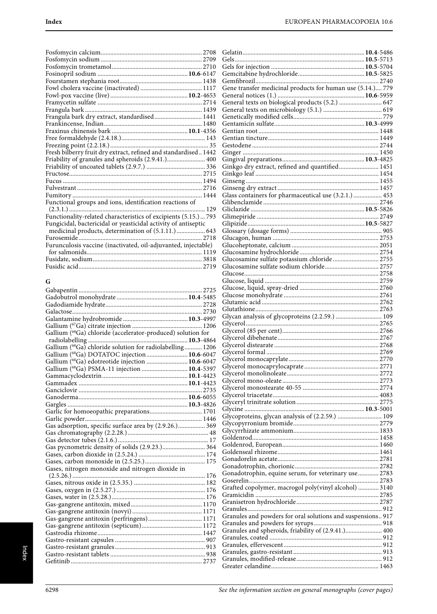| Frangula bark dry extract, standardised 1441<br>Fresh bilberry fruit dry extract, refined and standardised 1442<br>Friability of granules and spheroids (2.9.41.) 400<br>Functional groups and ions, identification reactions of<br>Functionality-related characteristics of excipients (5.15.) 793<br>Fungicidal, bactericidal or yeasticidal activity of antiseptic<br>Furosemide<br>Furunculosis vaccine (inactivated, oil-adjuvanted, injectable) |  |
|-------------------------------------------------------------------------------------------------------------------------------------------------------------------------------------------------------------------------------------------------------------------------------------------------------------------------------------------------------------------------------------------------------------------------------------------------------|--|
|                                                                                                                                                                                                                                                                                                                                                                                                                                                       |  |
|                                                                                                                                                                                                                                                                                                                                                                                                                                                       |  |
|                                                                                                                                                                                                                                                                                                                                                                                                                                                       |  |
|                                                                                                                                                                                                                                                                                                                                                                                                                                                       |  |
|                                                                                                                                                                                                                                                                                                                                                                                                                                                       |  |
|                                                                                                                                                                                                                                                                                                                                                                                                                                                       |  |
|                                                                                                                                                                                                                                                                                                                                                                                                                                                       |  |
|                                                                                                                                                                                                                                                                                                                                                                                                                                                       |  |
|                                                                                                                                                                                                                                                                                                                                                                                                                                                       |  |
|                                                                                                                                                                                                                                                                                                                                                                                                                                                       |  |
|                                                                                                                                                                                                                                                                                                                                                                                                                                                       |  |
|                                                                                                                                                                                                                                                                                                                                                                                                                                                       |  |
|                                                                                                                                                                                                                                                                                                                                                                                                                                                       |  |
|                                                                                                                                                                                                                                                                                                                                                                                                                                                       |  |
|                                                                                                                                                                                                                                                                                                                                                                                                                                                       |  |
|                                                                                                                                                                                                                                                                                                                                                                                                                                                       |  |
|                                                                                                                                                                                                                                                                                                                                                                                                                                                       |  |
|                                                                                                                                                                                                                                                                                                                                                                                                                                                       |  |
|                                                                                                                                                                                                                                                                                                                                                                                                                                                       |  |
|                                                                                                                                                                                                                                                                                                                                                                                                                                                       |  |
|                                                                                                                                                                                                                                                                                                                                                                                                                                                       |  |
|                                                                                                                                                                                                                                                                                                                                                                                                                                                       |  |
|                                                                                                                                                                                                                                                                                                                                                                                                                                                       |  |
|                                                                                                                                                                                                                                                                                                                                                                                                                                                       |  |
|                                                                                                                                                                                                                                                                                                                                                                                                                                                       |  |
|                                                                                                                                                                                                                                                                                                                                                                                                                                                       |  |
|                                                                                                                                                                                                                                                                                                                                                                                                                                                       |  |
|                                                                                                                                                                                                                                                                                                                                                                                                                                                       |  |
|                                                                                                                                                                                                                                                                                                                                                                                                                                                       |  |
|                                                                                                                                                                                                                                                                                                                                                                                                                                                       |  |
|                                                                                                                                                                                                                                                                                                                                                                                                                                                       |  |

# **G**

| Gallium (68Ga) chloride (accelerator-produced) solution for |  |
|-------------------------------------------------------------|--|
|                                                             |  |
| Gallium (68Ga) chloride solution for radiolabelling 1206    |  |
| Gallium (68Ga) DOTATOC injection  10.6-6047                 |  |
| Gallium (68Ga) edotreotide injection  10.6-6047             |  |
| Gallium (68Ga) PSMA-11 injection  10.4-5397                 |  |
|                                                             |  |
|                                                             |  |
|                                                             |  |
|                                                             |  |
|                                                             |  |
| Garlic for homoeopathic preparations 1701                   |  |
|                                                             |  |
| Gas adsorption, specific surface area by (2.9.26.) 369      |  |
|                                                             |  |
|                                                             |  |
| Gas pycnometric density of solids (2.9.23.) 364             |  |
|                                                             |  |
|                                                             |  |
| Gases, nitrogen monoxide and nitrogen dioxide in            |  |
|                                                             |  |
|                                                             |  |
|                                                             |  |
|                                                             |  |
|                                                             |  |
|                                                             |  |
| Gas-gangrene antitoxin (perfringens) 1171                   |  |
|                                                             |  |
|                                                             |  |
|                                                             |  |
|                                                             |  |
|                                                             |  |
|                                                             |  |

| Gene transfer medicinal products for human use (5.14.) 779  |  |
|-------------------------------------------------------------|--|
|                                                             |  |
|                                                             |  |
|                                                             |  |
|                                                             |  |
|                                                             |  |
|                                                             |  |
|                                                             |  |
|                                                             |  |
|                                                             |  |
|                                                             |  |
| Ginkgo dry extract, refined and quantified 1451             |  |
|                                                             |  |
|                                                             |  |
|                                                             |  |
| Glass containers for pharmaceutical use (3.2.1.)  453       |  |
|                                                             |  |
|                                                             |  |
|                                                             |  |
|                                                             |  |
|                                                             |  |
|                                                             |  |
|                                                             |  |
| Glucosamine sulfate potassium chloride 2755                 |  |
|                                                             |  |
|                                                             |  |
|                                                             |  |
|                                                             |  |
|                                                             |  |
|                                                             |  |
|                                                             |  |
| Glycan analysis of glycoproteins (2.2.59.)  109             |  |
|                                                             |  |
|                                                             |  |
|                                                             |  |
|                                                             |  |
|                                                             |  |
|                                                             |  |
|                                                             |  |
|                                                             |  |
|                                                             |  |
|                                                             |  |
|                                                             |  |
|                                                             |  |
| Glycoproteins, glycan analysis of (2.2.59.)  109            |  |
|                                                             |  |
|                                                             |  |
|                                                             |  |
|                                                             |  |
|                                                             |  |
|                                                             |  |
|                                                             |  |
| Gonadotrophin, equine serum, for veterinary use 2783        |  |
|                                                             |  |
| Grafted copolymer, macrogol poly(vinyl alcohol)  3140       |  |
|                                                             |  |
|                                                             |  |
| Granules and powders for oral solutions and suspensions 917 |  |
|                                                             |  |
| Granules and spheroids, friability of (2.9.41.) 400         |  |
|                                                             |  |
|                                                             |  |
|                                                             |  |
|                                                             |  |
|                                                             |  |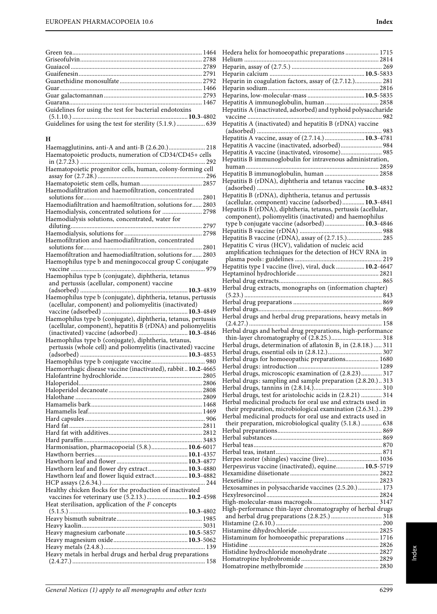**H**

Green tea.................................................................................. 1464 Griseofulvin............................................................................. 2788 Guaiacol ................................................................................... 2789 Guaifenesin.............................................................................. 2791 Guanethidine monosulfate .................................................... 2792 Guar.......................................................................................... 1466 Guar galactomannan .............................................................. 2793 Guarana.................................................................................... 1467 Guidelines for using the test for bacterial endotoxins

(5.1.10.) .........................................................................**10.3**-4802 Guidelines for using the test for sterility (5.1.9.) .................. 639

Haemagglutinins, anti-A and anti-B (2.6.20.)....................... 218 Haematopoietic products, numeration of CD34/CD45+ cells in (2.7.23.) ............................................................................... 292 Haematopoietic progenitor cells, human, colony-forming cell assay for (2.7.28.) .................................................................... 296 Haematopoietic stem cells, human....................................... 2857 Haemodiafiltration and haemofiltration, concentrated solutions for........................................................................... 2801 Haemodiafiltration and haemofiltration, solutions for...... 2803 Haemodialysis, concentrated solutions for ......................... 2798

diluting................................................................................... 2797 Haemodialysis, solutions for ................................................. 2798 Haemofiltration and haemodiafiltration, concentrated solutions for 2801 Haemofiltration and haemodiafiltration, solutions for...... 2803 Haemophilus type b and meningococcal group C conjugate vaccine ..................................................................................... 979

(adsorbed) ....................................................................**10.3**-4839 Haemophilus type b (conjugate), diphtheria, tetanus, pertussis (acellular, component) and poliomyelitis (inactivated) vaccine (adsorbed) ......................................................**10.3**-4849 Haemophilus type b (conjugate), diphtheria, tetanus, pertussis (acellular, component), hepatitis B (rDNA) and poliomyelitis (inactivated) vaccine (adsorbed) ...............................**10.3**-4846

pertussis (whole cell) and poliomyelitis (inactivated) vaccine (adsorbed) ....................................................................**10.3**-4853 Haemophilus type b conjugate vaccine.................................. 980 Haemorrhagic disease vaccine (inactivated), rabbit ..**10.2**-4665 Halofantrine hydrochloride................................................... 2805 Haloperidol.............................................................................. 2806 Haloperidol decanoate ........................................................... 2808 Halothane ................................................................................ 2809 Hamamelis bark...................................................................... 1468 Hamamelis leaf........................................................................ 1469 Hard capsules ............................................................................ 906 Hard fat .................................................................................... 2811 Hard fat with additives........................................................... 2812 Hard paraffin........................................................................... 3483 Harmonisation, pharmacopoeial (5.8.).......................**10.6**-6017 Hawthorn berries...........................................................**10.1**-4357 Hawthorn leaf and flower .............................................**10.3**-4877 Hawthorn leaf and flower dry extract.........................**10.3**-4880 Hawthorn leaf and flower liquid extract.....................**10.3**-4882 HCP assays (2.6.34.) ................................................................. 244 Healthy chicken flocks for the production of inactivated vaccines for veterinary use (5.2.13.)..........................**10.2**-4598

Haemodialysis solutions, concentrated, water for

Haemophilus type b (conjugate), diphtheria, tetanus and pertussis (acellular, component) vaccine

Haemophilus type b (conjugate), diphtheria, tetanus,

(5.1.5.) ...........................................................................**10.3**-4802 Heavy bismuth subnitrate...................................................... 1985 Heavy kaolin............................................................................ 3031 Heavy magnesium carbonate .......................................**10.5**-5857 Heavy magnesium oxide...............................................**10.3**-5062 Heavy metals (2.4.8.)................................................................ 139 Heavy metals in herbal drugs and herbal drug preparations (2.4.27.) .................................................................................... 158

Heat sterilisation, application of the  $F$  concepts

| Hedera helix for homoeopathic preparations 1715                  |
|------------------------------------------------------------------|
|                                                                  |
|                                                                  |
|                                                                  |
| Heparin in coagulation factors, assay of (2.7.12.) 281           |
|                                                                  |
|                                                                  |
|                                                                  |
| Hepatitis A immunoglobulin, human 2858                           |
| Hepatitis A (inactivated, adsorbed) and typhoid polysaccharide   |
|                                                                  |
| Hepatitis A (inactivated) and hepatitis B (rDNA) vaccine         |
|                                                                  |
|                                                                  |
| Hepatitis A vaccine, assay of (2.7.14.)  10.3-4781               |
| Hepatitis A vaccine (inactivated, adsorbed) 984                  |
| Hepatitis A vaccine (inactivated, virosome) 985                  |
| Hepatitis B immunoglobulin for intravenous administration,       |
|                                                                  |
| Hepatitis B immunoglobulin, human  2858                          |
| Hepatitis B (rDNA), diphtheria and tetanus vaccine               |
|                                                                  |
|                                                                  |
| Hepatitis B (rDNA), diphtheria, tetanus and pertussis            |
| (acellular, component) vaccine (adsorbed) 10.3-4841              |
| Hepatitis B (rDNA), diphtheria, tetanus, pertussis (acellular,   |
| component), poliomyelitis (inactivated) and haemophilus          |
| type b conjugate vaccine (adsorbed)  10.3-4846                   |
|                                                                  |
| Hepatitis B vaccine (rDNA), assay of (2.7.15.) 285               |
|                                                                  |
| Hepatitis C virus (HCV), validation of nucleic acid              |
| amplification techniques for the detection of HCV RNA in         |
|                                                                  |
| Hepatitis type I vaccine (live), viral, duck  10.2-4647          |
|                                                                  |
|                                                                  |
| Herbal drug extracts, monographs on (information chapter)        |
|                                                                  |
|                                                                  |
|                                                                  |
|                                                                  |
| Herbal drugs and herbal drug preparations, heavy metals in       |
|                                                                  |
| Herbal drugs and herbal drug preparations, high-performance      |
|                                                                  |
|                                                                  |
| Herbal drugs, determination of aflatoxin $B_1$ in (2.8.18.)  311 |
|                                                                  |
| Herbal drugs for homoeopathic preparations 1680                  |
|                                                                  |
| Herbal drugs, microscopic examination of (2.8.23) 317            |
| Herbal drugs: sampling and sample preparation (2.8.20.)313       |
|                                                                  |
| Herbal drugs, test for aristolochic acids in (2.8.21)  314       |
|                                                                  |
| Herbal medicinal products for oral use and extracts used in      |
| their preparation, microbiological examination (2.6.31.) 239     |
| Herbal medicinal products for oral use and extracts used in      |
| their preparation, microbiological quality (5.1.8.)  638         |
|                                                                  |
|                                                                  |
|                                                                  |
|                                                                  |
|                                                                  |
| Herpes zoster (shingles) vaccine (live) 1036                     |
| Herpesvirus vaccine (inactivated), equine 10.5-5719              |
|                                                                  |
|                                                                  |
| Hexosamines in polysaccharide vaccines (2.5.20.) 173             |
|                                                                  |
|                                                                  |
|                                                                  |
|                                                                  |
| High-performance thin-layer chromatography of herbal drugs       |
|                                                                  |
|                                                                  |
|                                                                  |
|                                                                  |
| Histaminum for homoeopathic preparations  1716                   |
|                                                                  |
| Histidine hydrochloride monohydrate  2827                        |
|                                                                  |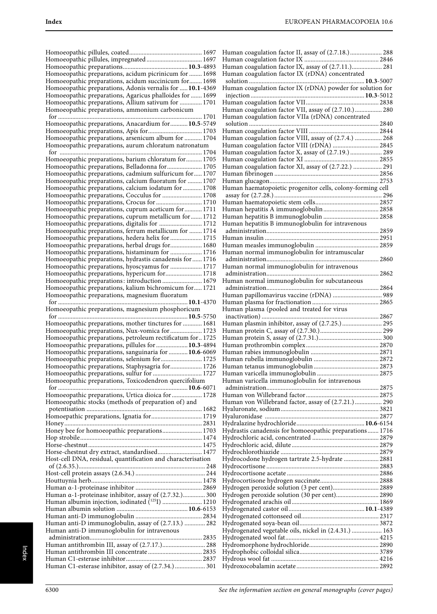|                                                                                                                 | Human coagulation factor II, assay of (2.7.18.) 288        |
|-----------------------------------------------------------------------------------------------------------------|------------------------------------------------------------|
|                                                                                                                 |                                                            |
|                                                                                                                 | Human coagulation factor IX, assay of (2.7.11.) 281        |
| Homoeopathic preparations, acidum picrinicum for  1698                                                          | Human coagulation factor IX (rDNA) concentrated            |
| Homoeopathic preparations, acidum succinicum for 1698                                                           |                                                            |
| Homoeopathic preparations, Adonis vernalis for  10.1-4369                                                       | Human coagulation factor IX (rDNA) powder for solution for |
| Homoeopathic preparations, Agaricus phalloides for  1699<br>Homoeopathic preparations, Allium sativum for  1701 |                                                            |
| Homoeopathic preparations, ammonium carbonicum                                                                  | Human coagulation factor VII, assay of (2.7.10.) 280       |
|                                                                                                                 | Human coagulation factor VIIa (rDNA) concentrated          |
| Homoeopathic preparations, Anacardium for 10.5-5749                                                             |                                                            |
| Homoeopathic preparations, Apis for 1703                                                                        |                                                            |
| Homoeopathic preparations, arsenicum album for  1704                                                            | Human coagulation factor VIII, assay of (2.7.4.)  268      |
| Homoeopathic preparations, aurum chloratum natronatum                                                           | Human coagulation factor VIII (rDNA)  2845                 |
| Homoeopathic preparations, barium chloratum for 1705                                                            | Human coagulation factor X, assay of (2.7.19.)  289        |
| Homoeopathic preparations, Belladonna for 1705                                                                  | Human coagulation factor XI, assay of (2.7.22.)  291       |
| Homoeopathic preparations, cadmium sulfuricum for 1707                                                          |                                                            |
| Homoeopathic preparations, calcium fluoratum for  1707                                                          |                                                            |
| Homoeopathic preparations, calcium iodatum for  1708                                                            | Human haematopoietic progenitor cells, colony-forming cell |
|                                                                                                                 |                                                            |
| Homoeopathic preparations, Crocus for  1710                                                                     |                                                            |
| Homoeopathic preparations, cuprum aceticum for  1711                                                            |                                                            |
| Homoeopathic preparations, cuprum metallicum for 1712<br>Homoeopathic preparations, digitalis for  1712         | Human hepatitis B immunoglobulin for intravenous           |
| Homoeopathic preparations, ferrum metallicum for  1714                                                          |                                                            |
| Homoeopathic preparations, hedera helix for  1715                                                               |                                                            |
| Homoeopathic preparations, herbal drugs for 1680                                                                |                                                            |
| Homoeopathic preparations, histaminum for  1716                                                                 | Human normal immunoglobulin for intramuscular              |
| Homoeopathic preparations, hydrastis canadensis for  1716                                                       |                                                            |
| Homoeopathic preparations, hyoscyamus for  1717                                                                 | Human normal immunoglobulin for intravenous                |
| Homoeopathic preparations, hypericum for 1718<br>Homoeopathic preparations: introduction 1679                   | Human normal immunoglobulin for subcutaneous               |
| Homoeopathic preparations, kalium bichromicum for 1721                                                          |                                                            |
| Homoeopathic preparations, magnesium fluoratum                                                                  | Human papillomavirus vaccine (rDNA)  989                   |
|                                                                                                                 |                                                            |
| Homoeopathic preparations, magnesium phosphoricum                                                               | Human plasma (pooled and treated for virus                 |
|                                                                                                                 | Human plasmin inhibitor, assay of (2.7.25.) 295            |
| Homoeopathic preparations, mother tinctures for  1681<br>Homoeopathic preparations, Nux-vomica for  1723        |                                                            |
| Homoeopathic preparations, petroleum rectificatum for 1725                                                      |                                                            |
| Homoeopathic preparations, pillules for  10.3-4894                                                              |                                                            |
| Homoeopathic preparations, sanguinaria for  10.6-6069                                                           |                                                            |
|                                                                                                                 |                                                            |
| Homoeopathic preparations, Staphysagria for 1726                                                                |                                                            |
| Homoeopathic preparations, sulfur for  1727<br>Homoeopathic preparations, Toxicodendron quercifolium            | Human varicella immunoglobulin for intravenous             |
|                                                                                                                 |                                                            |
| Homoeopathic preparations, Urtica dioica for  1728                                                              |                                                            |
| Homoeopathic stocks (methods of preparation of) and                                                             | Human von Willebrand factor, assay of (2.7.21.) 290        |
|                                                                                                                 |                                                            |
| Homoepathic preparations, Ignatia for 1719                                                                      |                                                            |
| Honey bee for homoeopathic preparations 1703                                                                    | Hydrastis canadensis for homoeopathic preparations 1716    |
|                                                                                                                 |                                                            |
|                                                                                                                 |                                                            |
| Horse-chestnut dry extract, standardised 1477                                                                   |                                                            |
| Host-cell DNA, residual, quantification and characterisation                                                    | Hydrocodone hydrogen tartrate 2.5-hydrate  2881            |
|                                                                                                                 |                                                            |
|                                                                                                                 |                                                            |
|                                                                                                                 |                                                            |
| Human a-1-proteinase inhibitor, assay of (2.7.32.) 300                                                          | Hydrogen peroxide solution (30 per cent) 2890              |
|                                                                                                                 |                                                            |
|                                                                                                                 |                                                            |
|                                                                                                                 |                                                            |
| Human anti-D immunoglobulin, assay of (2.7.13.)  282                                                            |                                                            |
| Human anti-D immunoglobulin for intravenous                                                                     | Hydrogenated vegetable oils, nickel in (2.4.31.)  163      |
| Human antithrombin III, assay of (2.7.17.) 288                                                                  |                                                            |
|                                                                                                                 |                                                            |
|                                                                                                                 |                                                            |
| Human C1-esterase inhibitor, assay of (2.7.34.)  301                                                            |                                                            |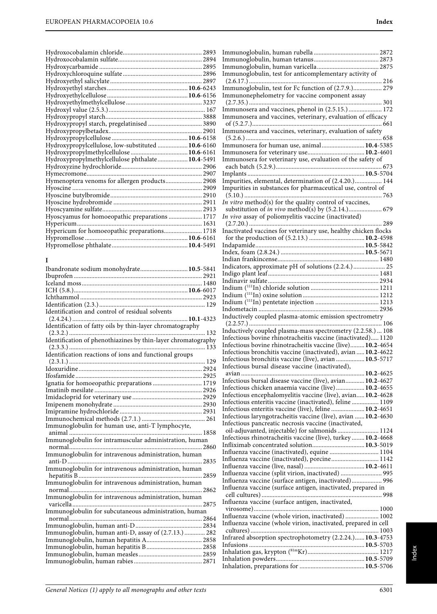| Hydroxypropyl starch, pregelatinised  3890         |  |
|----------------------------------------------------|--|
|                                                    |  |
|                                                    |  |
| Hydroxypropylcellulose, low-substituted  10.6-6160 |  |
|                                                    |  |
| Hydroxypropylmethylcellulose phthalate 10.4-5491   |  |
|                                                    |  |
|                                                    |  |
| Hymenoptera venoms for allergen products 2908      |  |
|                                                    |  |
|                                                    |  |
|                                                    |  |
|                                                    |  |
| Hyoscyamus for homoeopathic preparations  1717     |  |
|                                                    |  |
| Hypericum for homoeopathic preparations 1718       |  |
|                                                    |  |
|                                                    |  |

# **I**

| Ibandronate sodium monohydrate 10.5-5841                      |  |
|---------------------------------------------------------------|--|
|                                                               |  |
|                                                               |  |
|                                                               |  |
|                                                               |  |
|                                                               |  |
| Identification and control of residual solvents               |  |
|                                                               |  |
| Identification of fatty oils by thin-layer chromatography     |  |
|                                                               |  |
| Identification of phenothiazines by thin-layer chromatography |  |
|                                                               |  |
| Identification reactions of ions and functional groups        |  |
|                                                               |  |
|                                                               |  |
|                                                               |  |
| Ignatia for homoeopathic preparations  1719                   |  |
|                                                               |  |
|                                                               |  |
|                                                               |  |
|                                                               |  |
|                                                               |  |
| Immunoglobulin for human use, anti-T lymphocyte,              |  |
| Immunoglobulin for intramuscular administration, human        |  |
|                                                               |  |
| Immunoglobulin for intravenous administration, human          |  |
|                                                               |  |
| Immunoglobulin for intravenous administration, human          |  |
|                                                               |  |
| Immunoglobulin for intravenous administration, human          |  |
|                                                               |  |
| Immunoglobulin for intravenous administration, human          |  |
|                                                               |  |
| Immunoglobulin for subcutaneous administration, human         |  |
|                                                               |  |
| Immunoglobulin, human anti-D, assay of (2.7.13.)  282         |  |
|                                                               |  |
| Immunoglobulin, human hepatitis B 2858                        |  |
|                                                               |  |
|                                                               |  |
|                                                               |  |

| Immunoglobulin, test for anticomplementary activity of          |  |
|-----------------------------------------------------------------|--|
|                                                                 |  |
| Immunoglobulin, test for Fc function of (2.7.9.) 279            |  |
| Immunonephelometry for vaccine component assay                  |  |
|                                                                 |  |
| Immunosera and vaccines, phenol in (2.5.15.)  172               |  |
| Immunosera and vaccines, veterinary, evaluation of efficacy     |  |
|                                                                 |  |
| Immunosera and vaccines, veterinary, evaluation of safety       |  |
|                                                                 |  |
| Immunosera for human use, animal 10.4-5385                      |  |
|                                                                 |  |
| Immunosera for veterinary use, evaluation of the safety of      |  |
|                                                                 |  |
|                                                                 |  |
| Impurities, elemental, determination of (2.4.20.) 144           |  |
| Impurities in substances for pharmaceutical use, control of     |  |
| In vitro method(s) for the quality control of vaccines,         |  |
| substitution of <i>in vivo</i> method(s) by (5.2.14.) 679       |  |
| In vivo assay of poliomyelitis vaccine (inactivated)            |  |
|                                                                 |  |
| Inactivated vaccines for veterinary use, healthy chicken flocks |  |
|                                                                 |  |
|                                                                 |  |
|                                                                 |  |
|                                                                 |  |
| Indicators, approximate pH of solutions (2.2.4.) 25             |  |
|                                                                 |  |
|                                                                 |  |
|                                                                 |  |
|                                                                 |  |
|                                                                 |  |
|                                                                 |  |
|                                                                 |  |
|                                                                 |  |
| Inductively coupled plasma-atomic emission spectrometry         |  |
| Inductively coupled plasma-mass spectrometry (2.2.58.)  108     |  |
| Infectious bovine rhinotracheitis vaccine (inactivated) 1120    |  |
| Infectious bovine rhinotracheitis vaccine (live) 10.2-4654      |  |
| Infectious bronchitis vaccine (inactivated), avian  10.2-4622   |  |
| Infectious bronchitis vaccine (live), avian  10.5-5717          |  |
| Infectious bursal disease vaccine (inactivated),                |  |
| avian                                                           |  |
| Infectious bursal disease vaccine (live), avian 10.2-4627       |  |
| Infectious chicken anaemia vaccine (live) 10.2-4655             |  |
| Infectious encephalomyelitis vaccine (live), avian 10.2-4628    |  |
| Infectious enteritis vaccine (inactivated), feline  1109        |  |
| Infectious enteritis vaccine (live), feline  10.2-4651          |  |
| Infectious laryngotracheitis vaccine (live), avian  10.2-4630   |  |
| Infectious pancreatic necrosis vaccine (inactivated,            |  |
| oil-adjuvanted, injectable) for salmonids  1124                 |  |
| Infectious rhinotracheitis vaccine (live), turkey  10.2-4668    |  |
| Infliximab concentrated solution 10.3-5019                      |  |
| Influenza vaccine (inactivated), equine  1104                   |  |
| Influenza vaccine (inactivated), porcine 1142                   |  |
|                                                                 |  |
| Influenza vaccine (split virion, inactivated)  995              |  |
| Influenza vaccine (surface antigen, inactivated) 996            |  |
| Influenza vaccine (surface antigen, inactivated, prepared in    |  |
|                                                                 |  |
| Influenza vaccine (surface antigen, inactivated,                |  |
|                                                                 |  |
| Influenza vaccine (whole virion, inactivated)  1002             |  |
| Influenza vaccine (whole virion, inactivated, prepared in cell  |  |
|                                                                 |  |
| Infrared absorption spectrophotometry (2.2.24.) 10.3-4753       |  |
|                                                                 |  |
|                                                                 |  |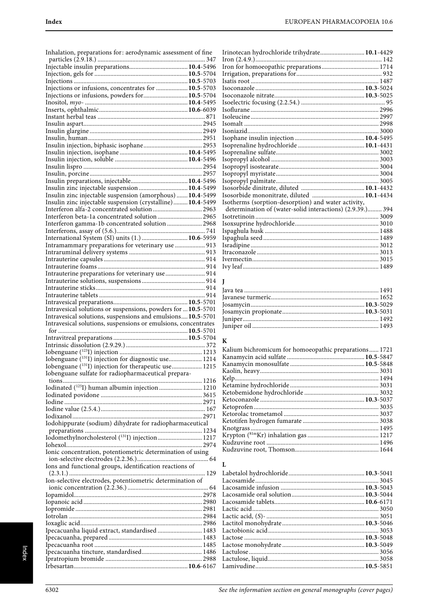| Inhalation, preparations for: aerodynamic assessment of fine      | Iı       |
|-------------------------------------------------------------------|----------|
|                                                                   | Iı       |
|                                                                   | Iı<br>Iı |
|                                                                   | Is       |
| Injections or infusions, concentrates for  10.5-5703              | Is       |
| Injections or infusions, powders for 10.5-5704                    | Is       |
|                                                                   | Is       |
|                                                                   | Is       |
|                                                                   | Is       |
|                                                                   | Is<br>Is |
|                                                                   | Is       |
|                                                                   | Is       |
|                                                                   | Is       |
|                                                                   | Is       |
|                                                                   | Is       |
|                                                                   | Is       |
| Insulin zinc injectable suspension  10.4-5499                     | Is<br>Is |
| Insulin zinc injectable suspension (amorphous)  10.4-5499         | Is       |
| Insulin zinc injectable suspension (crystalline) 10.4-5499        | Is       |
| Interferon alfa-2 concentrated solution  2963                     |          |
| Interferon beta-1a concentrated solution  2965                    | Is       |
| Interferon gamma-1b concentrated solution  2968                   | Is       |
|                                                                   | Is       |
| International System (SI) units (1.)  10.6-5959                   | Is       |
| Intramammary preparations for veterinary use  913                 | Is<br>It |
|                                                                   | I۱       |
|                                                                   | I۱       |
| Intrauterine preparations for veterinary use  914                 |          |
|                                                                   | L        |
|                                                                   |          |
|                                                                   |          |
|                                                                   | Ja<br>Ja |
|                                                                   | Jc       |
| Intravesical solutions or suspensions, powders for  10.5-5701     | Jc       |
| Intravesical solutions, suspensions and emulsions 10.5-5701       | Jı       |
| Intravesical solutions, suspensions or emulsions, concentrates    | Jı       |
|                                                                   |          |
|                                                                   | K        |
|                                                                   | K        |
| Iobenguane (131I) injection for diagnostic use 1214               | К        |
| Iobenguane (131 <sub>I</sub> ) injection for therapeutic use 1215 | К        |
| Iobenguane sulfate for radiopharmaceutical prepara-               | K        |
| tions                                                             | K<br>K   |
| Iodinated ( <sup>125</sup> I) human albumin injection  1210       | K        |
|                                                                   | K        |
|                                                                   | K        |
|                                                                   | K        |
| Iodohippurate (sodium) dihydrate for radiopharmaceutical          | K        |
|                                                                   | K        |
| Iodomethylnorcholesterol (131I) injection 1217                    | K<br>K   |
|                                                                   | K        |
| Ionic concentration, potentiometric determination of using        |          |
| Ions and functional groups, identification reactions of           | L        |
|                                                                   | L        |
| Ion-selective electrodes, potentiometric determination of         | L<br>L   |
|                                                                   | L        |
|                                                                   | L        |
|                                                                   | L        |
|                                                                   | L        |
|                                                                   | L        |
| Ipecacuanha liquid extract, standardised  1483                    | L        |
|                                                                   | L        |
|                                                                   | L<br>L   |
|                                                                   | L        |

| Irinotecan hydrochloride trihydrate 10.1-4429             |  |
|-----------------------------------------------------------|--|
|                                                           |  |
|                                                           |  |
|                                                           |  |
|                                                           |  |
|                                                           |  |
|                                                           |  |
|                                                           |  |
|                                                           |  |
|                                                           |  |
|                                                           |  |
|                                                           |  |
|                                                           |  |
|                                                           |  |
|                                                           |  |
|                                                           |  |
|                                                           |  |
|                                                           |  |
|                                                           |  |
|                                                           |  |
| Isosorbide mononitrate, diluted  10.1-4434                |  |
| Isotherms (sorption-desorption) and water activity,       |  |
| determination of (water-solid interactions) (2.9.39.) 394 |  |
|                                                           |  |
|                                                           |  |
|                                                           |  |
|                                                           |  |
|                                                           |  |
|                                                           |  |
|                                                           |  |
|                                                           |  |

#### Java tea ..................................................................................... 1491 Javanese turmeric.................................................................... 1652 Josamycin........................................................................**10.3**-5029 Josamycin propionate....................................................**10.3**-5031 Juniper...................................................................................... 1492 Juniper oil ................................................................................ 1493

#### **K**

| Kalium bichromicum for homoeopathic preparations 1721 |  |
|-------------------------------------------------------|--|
|                                                       |  |
|                                                       |  |
|                                                       |  |
|                                                       |  |
|                                                       |  |
|                                                       |  |
|                                                       |  |
|                                                       |  |
|                                                       |  |
|                                                       |  |
|                                                       |  |
|                                                       |  |
|                                                       |  |
|                                                       |  |

#### **L**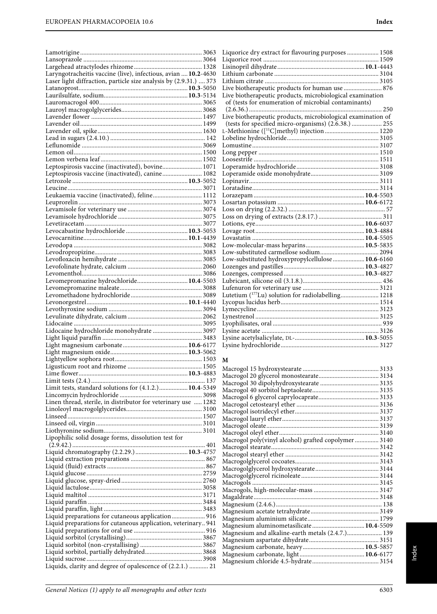| Laryngotracheitis vaccine (live), infectious, avian  10.2-4630    |  |
|-------------------------------------------------------------------|--|
| Laser light diffraction, particle size analysis by (2.9.31.)  373 |  |
|                                                                   |  |
|                                                                   |  |
|                                                                   |  |
|                                                                   |  |
|                                                                   |  |
|                                                                   |  |
|                                                                   |  |
|                                                                   |  |
|                                                                   |  |
|                                                                   |  |
| Leptospirosis vaccine (inactivated), bovine 1071                  |  |
| Leptospirosis vaccine (inactivated), canine 1082                  |  |
|                                                                   |  |
|                                                                   |  |
| Leukaemia vaccine (inactivated), feline 1112                      |  |
|                                                                   |  |
|                                                                   |  |
|                                                                   |  |
|                                                                   |  |
|                                                                   |  |
|                                                                   |  |
|                                                                   |  |
|                                                                   |  |
|                                                                   |  |
|                                                                   |  |
| Levomepromazine hydrochloride 10.4-5503                           |  |
|                                                                   |  |
|                                                                   |  |
|                                                                   |  |
|                                                                   |  |
|                                                                   |  |
|                                                                   |  |
| Lidocaine hydrochloride monohydrate  3097                         |  |
|                                                                   |  |
|                                                                   |  |
|                                                                   |  |
|                                                                   |  |
|                                                                   |  |
|                                                                   |  |
| Limit tests, standard solutions for (4.1.2.) 10.4-5349            |  |
|                                                                   |  |
| Linen thread, sterile, in distributor for veterinary use  1282    |  |
|                                                                   |  |
|                                                                   |  |
|                                                                   |  |
|                                                                   |  |
| Lipophilic solid dosage forms, dissolution test for               |  |
|                                                                   |  |
|                                                                   |  |
|                                                                   |  |
|                                                                   |  |
|                                                                   |  |
|                                                                   |  |
|                                                                   |  |
|                                                                   |  |
|                                                                   |  |
| Liquid preparations for cutaneous application  916                |  |
| Liquid preparations for cutaneous application, veterinary 941     |  |
|                                                                   |  |
|                                                                   |  |
|                                                                   |  |
|                                                                   |  |
|                                                                   |  |
| Liquids, clarity and degree of opalescence of (2.2.1.)  21        |  |

| Liquorice dry extract for flavouring purposes  1508            |  |
|----------------------------------------------------------------|--|
|                                                                |  |
|                                                                |  |
|                                                                |  |
|                                                                |  |
| Live biotherapeutic products for human use  876                |  |
| Live biotherapeutic products, microbiological examination      |  |
| of (tests for enumeration of microbial contaminants)           |  |
|                                                                |  |
| Live biotherapeutic products, microbiological examination of   |  |
| (tests for specified micro-organisms) (2.6.38.)  255           |  |
|                                                                |  |
|                                                                |  |
|                                                                |  |
|                                                                |  |
|                                                                |  |
|                                                                |  |
|                                                                |  |
|                                                                |  |
|                                                                |  |
|                                                                |  |
|                                                                |  |
|                                                                |  |
|                                                                |  |
|                                                                |  |
|                                                                |  |
|                                                                |  |
|                                                                |  |
|                                                                |  |
| Low-substituted hydroxypropylcellulose 10.6-6160               |  |
|                                                                |  |
|                                                                |  |
|                                                                |  |
|                                                                |  |
| Lutetium ( <sup>177</sup> Lu) solution for radiolabelling 1218 |  |
|                                                                |  |
|                                                                |  |
|                                                                |  |
|                                                                |  |
|                                                                |  |
|                                                                |  |
|                                                                |  |
|                                                                |  |

#### **M**

| Macrogol poly(vinyl alcohol) grafted copolymer 3140 |  |
|-----------------------------------------------------|--|
|                                                     |  |
|                                                     |  |
|                                                     |  |
|                                                     |  |
|                                                     |  |
|                                                     |  |
|                                                     |  |
|                                                     |  |
|                                                     |  |
|                                                     |  |
|                                                     |  |
| Magnesium aluminometasilicate 10.4-5509             |  |
| Magnesium and alkaline-earth metals (2.4.7.) 139    |  |
|                                                     |  |
|                                                     |  |
|                                                     |  |
|                                                     |  |
|                                                     |  |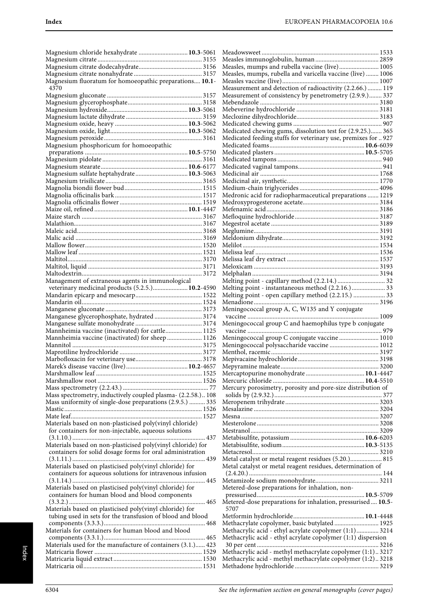| Magnesium chloride hexahydrate  10.3-5061                       |                                                                |  |
|-----------------------------------------------------------------|----------------------------------------------------------------|--|
|                                                                 |                                                                |  |
|                                                                 | Measles, mumps and rubella vaccine (live) 1005                 |  |
|                                                                 | Measles, mumps, rubella and varicella vaccine (live)  1006     |  |
| Magnesium fluoratum for homoeopathic preparations 10.1-<br>4370 | Measurement and detection of radioactivity (2.2.66.)  119      |  |
|                                                                 | Measurement of consistency by penetrometry (2.9.9.) 337        |  |
|                                                                 |                                                                |  |
|                                                                 |                                                                |  |
|                                                                 |                                                                |  |
|                                                                 |                                                                |  |
|                                                                 | Medicated chewing gums, dissolution test for (2.9.25.) 365     |  |
|                                                                 | Medicated feeding stuffs for veterinary use, premixes for  927 |  |
| Magnesium phosphoricum for homoeopathic                         |                                                                |  |
|                                                                 |                                                                |  |
|                                                                 |                                                                |  |
|                                                                 |                                                                |  |
| Magnesium sulfate heptahydrate 10.3-5063                        |                                                                |  |
|                                                                 |                                                                |  |
|                                                                 | Medronic acid for radiopharmaceutical preparations  1219       |  |
|                                                                 |                                                                |  |
|                                                                 |                                                                |  |
|                                                                 |                                                                |  |
|                                                                 |                                                                |  |
|                                                                 |                                                                |  |
|                                                                 |                                                                |  |
|                                                                 |                                                                |  |
|                                                                 |                                                                |  |
|                                                                 |                                                                |  |
|                                                                 |                                                                |  |
|                                                                 |                                                                |  |
| Management of extraneous agents in immunological                |                                                                |  |
| veterinary medicinal products (5.2.5.) 10.2-4590                | Melting point - instantaneous method (2.2.16.)  33             |  |
|                                                                 | Melting point - open capillary method (2.2.15.)  33            |  |
|                                                                 |                                                                |  |
|                                                                 | Meningococcal group A, C, W135 and Y conjugate                 |  |
| Manganese glycerophosphate, hydrated 3174                       |                                                                |  |
|                                                                 | Meningococcal group C and haemophilus type b conjugate         |  |
| Mannheimia vaccine (inactivated) for cattle 1125                |                                                                |  |
| Mannheimia vaccine (inactivated) for sheep  1126                | Meningococcal group C conjugate vaccine  1010                  |  |
|                                                                 | Meningococcal polysaccharide vaccine  1012                     |  |
|                                                                 |                                                                |  |
|                                                                 |                                                                |  |
|                                                                 |                                                                |  |
|                                                                 |                                                                |  |
|                                                                 | Mercury porosimetry, porosity and pore-size distribution of    |  |
| Mass spectrometry, inductively coupled plasma- (2.2.58.) 108    |                                                                |  |
| Mass uniformity of single-dose preparations (2.9.5.)  335       |                                                                |  |
|                                                                 |                                                                |  |
|                                                                 |                                                                |  |
| Materials based on non-plasticised poly(vinyl chloride)         |                                                                |  |
| for containers for non-injectable, aqueous solutions            |                                                                |  |
|                                                                 |                                                                |  |
| Materials based on non-plasticised poly(vinyl chloride) for     |                                                                |  |
| containers for solid dosage forms for oral administration       |                                                                |  |
|                                                                 | Metal catalyst or metal reagent residues (5.20.) 815           |  |
| Materials based on plasticised poly(vinyl chloride) for         | Metal catalyst or metal reagent residues, determination of     |  |
| containers for aqueous solutions for intravenous infusion       |                                                                |  |
|                                                                 |                                                                |  |
| Materials based on plasticised poly(vinyl chloride) for         | Metered-dose preparations for inhalation, non-                 |  |
| containers for human blood and blood components                 |                                                                |  |
|                                                                 | Metered-dose preparations for inhalation, pressurised 10.5-    |  |
| Materials based on plasticised poly(vinyl chloride) for         | 5707                                                           |  |
| tubing used in sets for the transfusion of blood and blood      |                                                                |  |
|                                                                 | Methacrylate copolymer, basic butylated 1925                   |  |
| Materials for containers for human blood and blood              | Methacrylic acid - ethyl acrylate copolymer (1:1) 3214         |  |
| Materials used for the manufacture of containers (3.1.) 423     | Methacrylic acid - ethyl acrylate copolymer (1:1) dispersion   |  |
|                                                                 | Methacrylic acid - methyl methacrylate copolymer (1:1)3217     |  |
|                                                                 | Methacrylic acid - methyl methacrylate copolymer (1:2)3218     |  |
|                                                                 |                                                                |  |
|                                                                 |                                                                |  |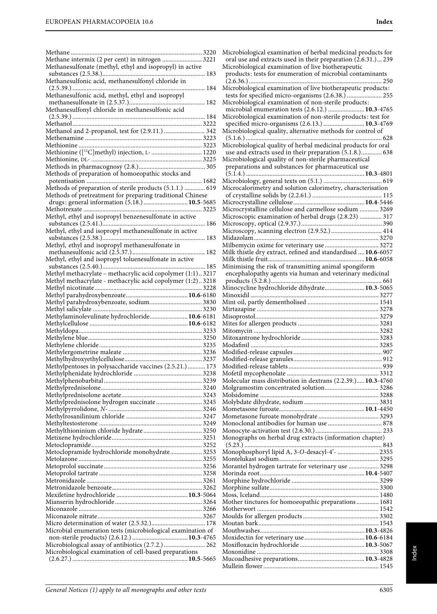| Methane intermix (2 per cent) in nitrogen  3221                                                              |
|--------------------------------------------------------------------------------------------------------------|
| Methanesulfonate (methyl, ethyl and isopropyl) in active                                                     |
| Methanesulfonic acid, methanesulfonyl chloride in                                                            |
| 184<br>Methanesulfonic acid, methyl, ethyl and isopropyl                                                     |
|                                                                                                              |
|                                                                                                              |
|                                                                                                              |
| Methanol and 2-propanol, test for (2.9.11.)  342                                                             |
|                                                                                                              |
| Methionine ([ <sup>11</sup> C]methyl) injection, L- 1220                                                     |
|                                                                                                              |
|                                                                                                              |
| Methods of preparation of homoeopathic stocks and                                                            |
| Methods of preparation of sterile products (5.1.1.)  619                                                     |
| Methods of pretreatment for preparing traditional Chinese                                                    |
| drugs: general information (5.18.) 10.5-5685                                                                 |
| Methyl, ethyl and isopropyl benzenesulfonate in active                                                       |
|                                                                                                              |
| Methyl, ethyl and isopropyl methanesulfonate in active                                                       |
| Methyl, ethyl and isopropyl methanesulfonate in                                                              |
|                                                                                                              |
| Methyl, ethyl and isopropyl toluenesulfonate in active                                                       |
| Methyl methacrylate - methacrylic acid copolymer (1:1) 3217                                                  |
| Methyl methacrylate - methacrylic acid copolymer (1:2)3218                                                   |
|                                                                                                              |
| Methyl parahydroxybenzoate, sodium 3830                                                                      |
|                                                                                                              |
| Methylaminolevulinate hydrochloride 10.6-6181                                                                |
|                                                                                                              |
|                                                                                                              |
|                                                                                                              |
|                                                                                                              |
|                                                                                                              |
|                                                                                                              |
| Methylpentoses in polysaccharide vaccines (2.5.21.)  173                                                     |
|                                                                                                              |
|                                                                                                              |
| Methylprednisolone hydrogen succinate 3245                                                                   |
|                                                                                                              |
|                                                                                                              |
|                                                                                                              |
|                                                                                                              |
|                                                                                                              |
| Metoclopramide hydrochloride monohydrate 3253                                                                |
|                                                                                                              |
|                                                                                                              |
|                                                                                                              |
|                                                                                                              |
|                                                                                                              |
|                                                                                                              |
|                                                                                                              |
| Microbial enumeration tests (microbiological examination of                                                  |
|                                                                                                              |
| Microbiological assay of antibiotics (2.7.2.)  262<br>Microbiological examination of cell-based preparations |

Microbiological examination of herbal medicinal products for oral use and extracts used in their preparation (2.6.31.)... 239 Microbiological examination of live biotherapeutic products: tests for enumeration of microbial contaminants (2.6.36.) .................................................................................... 250 Microbiological examination of live biotherapeutic products: tests for specified micro-organisms (2.6.38.) ...................... 255 Microbiological examination of non-sterile products: microbial enumeration tests (2.6.12.) .......................**10.3**-4765 Microbiological examination of non-sterile products: test for specified micro-organisms (2.6.13.) ..........................**10.3**-4769 Microbiological quality, alternative methods for control of (5.1.6.) ...................................................................................... 628 Microbiological quality of herbal medicinal products for oral use and extracts used in their preparation (5.1.8.)............. 638 Microbiological quality of non-sterile pharmaceutical preparations and substances for pharmaceutical use (5.1.4.) ...........................................................................**10.3**-4801 Microbiology, general texts on (5.1.) ..................................... 619 Microcalorimetry and solution calorimetry, characterisation of crystalline solids by (2.2.61.) ............................................ 115 Microcrystalline cellulose.............................................**10.4**-5446 Microcrystalline cellulose and carmellose sodium ............ 3269 Microscopic examination of herbal drugs (2.8.23) .............. 317 Microscopy, optical (2.9.37.)................................................... 390 Microscopy, scanning electron (2.9.52.) ................................ 414 Midazolam............................................................................... 3270 Milbemycin oxime for veterinary use .................................. 3272 Milk thistle dry extract, refined and standardised ....**10.6**-6057 Milk thistle fruit.............................................................**10.6**-6058 Minimising the risk of transmitting animal spongiform encephalopathy agents via human and veterinary medicinal products (5.2.8.)...................................................................... 661 Minocycline hydrochloride dihydrate.........................**10.3**-5065 Minoxidil ................................................................................. 3277 Mint oil, partly dementholised ............................................. 1541 Mirtazapine ............................................................................. 3278 Misoprostol.............................................................................. 3279 Mites for allergen products ................................................... 3281 Mitomycin ............................................................................... 3282 Mitoxantrone hydrochloride ................................................. 3283 Modafinil ................................................................................. 3285 Modified-release capsules ........................................................ 907 Modified-release granules........................................................ 912 Modified-release tablets ........................................................... 939 Mofetil mycophenolate .......................................................... 3312 Molecular mass distribution in dextrans (2.2.39.).....**10.3**-4760 Molgramostim concentrated solution.................................. 3286 Molsidomine ........................................................................... 3288 Molybdate dihydrate, sodium ............................................... 3831 Mometasone furoate......................................................**10.1**-4450 Mometasone furoate monohydrate ...................................... 3293 Monoclonal antibodies for human use .................................. 878 Monocyte-activation test (2.6.30.).......................................... 233 Monographs on herbal drug extracts (information chapter) (5.23.) ....................................................................................... 843 Monophosphoryl lipid A, 3-O-desacyl-4′- .......................... 2355 Montelukast sodium............................................................... 3295 Morantel hydrogen tartrate for veterinary use ................... 3298 Morinda root..................................................................**10.4**-5407 Morphine hydrochloride ....................................................... 3299 Morphine sulfate..................................................................... 3300 Moss, Iceland........................................................................... 1480 Mother tinctures for homoeopathic preparations .............. 1681 Motherwort ............................................................................. 1542 Moulds for allergen products................................................ 3302 Moutan bark............................................................................ 1543 Mouthwashes..................................................................**10.3**-4826 Moxidectin for veterinary use......................................**10.6**-6184 Moxifloxacin hydrochloride .........................................**10.3**-5067 Moxonidine ............................................................................. 3308 Mucoadhesive preparations.......................................... **10.3**-4828 Mullein flower ......................................................................... 1545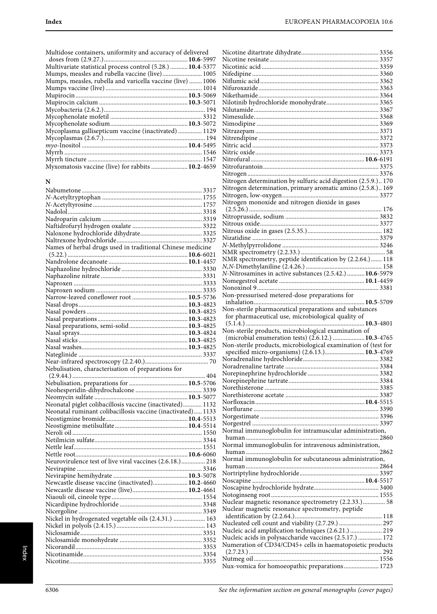| Multivariate statistical process control (5.28.)  10.4-5377 |  |
|-------------------------------------------------------------|--|
| Mumps, measles and rubella vaccine (live) 1005              |  |
| Mumps, measles, rubella and varicella vaccine (live)  1006  |  |
|                                                             |  |
|                                                             |  |
|                                                             |  |
|                                                             |  |
|                                                             |  |
|                                                             |  |
| Mycoplasma gallisepticum vaccine (inactivated)  1129        |  |
|                                                             |  |
|                                                             |  |
|                                                             |  |
|                                                             |  |
| Myxomatosis vaccine (live) for rabbits  10.2-4659           |  |

# **N**

| Names of herbal drugs used in traditional Chinese medicine  |  |
|-------------------------------------------------------------|--|
|                                                             |  |
|                                                             |  |
|                                                             |  |
|                                                             |  |
|                                                             |  |
|                                                             |  |
|                                                             |  |
|                                                             |  |
|                                                             |  |
|                                                             |  |
|                                                             |  |
|                                                             |  |
|                                                             |  |
|                                                             |  |
|                                                             |  |
|                                                             |  |
| Nebulisation, characterisation of preparations for          |  |
|                                                             |  |
|                                                             |  |
|                                                             |  |
|                                                             |  |
| Neonatal piglet colibacillosis vaccine (inactivated) 1132   |  |
| Neonatal ruminant colibacillosis vaccine (inactivated) 1133 |  |
|                                                             |  |
|                                                             |  |
|                                                             |  |
|                                                             |  |
|                                                             |  |
|                                                             |  |
| Neurovirulence test of live viral vaccines (2.6.18.) 218    |  |
|                                                             |  |
|                                                             |  |
|                                                             |  |
| Newcastle disease vaccine (inactivated) 10.2-4660           |  |
| Newcastle disease vaccine (live) 10.2-4661                  |  |
|                                                             |  |
|                                                             |  |
|                                                             |  |
| Nickel in hydrogenated vegetable oils (2.4.31.)  163        |  |
|                                                             |  |
|                                                             |  |
|                                                             |  |
|                                                             |  |
|                                                             |  |

| Nitrogen determination by sulfuric acid digestion (2.5.9.) 170<br>Nitrogen determination, primary aromatic amino (2.5.8.) 169<br>Nitrogen monoxide and nitrogen dioxide in gases<br>N-Nitrosamines in active substances (2.5.42.) 10.6-5979<br>Non-pressurised metered-dose preparations for<br>Non-sterile pharmaceutical preparations and substances<br>for pharmaceutical use, microbiological quality of<br>Non-sterile products, microbiological examination of<br>(microbial enumeration tests) (2.6.12.)  10.3-4765<br>Non-sterile products, microbiological examination of (test for<br>specified micro-organisms) (2.6.13.) 10.3-4769<br>Normal immunoglobulin for intramuscular administration,<br>Normal immunoglobulin for intravenous administration,<br>Normal immunoglobulin for subcutaneous administration,<br>Nuclear magnetic resonance spectrometry (2.2.33.) 58<br>Nuclear magnetic resonance spectrometry, peptide<br>Nucleated cell count and viability (2.7.29.)  297<br>Nucleic acid amplification techniques (2.6.21.)  219<br>Nucleic acids in polysaccharide vaccines (2.5.17.)  172<br>Numeration of CD34/CD45+ cells in haematopoietic products<br>Nux-vomica for homoeopathic preparations 1723 |  |
|--------------------------------------------------------------------------------------------------------------------------------------------------------------------------------------------------------------------------------------------------------------------------------------------------------------------------------------------------------------------------------------------------------------------------------------------------------------------------------------------------------------------------------------------------------------------------------------------------------------------------------------------------------------------------------------------------------------------------------------------------------------------------------------------------------------------------------------------------------------------------------------------------------------------------------------------------------------------------------------------------------------------------------------------------------------------------------------------------------------------------------------------------------------------------------------------------------------------------------|--|
|                                                                                                                                                                                                                                                                                                                                                                                                                                                                                                                                                                                                                                                                                                                                                                                                                                                                                                                                                                                                                                                                                                                                                                                                                                |  |
|                                                                                                                                                                                                                                                                                                                                                                                                                                                                                                                                                                                                                                                                                                                                                                                                                                                                                                                                                                                                                                                                                                                                                                                                                                |  |
|                                                                                                                                                                                                                                                                                                                                                                                                                                                                                                                                                                                                                                                                                                                                                                                                                                                                                                                                                                                                                                                                                                                                                                                                                                |  |
|                                                                                                                                                                                                                                                                                                                                                                                                                                                                                                                                                                                                                                                                                                                                                                                                                                                                                                                                                                                                                                                                                                                                                                                                                                |  |
|                                                                                                                                                                                                                                                                                                                                                                                                                                                                                                                                                                                                                                                                                                                                                                                                                                                                                                                                                                                                                                                                                                                                                                                                                                |  |
|                                                                                                                                                                                                                                                                                                                                                                                                                                                                                                                                                                                                                                                                                                                                                                                                                                                                                                                                                                                                                                                                                                                                                                                                                                |  |
|                                                                                                                                                                                                                                                                                                                                                                                                                                                                                                                                                                                                                                                                                                                                                                                                                                                                                                                                                                                                                                                                                                                                                                                                                                |  |
|                                                                                                                                                                                                                                                                                                                                                                                                                                                                                                                                                                                                                                                                                                                                                                                                                                                                                                                                                                                                                                                                                                                                                                                                                                |  |
|                                                                                                                                                                                                                                                                                                                                                                                                                                                                                                                                                                                                                                                                                                                                                                                                                                                                                                                                                                                                                                                                                                                                                                                                                                |  |
|                                                                                                                                                                                                                                                                                                                                                                                                                                                                                                                                                                                                                                                                                                                                                                                                                                                                                                                                                                                                                                                                                                                                                                                                                                |  |
|                                                                                                                                                                                                                                                                                                                                                                                                                                                                                                                                                                                                                                                                                                                                                                                                                                                                                                                                                                                                                                                                                                                                                                                                                                |  |
|                                                                                                                                                                                                                                                                                                                                                                                                                                                                                                                                                                                                                                                                                                                                                                                                                                                                                                                                                                                                                                                                                                                                                                                                                                |  |
|                                                                                                                                                                                                                                                                                                                                                                                                                                                                                                                                                                                                                                                                                                                                                                                                                                                                                                                                                                                                                                                                                                                                                                                                                                |  |
|                                                                                                                                                                                                                                                                                                                                                                                                                                                                                                                                                                                                                                                                                                                                                                                                                                                                                                                                                                                                                                                                                                                                                                                                                                |  |
|                                                                                                                                                                                                                                                                                                                                                                                                                                                                                                                                                                                                                                                                                                                                                                                                                                                                                                                                                                                                                                                                                                                                                                                                                                |  |
|                                                                                                                                                                                                                                                                                                                                                                                                                                                                                                                                                                                                                                                                                                                                                                                                                                                                                                                                                                                                                                                                                                                                                                                                                                |  |
|                                                                                                                                                                                                                                                                                                                                                                                                                                                                                                                                                                                                                                                                                                                                                                                                                                                                                                                                                                                                                                                                                                                                                                                                                                |  |
|                                                                                                                                                                                                                                                                                                                                                                                                                                                                                                                                                                                                                                                                                                                                                                                                                                                                                                                                                                                                                                                                                                                                                                                                                                |  |
|                                                                                                                                                                                                                                                                                                                                                                                                                                                                                                                                                                                                                                                                                                                                                                                                                                                                                                                                                                                                                                                                                                                                                                                                                                |  |
|                                                                                                                                                                                                                                                                                                                                                                                                                                                                                                                                                                                                                                                                                                                                                                                                                                                                                                                                                                                                                                                                                                                                                                                                                                |  |
|                                                                                                                                                                                                                                                                                                                                                                                                                                                                                                                                                                                                                                                                                                                                                                                                                                                                                                                                                                                                                                                                                                                                                                                                                                |  |
|                                                                                                                                                                                                                                                                                                                                                                                                                                                                                                                                                                                                                                                                                                                                                                                                                                                                                                                                                                                                                                                                                                                                                                                                                                |  |
|                                                                                                                                                                                                                                                                                                                                                                                                                                                                                                                                                                                                                                                                                                                                                                                                                                                                                                                                                                                                                                                                                                                                                                                                                                |  |
|                                                                                                                                                                                                                                                                                                                                                                                                                                                                                                                                                                                                                                                                                                                                                                                                                                                                                                                                                                                                                                                                                                                                                                                                                                |  |
|                                                                                                                                                                                                                                                                                                                                                                                                                                                                                                                                                                                                                                                                                                                                                                                                                                                                                                                                                                                                                                                                                                                                                                                                                                |  |
|                                                                                                                                                                                                                                                                                                                                                                                                                                                                                                                                                                                                                                                                                                                                                                                                                                                                                                                                                                                                                                                                                                                                                                                                                                |  |
|                                                                                                                                                                                                                                                                                                                                                                                                                                                                                                                                                                                                                                                                                                                                                                                                                                                                                                                                                                                                                                                                                                                                                                                                                                |  |
|                                                                                                                                                                                                                                                                                                                                                                                                                                                                                                                                                                                                                                                                                                                                                                                                                                                                                                                                                                                                                                                                                                                                                                                                                                |  |
|                                                                                                                                                                                                                                                                                                                                                                                                                                                                                                                                                                                                                                                                                                                                                                                                                                                                                                                                                                                                                                                                                                                                                                                                                                |  |
|                                                                                                                                                                                                                                                                                                                                                                                                                                                                                                                                                                                                                                                                                                                                                                                                                                                                                                                                                                                                                                                                                                                                                                                                                                |  |
|                                                                                                                                                                                                                                                                                                                                                                                                                                                                                                                                                                                                                                                                                                                                                                                                                                                                                                                                                                                                                                                                                                                                                                                                                                |  |
|                                                                                                                                                                                                                                                                                                                                                                                                                                                                                                                                                                                                                                                                                                                                                                                                                                                                                                                                                                                                                                                                                                                                                                                                                                |  |
|                                                                                                                                                                                                                                                                                                                                                                                                                                                                                                                                                                                                                                                                                                                                                                                                                                                                                                                                                                                                                                                                                                                                                                                                                                |  |
|                                                                                                                                                                                                                                                                                                                                                                                                                                                                                                                                                                                                                                                                                                                                                                                                                                                                                                                                                                                                                                                                                                                                                                                                                                |  |
|                                                                                                                                                                                                                                                                                                                                                                                                                                                                                                                                                                                                                                                                                                                                                                                                                                                                                                                                                                                                                                                                                                                                                                                                                                |  |
|                                                                                                                                                                                                                                                                                                                                                                                                                                                                                                                                                                                                                                                                                                                                                                                                                                                                                                                                                                                                                                                                                                                                                                                                                                |  |
|                                                                                                                                                                                                                                                                                                                                                                                                                                                                                                                                                                                                                                                                                                                                                                                                                                                                                                                                                                                                                                                                                                                                                                                                                                |  |
|                                                                                                                                                                                                                                                                                                                                                                                                                                                                                                                                                                                                                                                                                                                                                                                                                                                                                                                                                                                                                                                                                                                                                                                                                                |  |
|                                                                                                                                                                                                                                                                                                                                                                                                                                                                                                                                                                                                                                                                                                                                                                                                                                                                                                                                                                                                                                                                                                                                                                                                                                |  |
|                                                                                                                                                                                                                                                                                                                                                                                                                                                                                                                                                                                                                                                                                                                                                                                                                                                                                                                                                                                                                                                                                                                                                                                                                                |  |
|                                                                                                                                                                                                                                                                                                                                                                                                                                                                                                                                                                                                                                                                                                                                                                                                                                                                                                                                                                                                                                                                                                                                                                                                                                |  |
|                                                                                                                                                                                                                                                                                                                                                                                                                                                                                                                                                                                                                                                                                                                                                                                                                                                                                                                                                                                                                                                                                                                                                                                                                                |  |
|                                                                                                                                                                                                                                                                                                                                                                                                                                                                                                                                                                                                                                                                                                                                                                                                                                                                                                                                                                                                                                                                                                                                                                                                                                |  |
|                                                                                                                                                                                                                                                                                                                                                                                                                                                                                                                                                                                                                                                                                                                                                                                                                                                                                                                                                                                                                                                                                                                                                                                                                                |  |
|                                                                                                                                                                                                                                                                                                                                                                                                                                                                                                                                                                                                                                                                                                                                                                                                                                                                                                                                                                                                                                                                                                                                                                                                                                |  |
|                                                                                                                                                                                                                                                                                                                                                                                                                                                                                                                                                                                                                                                                                                                                                                                                                                                                                                                                                                                                                                                                                                                                                                                                                                |  |
|                                                                                                                                                                                                                                                                                                                                                                                                                                                                                                                                                                                                                                                                                                                                                                                                                                                                                                                                                                                                                                                                                                                                                                                                                                |  |
|                                                                                                                                                                                                                                                                                                                                                                                                                                                                                                                                                                                                                                                                                                                                                                                                                                                                                                                                                                                                                                                                                                                                                                                                                                |  |
|                                                                                                                                                                                                                                                                                                                                                                                                                                                                                                                                                                                                                                                                                                                                                                                                                                                                                                                                                                                                                                                                                                                                                                                                                                |  |
|                                                                                                                                                                                                                                                                                                                                                                                                                                                                                                                                                                                                                                                                                                                                                                                                                                                                                                                                                                                                                                                                                                                                                                                                                                |  |
|                                                                                                                                                                                                                                                                                                                                                                                                                                                                                                                                                                                                                                                                                                                                                                                                                                                                                                                                                                                                                                                                                                                                                                                                                                |  |
|                                                                                                                                                                                                                                                                                                                                                                                                                                                                                                                                                                                                                                                                                                                                                                                                                                                                                                                                                                                                                                                                                                                                                                                                                                |  |
|                                                                                                                                                                                                                                                                                                                                                                                                                                                                                                                                                                                                                                                                                                                                                                                                                                                                                                                                                                                                                                                                                                                                                                                                                                |  |
|                                                                                                                                                                                                                                                                                                                                                                                                                                                                                                                                                                                                                                                                                                                                                                                                                                                                                                                                                                                                                                                                                                                                                                                                                                |  |
|                                                                                                                                                                                                                                                                                                                                                                                                                                                                                                                                                                                                                                                                                                                                                                                                                                                                                                                                                                                                                                                                                                                                                                                                                                |  |
|                                                                                                                                                                                                                                                                                                                                                                                                                                                                                                                                                                                                                                                                                                                                                                                                                                                                                                                                                                                                                                                                                                                                                                                                                                |  |
|                                                                                                                                                                                                                                                                                                                                                                                                                                                                                                                                                                                                                                                                                                                                                                                                                                                                                                                                                                                                                                                                                                                                                                                                                                |  |
|                                                                                                                                                                                                                                                                                                                                                                                                                                                                                                                                                                                                                                                                                                                                                                                                                                                                                                                                                                                                                                                                                                                                                                                                                                |  |
|                                                                                                                                                                                                                                                                                                                                                                                                                                                                                                                                                                                                                                                                                                                                                                                                                                                                                                                                                                                                                                                                                                                                                                                                                                |  |
|                                                                                                                                                                                                                                                                                                                                                                                                                                                                                                                                                                                                                                                                                                                                                                                                                                                                                                                                                                                                                                                                                                                                                                                                                                |  |
|                                                                                                                                                                                                                                                                                                                                                                                                                                                                                                                                                                                                                                                                                                                                                                                                                                                                                                                                                                                                                                                                                                                                                                                                                                |  |
|                                                                                                                                                                                                                                                                                                                                                                                                                                                                                                                                                                                                                                                                                                                                                                                                                                                                                                                                                                                                                                                                                                                                                                                                                                |  |
|                                                                                                                                                                                                                                                                                                                                                                                                                                                                                                                                                                                                                                                                                                                                                                                                                                                                                                                                                                                                                                                                                                                                                                                                                                |  |
|                                                                                                                                                                                                                                                                                                                                                                                                                                                                                                                                                                                                                                                                                                                                                                                                                                                                                                                                                                                                                                                                                                                                                                                                                                |  |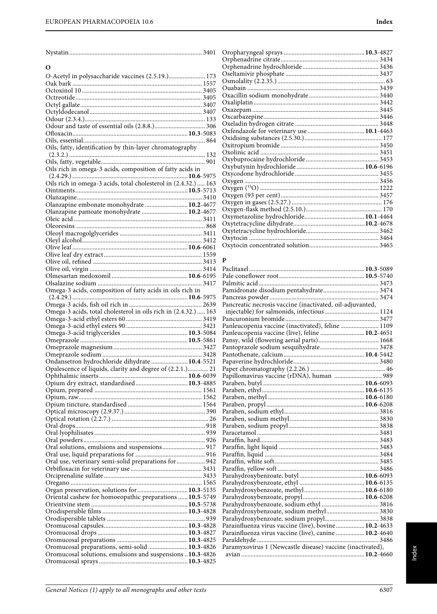| General Notices (1) apply to all monographs and other texts |  |
|-------------------------------------------------------------|--|

| O                                                                                                           |
|-------------------------------------------------------------------------------------------------------------|
| O-Acetyl in polysaccharide vaccines (2.5.19.) 173                                                           |
|                                                                                                             |
|                                                                                                             |
|                                                                                                             |
|                                                                                                             |
|                                                                                                             |
|                                                                                                             |
|                                                                                                             |
|                                                                                                             |
| Oils, fatty, identification by thin-layer chromatography                                                    |
|                                                                                                             |
|                                                                                                             |
| Oils rich in omega-3 acids, composition of fatty acids in                                                   |
| Oils rich in omega-3 acids, total cholesterol in (2.4.32.)  163                                             |
|                                                                                                             |
|                                                                                                             |
| Olanzapine embonate monohydrate  10.2-4677                                                                  |
| Olanzapine pamoate monohydrate  10.2-4677                                                                   |
|                                                                                                             |
|                                                                                                             |
|                                                                                                             |
|                                                                                                             |
|                                                                                                             |
|                                                                                                             |
|                                                                                                             |
|                                                                                                             |
|                                                                                                             |
| Omega-3 acids, composition of fatty acids in oils rich in                                                   |
|                                                                                                             |
| Omega-3 acids, total cholesterol in oils rich in (2.4.32.)  163                                             |
|                                                                                                             |
|                                                                                                             |
|                                                                                                             |
|                                                                                                             |
|                                                                                                             |
|                                                                                                             |
| Ondansetron hydrochloride dihydrate  10.4-5521<br>Opalescence of liquids, clarity and degree of (2.2.1.) 21 |
|                                                                                                             |
| Opium dry extract, standardised 10.3-4885                                                                   |
|                                                                                                             |
|                                                                                                             |
|                                                                                                             |
|                                                                                                             |
|                                                                                                             |
|                                                                                                             |
|                                                                                                             |
| Oral solutions, emulsions and suspensions 917                                                               |
|                                                                                                             |
| Oral use, veterinary semi-solid preparations for  942                                                       |
|                                                                                                             |
|                                                                                                             |
|                                                                                                             |
| Organ preservation, solutions for  10.3-5135                                                                |
| Oriental cashew for homoeopathic preparations  10.5-5749                                                    |
|                                                                                                             |
|                                                                                                             |
|                                                                                                             |
|                                                                                                             |
|                                                                                                             |
| Oromucosal preparations, semi-solid 10.3-4826                                                               |
| Oromucosal solutions, emulsions and suspensions  10.3-4826                                                  |
|                                                                                                             |

| 10.3-4827<br>3131 |
|-------------------|

#### **P**

| Pancreatic necrosis vaccine (inactivated, oil-adjuvanted,  |  |
|------------------------------------------------------------|--|
| injectable) for salmonids, infectious  1124                |  |
|                                                            |  |
| Panleucopenia vaccine (inactivated), feline  1109          |  |
| Panleucopenia vaccine (live), feline  10.2-4651            |  |
|                                                            |  |
|                                                            |  |
|                                                            |  |
|                                                            |  |
|                                                            |  |
| Papillomavirus vaccine (rDNA), human  989                  |  |
|                                                            |  |
|                                                            |  |
|                                                            |  |
|                                                            |  |
|                                                            |  |
|                                                            |  |
|                                                            |  |
|                                                            |  |
|                                                            |  |
|                                                            |  |
|                                                            |  |
|                                                            |  |
|                                                            |  |
|                                                            |  |
|                                                            |  |
|                                                            |  |
|                                                            |  |
|                                                            |  |
|                                                            |  |
|                                                            |  |
| Parainfluenza virus vaccine (live), bovine  10.2-4633      |  |
| Parainfluenza virus vaccine (live), canine  10.2-4640      |  |
|                                                            |  |
| Paramyxovirus 1 (Newcastle disease) vaccine (inactivated), |  |
|                                                            |  |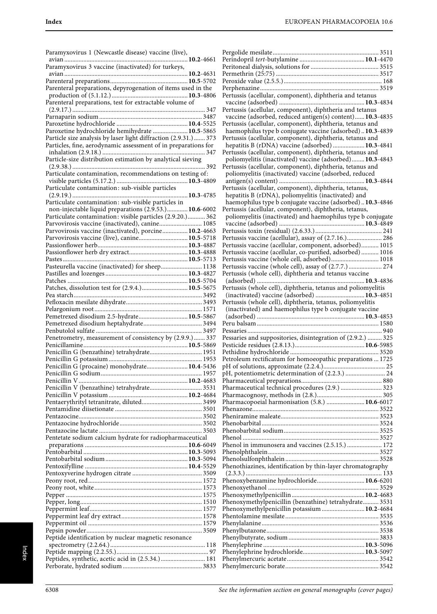| Paramyxovirus 1 (Newcastle disease) vaccine (live),                                                                |  |
|--------------------------------------------------------------------------------------------------------------------|--|
| Paramyxovirus 3 vaccine (inactivated) for turkeys,                                                                 |  |
|                                                                                                                    |  |
| Parenteral preparations, depyrogenation of items used in the                                                       |  |
| Parenteral preparations, test for extractable volume of                                                            |  |
|                                                                                                                    |  |
|                                                                                                                    |  |
|                                                                                                                    |  |
| Paroxetine hydrochloride hemihydrate  10.5-5865<br>Particle size analysis by laser light diffraction (2.9.31.) 373 |  |
| Particles, fine, aerodynamic assessment of in preparations for                                                     |  |
|                                                                                                                    |  |
|                                                                                                                    |  |
| Particulate contamination, recommendations on testing of:                                                          |  |
|                                                                                                                    |  |
| Particulate contamination: sub-visible particles                                                                   |  |
|                                                                                                                    |  |
| Particulate contamination: sub-visible particles in<br>non-injectable liquid preparations (2.9.53.) 10.6-6002      |  |
| Particulate contamination: visible particles (2.9.20.) 362                                                         |  |
| Parvovirosis vaccine (inactivated), canine 1085                                                                    |  |
| Parvovirosis vaccine (inactivated), porcine 10.2-4663                                                              |  |
| Parvovirosis vaccine (live), canine 10.5-5718                                                                      |  |
|                                                                                                                    |  |
|                                                                                                                    |  |
| Pasteurella vaccine (inactivated) for sheep 1138                                                                   |  |
|                                                                                                                    |  |
|                                                                                                                    |  |
| Patches, dissolution test for (2.9.4.) 10.5-5675                                                                   |  |
|                                                                                                                    |  |
|                                                                                                                    |  |
| Pemetrexed disodium 2.5-hydrate 10.5-5867                                                                          |  |
|                                                                                                                    |  |
|                                                                                                                    |  |
| Penetrometry, measurement of consistency by (2.9.9.)  337                                                          |  |
| Penicillin G (benzathine) tetrahydrate 1951                                                                        |  |
|                                                                                                                    |  |
| Penicillin G (procaine) monohydrate 10.4-5436                                                                      |  |
|                                                                                                                    |  |
|                                                                                                                    |  |
|                                                                                                                    |  |
|                                                                                                                    |  |
|                                                                                                                    |  |
|                                                                                                                    |  |
|                                                                                                                    |  |
|                                                                                                                    |  |
| Pentetate sodium calcium hydrate for radiopharmaceutical                                                           |  |
|                                                                                                                    |  |
|                                                                                                                    |  |
|                                                                                                                    |  |
|                                                                                                                    |  |
|                                                                                                                    |  |
|                                                                                                                    |  |
|                                                                                                                    |  |
|                                                                                                                    |  |
|                                                                                                                    |  |
|                                                                                                                    |  |
|                                                                                                                    |  |
| Peptide identification by nuclear magnetic resonance                                                               |  |
|                                                                                                                    |  |
| Peptides, synthetic, acetic acid in (2.5.34.)  181                                                                 |  |
|                                                                                                                    |  |

| Pertussis (acellular, component), diphtheria and tetanus                                                           |
|--------------------------------------------------------------------------------------------------------------------|
|                                                                                                                    |
| Pertussis (acellular, component), diphtheria and tetanus                                                           |
| vaccine (adsorbed, reduced antigen(s) content) 10.3-4835                                                           |
| Pertussis (acellular, component), diphtheria, tetanus and                                                          |
| haemophilus type b conjugate vaccine (adsorbed) 10.3-4839                                                          |
| Pertussis (acellular, component), diphtheria, tetanus and<br>hepatitis B (rDNA) vaccine (adsorbed)  10.3-4841      |
| Pertussis (acellular, component), diphtheria, tetanus and                                                          |
| poliomyelitis (inactivated) vaccine (adsorbed) 10.3-4843                                                           |
| Pertussis (acellular, component), diphtheria, tetanus and                                                          |
| poliomyelitis (inactivated) vaccine (adsorbed, reduced                                                             |
|                                                                                                                    |
| Pertussis (acellular, component), diphtheria, tetanus,                                                             |
| hepatitis B (rDNA), poliomyelitis (inactivated) and                                                                |
| haemophilus type b conjugate vaccine (adsorbed)10.3-4846<br>Pertussis (acellular, component), diphtheria, tetanus, |
| poliomyelitis (inactivated) and haemophilus type b conjugate                                                       |
|                                                                                                                    |
|                                                                                                                    |
| Pertussis vaccine (acellular), assay of (2.7.16.) 286                                                              |
| Pertussis vaccine (acellular, component, adsorbed) 1015                                                            |
| Pertussis vaccine (acellular, co-purified, adsorbed) 1016                                                          |
| Pertussis vaccine (whole cell, adsorbed) 1018                                                                      |
| Pertussis vaccine (whole cell), assay of (2.7.7.)  274                                                             |
| Pertussis (whole cell), diphtheria and tetanus vaccine                                                             |
| Pertussis (whole cell), diphtheria, tetanus and poliomyelitis                                                      |
| (inactivated) vaccine (adsorbed)  10.3-4851                                                                        |
| Pertussis (whole cell), diphtheria, tetanus, poliomyelitis                                                         |
|                                                                                                                    |
| (inactivated) and haemophilus type b conjugate vaccine                                                             |
|                                                                                                                    |
|                                                                                                                    |
|                                                                                                                    |
| Pessaries and suppositories, disintegration of (2.9.2.)  325                                                       |
|                                                                                                                    |
|                                                                                                                    |
| Petroleum rectificatum for homoeopathic preparations  1725                                                         |
|                                                                                                                    |
|                                                                                                                    |
|                                                                                                                    |
|                                                                                                                    |
| Pharmacopoeial harmonisation (5.8.)  10.6-6017                                                                     |
|                                                                                                                    |
|                                                                                                                    |
|                                                                                                                    |
|                                                                                                                    |
| Phenol in immunosera and vaccines (2.5.15.)  172                                                                   |
|                                                                                                                    |
|                                                                                                                    |
| Phenothiazines, identification by thin-layer chromatography                                                        |
|                                                                                                                    |
| Phenoxybenzamine hydrochloride 10.6-6201                                                                           |
|                                                                                                                    |
| Phenoxymethylpenicillin (benzathine) tetrahydrate 3531                                                             |
| Phenoxymethylpenicillin potassium  10.2-4684                                                                       |
|                                                                                                                    |
|                                                                                                                    |
|                                                                                                                    |
|                                                                                                                    |
|                                                                                                                    |
|                                                                                                                    |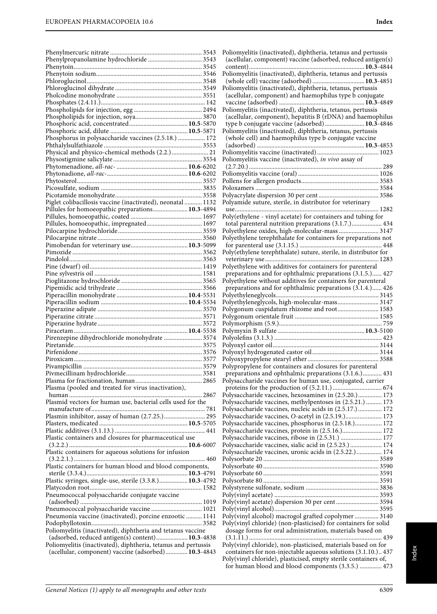| Phenylpropanolamine hydrochloride  3543                        |  |
|----------------------------------------------------------------|--|
|                                                                |  |
|                                                                |  |
|                                                                |  |
|                                                                |  |
|                                                                |  |
|                                                                |  |
|                                                                |  |
|                                                                |  |
|                                                                |  |
|                                                                |  |
| Phosphorus in polysaccharide vaccines (2.5.18.)  172           |  |
|                                                                |  |
| Physical and physico-chemical methods (2.2.)  21               |  |
|                                                                |  |
|                                                                |  |
|                                                                |  |
|                                                                |  |
|                                                                |  |
|                                                                |  |
|                                                                |  |
| Piglet colibacillosis vaccine (inactivated), neonatal  1132    |  |
| Pillules for homoeopathic preparations 10.3-4894               |  |
|                                                                |  |
|                                                                |  |
|                                                                |  |
|                                                                |  |
|                                                                |  |
|                                                                |  |
|                                                                |  |
|                                                                |  |
|                                                                |  |
|                                                                |  |
|                                                                |  |
|                                                                |  |
|                                                                |  |
|                                                                |  |
|                                                                |  |
|                                                                |  |
|                                                                |  |
|                                                                |  |
|                                                                |  |
| Pirenzepine dihydrochloride monohydrate  3574                  |  |
|                                                                |  |
|                                                                |  |
|                                                                |  |
|                                                                |  |
|                                                                |  |
|                                                                |  |
|                                                                |  |
| Plasma (pooled and treated for virus inactivation),            |  |
|                                                                |  |
| Plasmid vectors for human use, bacterial cells used for the    |  |
|                                                                |  |
| Plasmin inhibitor, assay of human (2.7.25.) 295                |  |
|                                                                |  |
|                                                                |  |
| Plastic containers and closures for pharmaceutical use         |  |
|                                                                |  |
| Plastic containers for aqueous solutions for infusion          |  |
|                                                                |  |
| Plastic containers for human blood and blood components,       |  |
|                                                                |  |
|                                                                |  |
| Plastic syringes, single-use, sterile (3.3.8.) 10.3-4792       |  |
|                                                                |  |
| Pneumococcal polysaccharide conjugate vaccine                  |  |
|                                                                |  |
| Pneumococcal polysaccharide vaccine  1021                      |  |
| Pneumonia vaccine (inactivated), porcine enzootic  1141        |  |
|                                                                |  |
| Poliomyelitis (inactivated), diphtheria and tetanus vaccine    |  |
| (adsorbed, reduced antigen(s) content) 10.3-4838               |  |
| Poliomyelitis (inactivated), diphtheria, tetanus and pertussis |  |
| (acellular, component) vaccine (adsorbed) 10.3-4843            |  |

Poliomyelitis (inactivated), diphtheria, tetanus and pertussis (acellular, component) vaccine (adsorbed, reduced antigen(s) content).........................................................................**10.3**-4844 Poliomyelitis (inactivated), diphtheria, tetanus and pertussis (whole cell) vaccine (adsorbed) .................................**10.3**-4851 Poliomyelitis (inactivated), diphtheria, tetanus, pertussis (acellular, component) and haemophilus type b conjugate vaccine (adsorbed) ......................................................**10.3**-4849 Poliomyelitis (inactivated), diphtheria, tetanus, pertussis (acellular, component), hepatitis B (rDNA) and haemophilus type b conjugate vaccine (adsorbed) .........................**10.3**-4846 Poliomyelitis (inactivated), diphtheria, tetanus, pertussis (whole cell) and haemophilus type b conjugate vaccine (adsorbed) ....................................................................**10.3**-4853 Poliomyelitis vaccine (inactivated)....................................... 1023 Poliomyelitis vaccine (inactivated), in vivo assay of (2.7.20.) .................................................................................... 289 Poliomyelitis vaccine (oral) ................................................... 1026 Pollens for allergen products................................................. 3583 Poloxamers .............................................................................. 3584 Polyacrylate dispersion 30 per cent ...................................... 3586 Polyamide suture, sterile, in distributor for veterinary use........................................................................................... 1282 Poly(ethylene - vinyl acetate) for containers and tubing for total parenteral nutrition preparations (3.1.7.)................... 434 Polyethylene oxides, high-molecular-mass ......................... 3147 Polyethylene terephthalate for containers for preparations not for parenteral use (3.1.15.) .................................................... 448 Poly(ethylene terephthalate) suture, sterile, in distributor for veterinary use........................................................................ 1283 Polyethylene with additives for containers for parenteral preparations and for ophthalmic preparations (3.1.5.)...... 427 Polyethylene without additives for containers for parenteral preparations and for ophthalmic preparations (3.1.4.)...... 426 Polyethyleneglycols................................................................. 3145 Polyethyleneglycols, high-molecular-mass.......................... 3147 Polygonum cuspidatum rhizome and root.......................... 1583 Polygonum orientale fruit ..................................................... 1585 Polymorphism (5.9.)................................................................. 759 Polymyxin B sulfate .......................................................**10.3**-5100 Polyolefins (3.1.3.) .................................................................... 423 Polyoxyl castor oil................................................................... 3144 Polyoxyl hydrogenated castor oil.......................................... 3144 Polyoxypropylene stearyl ether ............................................. 3588 Polypropylene for containers and closures for parenteral preparations and ophthalmic preparations (3.1.6.)............ 431 Polysaccharide vaccines for human use, conjugated, carrier proteins for the production of (5.2.11.) ............................... 674 Polysaccharide vaccines, hexosamines in (2.5.20.)............... 173 Polysaccharide vaccines, methylpentoses in (2.5.21.) .......... 173 Polysaccharide vaccines, nucleic acids in (2.5.17.) ............... 172 Polysaccharide vaccines, O-acetyl in (2.5.19.)....................... 173 Polysaccharide vaccines, phosphorus in (2.5.18.)................. 172 Polysaccharide vaccines, protein in (2.5.16.)......................... 172 Polysaccharide vaccines, ribose in (2.5.31.) .......................... 177 Polysaccharide vaccines, sialic acid in (2.5.23.) .................... 174 Polysaccharide vaccines, uronic acids in (2.5.22.)................ 174 Polysorbate 20 ......................................................................... 3589 Polysorbate 40 ......................................................................... 3590 Polysorbate 60 ......................................................................... 3591 Polysorbate 80 ......................................................................... 3591 Polystyrene sulfonate, sodium .............................................. 3836 Poly(vinyl acetate) .................................................................. 3593 Poly(vinyl acetate) dispersion 30 per cent ........................... 3594 Poly(vinyl alcohol).................................................................. 3595 Poly(vinyl alcohol) macrogol grafted copolymer ............... 3140 Poly(vinyl chloride) (non-plasticised) for containers for solid dosage forms for oral administration, materials based on (3.1.11.) .................................................................................... 439 Poly(vinyl chloride), non-plasticised, materials based on for containers for non-injectable aqueous solutions (3.1.10.).. 437 Poly(vinyl chloride), plasticised, empty sterile containers of, for human blood and blood components (3.3.5.) .............. 473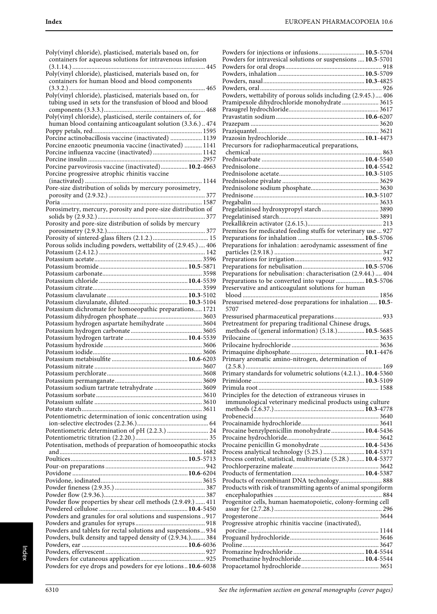| Poly(vinyl chloride), plasticised, materials based on, for<br>containers for aqueous solutions for intravenous infusion  |
|--------------------------------------------------------------------------------------------------------------------------|
| Poly(vinyl chloride), plasticised, materials based on, for<br>containers for human blood and blood components            |
| Poly(vinyl chloride), plasticised, materials based on, for<br>tubing used in sets for the transfusion of blood and blood |
| human blood containing anticoagulant solution (3.3.6.) 474                                                               |
| Porcine actinobacillosis vaccine (inactivated)  1139                                                                     |
| Porcine enzootic pneumonia vaccine (inactivated)  1141                                                                   |
| Porcine influenza vaccine (inactivated)  1142                                                                            |
| Porcine parvovirosis vaccine (inactivated) 10.2-4663                                                                     |
| Porcine progressive atrophic rhinitis vaccine                                                                            |
|                                                                                                                          |
| Pore-size distribution of solids by mercury porosimetry,                                                                 |
|                                                                                                                          |
| Porosimetry, mercury, porosity and pore-size distribution of                                                             |
|                                                                                                                          |
|                                                                                                                          |
|                                                                                                                          |
|                                                                                                                          |
| Porous solids including powders, wettability of (2.9.45.) 406                                                            |
|                                                                                                                          |
|                                                                                                                          |
|                                                                                                                          |
|                                                                                                                          |
|                                                                                                                          |
|                                                                                                                          |
|                                                                                                                          |
| Potassium dichromate for homoeopathic preparations 1721                                                                  |
| Potassium hydrogen aspartate hemihydrate  3604                                                                           |
|                                                                                                                          |
|                                                                                                                          |
|                                                                                                                          |
|                                                                                                                          |
|                                                                                                                          |
|                                                                                                                          |
|                                                                                                                          |
| Potassium sodium tartrate tetrahydrate  3609                                                                             |
|                                                                                                                          |
|                                                                                                                          |
| Potentiometric determination of ionic concentration using                                                                |
|                                                                                                                          |
| Potentiometric determination of pH (2.2.3.)  24                                                                          |
|                                                                                                                          |
| Potentisation, methods of preparation of homoeopathic stocks                                                             |
|                                                                                                                          |
|                                                                                                                          |
|                                                                                                                          |
|                                                                                                                          |
|                                                                                                                          |
|                                                                                                                          |
| Powder flow properties by shear cell methods (2.9.49.)  411                                                              |
| Powders and granules for oral solutions and suspensions  917                                                             |
|                                                                                                                          |
| Powders and tablets for rectal solutions and suspensions 934                                                             |
| Powders, bulk density and tapped density of (2.9.34.) 384                                                                |
|                                                                                                                          |
|                                                                                                                          |
| Powders for eye drops and powders for eye lotions10.6-6038                                                               |

| Powders for injections or infusions 10.5-5704                  |  |
|----------------------------------------------------------------|--|
| Powders for intravesical solutions or suspensions  10.5-5701   |  |
|                                                                |  |
|                                                                |  |
|                                                                |  |
| Powders, wettability of porous solids including (2.9.45.) 406  |  |
| Pramipexole dihydrochloride monohydrate  3615                  |  |
|                                                                |  |
|                                                                |  |
|                                                                |  |
|                                                                |  |
| Precursors for radiopharmaceutical preparations,               |  |
|                                                                |  |
|                                                                |  |
|                                                                |  |
|                                                                |  |
|                                                                |  |
|                                                                |  |
|                                                                |  |
|                                                                |  |
|                                                                |  |
|                                                                |  |
| Premixes for medicated feeding stuffs for veterinary use  927  |  |
|                                                                |  |
| Preparations for inhalation: aerodynamic assessment of fine    |  |
|                                                                |  |
|                                                                |  |
| Preparations for nebulisation: characterisation (2.9.44.)  404 |  |
| Preparations to be converted into vapour  10.5-5706            |  |
| Preservative and anticoagulant solutions for human             |  |
| 1856                                                           |  |
| Pressurised metered-dose preparations for inhalation  10.5-    |  |
|                                                                |  |
| 5707                                                           |  |
| Pressurised pharmaceutical preparations 933                    |  |
| Pretreatment for preparing traditional Chinese drugs,          |  |
| methods of (general information) (5.18.) 10.5-5685             |  |
|                                                                |  |
|                                                                |  |
| Primary aromatic amino-nitrogen, determination of              |  |
|                                                                |  |
| Primary standards for volumetric solutions (4.2.1.) 10.4-5360  |  |
|                                                                |  |
|                                                                |  |
| Principles for the detection of extraneous viruses in          |  |
| immunological veterinary medicinal products using culture      |  |
|                                                                |  |
|                                                                |  |
| Procaine benzylpenicillin monohydrate  10.4-5436               |  |
|                                                                |  |
| Procaine penicillin G monohydrate  10.4-5436                   |  |
| Process analytical technology (5.25.)  10.4-5371               |  |
| Process control, statistical, multivariate (5.28.)  10.4-5377  |  |
|                                                                |  |
| Products of recombinant DNA technology 888                     |  |
| Products with risk of transmitting agents of animal spongiform |  |
|                                                                |  |
| Progenitor cells, human haematopoietic, colony-forming cell    |  |
|                                                                |  |
|                                                                |  |
| Progressive atrophic rhinitis vaccine (inactivated),           |  |
|                                                                |  |
|                                                                |  |
|                                                                |  |
|                                                                |  |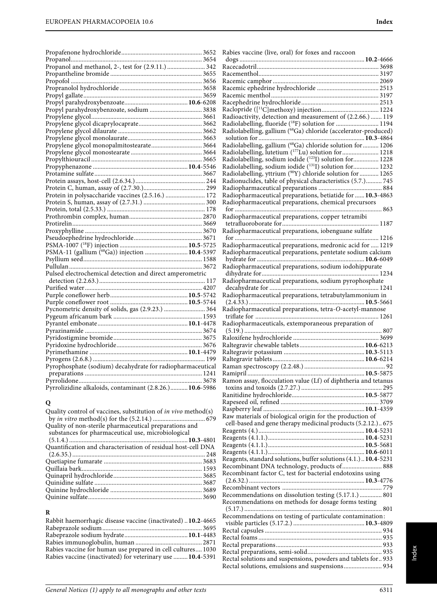| Protein in polysaccharide vaccines (2.5.16.)  172          |  |
|------------------------------------------------------------|--|
|                                                            |  |
|                                                            |  |
|                                                            |  |
|                                                            |  |
|                                                            |  |
|                                                            |  |
|                                                            |  |
| PSMA-11 (gallium ( <sup>68</sup> Ga)) injection  10.4-5397 |  |
|                                                            |  |
|                                                            |  |
| Pulsed electrochemical detection and direct amperometric   |  |
|                                                            |  |
|                                                            |  |
|                                                            |  |
|                                                            |  |
|                                                            |  |
|                                                            |  |
|                                                            |  |
|                                                            |  |
|                                                            |  |
|                                                            |  |
|                                                            |  |
|                                                            |  |
| Pyrophosphate (sodium) decahydrate for radiopharmaceutical |  |
|                                                            |  |
|                                                            |  |
| Pyrrolizidine alkaloids, contaminant (2.8.26.) 10.6-5986   |  |

# **Q**

| Quality control of vaccines, substitution of <i>in vivo</i> method(s) |
|-----------------------------------------------------------------------|
|                                                                       |
|                                                                       |
|                                                                       |
|                                                                       |
| Quantification and characterisation of residual host-cell DNA         |
|                                                                       |
|                                                                       |
|                                                                       |
|                                                                       |
|                                                                       |
|                                                                       |
|                                                                       |
|                                                                       |

# **R**

| Rabbit haemorrhagic disease vaccine (inactivated) 10.2-4665 |
|-------------------------------------------------------------|
|                                                             |
|                                                             |
|                                                             |
| Rabies vaccine for human use prepared in cell cultures 1030 |
| Rabies vaccine (inactivated) for veterinary use  10.4-5391  |
|                                                             |

| Rabies vaccine (live, oral) for foxes and raccoon                                                        |
|----------------------------------------------------------------------------------------------------------|
|                                                                                                          |
|                                                                                                          |
|                                                                                                          |
|                                                                                                          |
|                                                                                                          |
|                                                                                                          |
|                                                                                                          |
| Radioactivity, detection and measurement of (2.2.66.)  119                                               |
| Radiolabelling, fluoride (18F) solution for  1194                                                        |
| Radiolabelling, gallium (68Ga) chloride (accelerator-produced)                                           |
| Radiolabelling, gallium (68Ga) chloride solution for  1206                                               |
| Radiolabelling, lutetium (177Lu) solution for 1218                                                       |
| Radiolabelling, sodium iodide (1231) solution for 1228                                                   |
| Radiolabelling, sodium iodide (131I) solution for 1232                                                   |
| Radiolabelling, yttrium (90Y) chloride solution for  1265                                                |
| Radionuclides, table of physical characteristics (5.7.) 745                                              |
|                                                                                                          |
| Radiopharmaceutical preparations, betiatide for  10.3-4863                                               |
| Radiopharmaceutical preparations, chemical precursors                                                    |
| Radiopharmaceutical preparations, copper tetramibi                                                       |
|                                                                                                          |
| Radiopharmaceutical preparations, iobenguane sulfate                                                     |
|                                                                                                          |
| Radiopharmaceutical preparations, medronic acid for  1219                                                |
| Radiopharmaceutical preparations, pentetate sodium calcium                                               |
| Radiopharmaceutical preparations, sodium iodohippurate                                                   |
|                                                                                                          |
| Radiopharmaceutical preparations, sodium pyrophosphate                                                   |
|                                                                                                          |
| Radiopharmaceutical preparations, tetrabutylammonium in                                                  |
|                                                                                                          |
| Radiopharmaceutical preparations, tetra-O-acetyl-mannose                                                 |
| Radiopharmaceuticals, extemporaneous preparation of                                                      |
|                                                                                                          |
|                                                                                                          |
|                                                                                                          |
|                                                                                                          |
| 92                                                                                                       |
|                                                                                                          |
| Ramon assay, flocculation value (Lf) of diphtheria and tetanus                                           |
|                                                                                                          |
|                                                                                                          |
|                                                                                                          |
| Raw materials of biological origin for the production of                                                 |
| cell-based and gene therapy medicinal products (5.2.12.) 675                                             |
|                                                                                                          |
|                                                                                                          |
|                                                                                                          |
|                                                                                                          |
| Reagents, standard solutions, buffer solutions (4.1.) 10.4-5231                                          |
| Recombinant DNA technology, products of 888<br>Recombinant factor C, test for bacterial endotoxins using |
|                                                                                                          |
|                                                                                                          |
| Recommendations on dissolution testing (5.17.1.)  801                                                    |
| Recommendations on methods for dosage forms testing                                                      |
|                                                                                                          |
| Recommendations on testing of particulate contamination:                                                 |
|                                                                                                          |
|                                                                                                          |
|                                                                                                          |
|                                                                                                          |
| Rectal solutions and suspensions, powders and tablets for 933                                            |
|                                                                                                          |

Index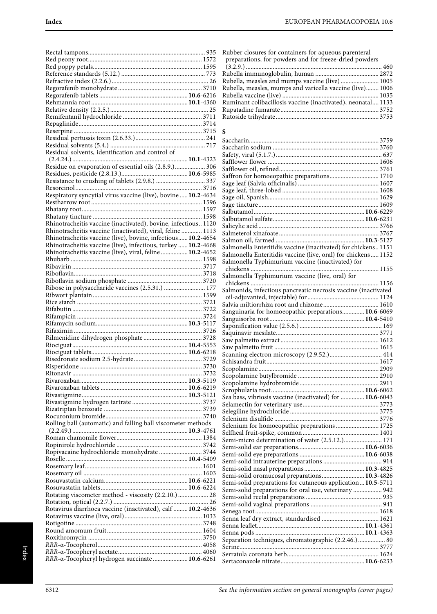| Residual solvents, identification and control of               |  |
|----------------------------------------------------------------|--|
|                                                                |  |
| Residue on evaporation of essential oils (2.8.9.)  306         |  |
|                                                                |  |
|                                                                |  |
|                                                                |  |
| Respiratory syncytial virus vaccine (live), bovine  10.2-4634  |  |
|                                                                |  |
|                                                                |  |
|                                                                |  |
|                                                                |  |
| Rhinotracheitis vaccine (inactivated), bovine, infectious 1120 |  |
| Rhinotracheitis vaccine (inactivated), viral, feline  1113     |  |
| Rhinotracheitis vaccine (live), bovine, infectious 10.2-4654   |  |
| Rhinotracheitis vaccine (live), infectious, turkey  10.2-4668  |  |
|                                                                |  |
| Rhinotracheitis vaccine (live), viral, feline  10.2-4652       |  |
|                                                                |  |
|                                                                |  |
|                                                                |  |
|                                                                |  |
| Ribose in polysaccharide vaccines (2.5.31.)  177               |  |
|                                                                |  |
|                                                                |  |
|                                                                |  |
|                                                                |  |
|                                                                |  |
|                                                                |  |
|                                                                |  |
|                                                                |  |
|                                                                |  |
|                                                                |  |
|                                                                |  |
|                                                                |  |
|                                                                |  |
|                                                                |  |
|                                                                |  |
|                                                                |  |
|                                                                |  |
|                                                                |  |
|                                                                |  |
|                                                                |  |
|                                                                |  |
|                                                                |  |
| Rolling ball (automatic) and falling ball viscometer methods   |  |
|                                                                |  |
|                                                                |  |
|                                                                |  |
|                                                                |  |
| Ropivacaine hydrochloride monohydrate  3744                    |  |
|                                                                |  |
|                                                                |  |
|                                                                |  |
|                                                                |  |
|                                                                |  |
|                                                                |  |
| Rotating viscometer method - viscosity (2.2.10.)  28           |  |
|                                                                |  |
| Rotavirus diarrhoea vaccine (inactivated), calf  10.2-4636     |  |
|                                                                |  |
|                                                                |  |
|                                                                |  |
|                                                                |  |
|                                                                |  |
|                                                                |  |
| RRR-a-Tocopheryl hydrogen succinate  10.6-6261                 |  |

Rubber closures for containers for aqueous parenteral preparations, for powders and for freeze-dried powders

| Rubella, measles and mumps vaccine (live) 1005            |  |
|-----------------------------------------------------------|--|
| Rubella, measles, mumps and varicella vaccine (live) 1006 |  |

| Rubena, measies, mumps and varieting vaceme (nve) 1000       |  |
|--------------------------------------------------------------|--|
|                                                              |  |
| Ruminant colibacillosis vaccine (inactivated), neonatal 1133 |  |
|                                                              |  |
|                                                              |  |
|                                                              |  |

# $\frac{S}{C}$

| Saffron for homoeopathic preparations 1710                     |  |
|----------------------------------------------------------------|--|
|                                                                |  |
|                                                                |  |
|                                                                |  |
|                                                                |  |
|                                                                |  |
|                                                                |  |
|                                                                |  |
|                                                                |  |
|                                                                |  |
| Salmonella Enteritidis vaccine (inactivated) for chickens 1151 |  |
| Salmonella Enteritidis vaccine (live, oral) for chickens 1152  |  |
| Salmonella Typhimurium vaccine (inactivated) for               |  |
|                                                                |  |
|                                                                |  |
|                                                                |  |
| Salmonids, infectious pancreatic necrosis vaccine (inactivated |  |
|                                                                |  |
|                                                                |  |
|                                                                |  |
| Sanguinaria for homoeopathic preparations 10.6-6069            |  |
|                                                                |  |
|                                                                |  |
|                                                                |  |
|                                                                |  |
|                                                                |  |
|                                                                |  |
|                                                                |  |
|                                                                |  |
|                                                                |  |
|                                                                |  |
|                                                                |  |
| Sea bass, vibriosis vaccine (inactivated) for  10.6-6043       |  |
|                                                                |  |
|                                                                |  |
|                                                                |  |
| Selenium for homoeopathic preparations  1725                   |  |
|                                                                |  |
| Semi-micro determination of water (2.5.12.) 171                |  |
|                                                                |  |
|                                                                |  |
|                                                                |  |
|                                                                |  |
| Semi-solid oromucosal preparations 10.3-4826                   |  |
| Semi-solid preparations for cutaneous application 10.5-5711    |  |
| Semi-solid preparations for oral use, veterinary  942          |  |
|                                                                |  |
|                                                                |  |
|                                                                |  |
|                                                                |  |
|                                                                |  |
|                                                                |  |
| Separation techniques, chromatographic (2.2.46.) 80            |  |
|                                                                |  |
|                                                                |  |
|                                                                |  |
|                                                                |  |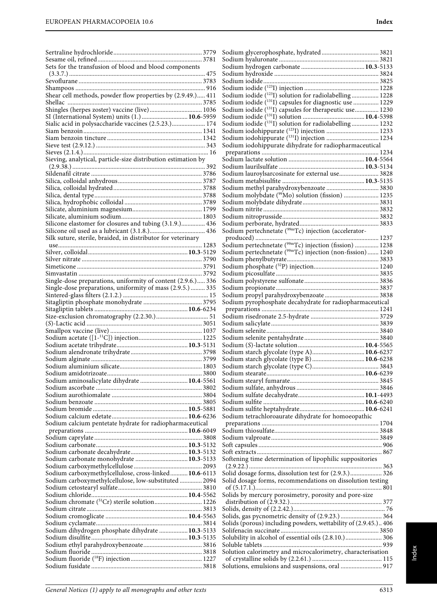| Sets for the transfusion of blood and blood components        |  |
|---------------------------------------------------------------|--|
|                                                               |  |
|                                                               |  |
|                                                               |  |
| Shear cell methods, powder flow properties by (2.9.49.) 411   |  |
|                                                               |  |
| Shingles (herpes zoster) vaccine (live) 1036                  |  |
| SI (International System) units (1.)  10.6-5959               |  |
| Sialic acid in polysaccharide vaccines (2.5.23.) 174          |  |
|                                                               |  |
|                                                               |  |
|                                                               |  |
| Sieving, analytical, particle-size distribution estimation by |  |
|                                                               |  |
|                                                               |  |
|                                                               |  |
|                                                               |  |
|                                                               |  |
|                                                               |  |
|                                                               |  |
|                                                               |  |
| Silicone elastomer for closures and tubing (3.1.9.) 436       |  |
|                                                               |  |
| Silk suture, sterile, braided, in distributor for veterinary  |  |
|                                                               |  |
|                                                               |  |
|                                                               |  |
|                                                               |  |
|                                                               |  |
| Single-dose preparations, uniformity of content (2.9.6.) 336  |  |
| Single-dose preparations, uniformity of mass (2.9.5.)  335    |  |
|                                                               |  |
|                                                               |  |
|                                                               |  |
|                                                               |  |
|                                                               |  |
|                                                               |  |
|                                                               |  |
|                                                               |  |
|                                                               |  |
|                                                               |  |
|                                                               |  |
|                                                               |  |
|                                                               |  |
| Sodium aminosalicylate dihydrate  10.4-5561                   |  |
|                                                               |  |
|                                                               |  |
|                                                               |  |
|                                                               |  |
|                                                               |  |
| Sodium calcium pentetate hydrate for radiopharmaceutical      |  |
|                                                               |  |
|                                                               |  |
|                                                               |  |
|                                                               |  |
| Sodium carbonate monohydrate  10.3-5133                       |  |
|                                                               |  |
| Sodium carboxymethylcellulose, cross-linked 10.6-6113         |  |
| Sodium carboxymethylcellulose, low-substituted  2094          |  |
|                                                               |  |
|                                                               |  |
|                                                               |  |
|                                                               |  |
|                                                               |  |
| Sodium dihydrogen phosphate dihydrate  10.3-5133              |  |
|                                                               |  |
|                                                               |  |
|                                                               |  |
|                                                               |  |

| Sodium iodide ( <sup>123</sup> I) solution for radiolabelling 1228  |
|---------------------------------------------------------------------|
| Sodium iodide ( <sup>131</sup> I) capsules for diagnostic use  1229 |
| Sodium iodide ( <sup>131</sup> I) capsules for therapeutic use 1230 |
|                                                                     |
| Sodium iodide (1311) solution for radiolabelling 1232               |
|                                                                     |
| Sodium iodohippurate (1311) injection  1234                         |
| Sodium iodohippurate dihydrate for radiopharmaceutical              |
|                                                                     |
|                                                                     |
| Sodium lauroylsarcosinate for external use 3828                     |
|                                                                     |
|                                                                     |
| Sodium molybdate ( <sup>99</sup> Mo) solution (fission)  1235       |
|                                                                     |
|                                                                     |
|                                                                     |
|                                                                     |
|                                                                     |
|                                                                     |
|                                                                     |
|                                                                     |
|                                                                     |
|                                                                     |
|                                                                     |
|                                                                     |
| Sodium pyrophosphate decahydrate for radiopharmaceutical            |
|                                                                     |
|                                                                     |
|                                                                     |
|                                                                     |
|                                                                     |
|                                                                     |
| Sodium starch glycolate (type A) 10.6-6237                          |
| Sodium starch glycolate (type B) 10.6-6238                          |
|                                                                     |
|                                                                     |
|                                                                     |
|                                                                     |
|                                                                     |
|                                                                     |
| Sodium tetrachloroaurate dihydrate for homoeopathic                 |
|                                                                     |
|                                                                     |
|                                                                     |
|                                                                     |
| Softening time determination of lipophilic suppositories            |
|                                                                     |
| Solid dosage forms, dissolution test for (2.9.3.) 326               |
| Solid dosage forms, recommendations on dissolution testing          |
|                                                                     |
| Solids by mercury porosimetry, porosity and pore-size               |
|                                                                     |
| Solids, gas pycnometric density of (2.9.23.)  364                   |
| Solids (porous) including powders, wettability of (2.9.45.) 406     |
|                                                                     |
| Solubility in alcohol of essential oils (2.8.10.) 306               |
|                                                                     |
| Solution calorimetry and microcalorimetry, characterisation         |
| Solutions, emulsions and suspensions, oral  917                     |
|                                                                     |
|                                                                     |

Sodium glycerophosphate, hydrated .................................... 3821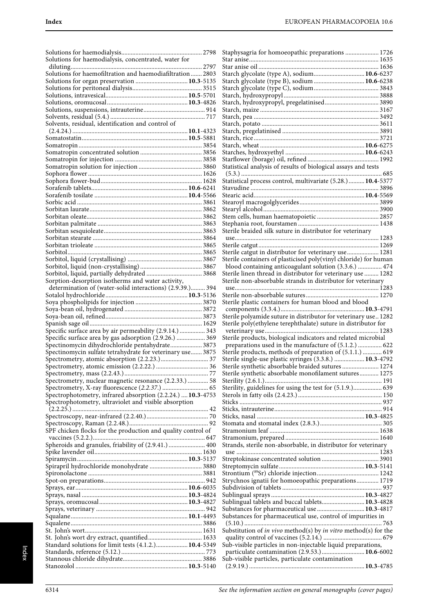| Solutions for haemodialysis, concentrated, water for         |      |
|--------------------------------------------------------------|------|
|                                                              | 2797 |
| Solutions for haemofiltration and haemodiafiltration 2803    |      |
| Solutions for organ preservation  10.3-5135                  |      |
|                                                              |      |
|                                                              |      |
|                                                              |      |
|                                                              |      |
|                                                              |      |
| Solvents, residual, identification and control of            |      |
|                                                              |      |
|                                                              |      |
|                                                              |      |
|                                                              |      |
|                                                              |      |
|                                                              |      |
|                                                              |      |
|                                                              |      |
|                                                              |      |
|                                                              |      |
|                                                              |      |
|                                                              |      |
|                                                              |      |
|                                                              |      |
|                                                              |      |
|                                                              |      |
|                                                              |      |
|                                                              |      |
|                                                              |      |
|                                                              |      |
|                                                              |      |
| Sorption-desorption isotherms and water activity,            |      |
| determination of (water-solid interactions) (2.9.39.) 394    |      |
|                                                              |      |
|                                                              |      |
|                                                              |      |
|                                                              |      |
|                                                              |      |
| Specific surface area by air permeability (2.9.14.)  343     |      |
| Specific surface area by gas adsorption (2.9.26.)  369       |      |
| Spectinomycin dihydrochloride pentahydrate 3873              |      |
| Spectinomycin sulfate tetrahydrate for veterinary use 3875   |      |
|                                                              |      |
|                                                              |      |
|                                                              |      |
| Spectrometry, nuclear magnetic resonance (2.2.33.)  58       |      |
|                                                              |      |
| Spectrophotometry, infrared absorption (2.2.24.)  10.3-4753  |      |
| Spectrophotometry, ultraviolet and visible absorption        |      |
|                                                              |      |
|                                                              |      |
|                                                              |      |
| SPF chicken flocks for the production and quality control of |      |
|                                                              |      |
|                                                              |      |
|                                                              |      |
|                                                              |      |
| Spirapril hydrochloride monohydrate  3880                    |      |
|                                                              |      |
|                                                              |      |
|                                                              |      |
|                                                              |      |
|                                                              |      |
|                                                              |      |
|                                                              |      |
|                                                              |      |
|                                                              |      |
| St. John's wort dry extract, quantified 1633                 |      |
| Standard solutions for limit tests (4.1.2.) 10.4-5349        |      |
|                                                              |      |
|                                                              |      |
|                                                              |      |

| Starch glycolate (type A), sodium 10.6-6237                                                                    |
|----------------------------------------------------------------------------------------------------------------|
| Starch glycolate (type B), sodium  10.6-6238                                                                   |
|                                                                                                                |
|                                                                                                                |
| Starch, hydroxypropyl, pregelatinised 3890                                                                     |
|                                                                                                                |
|                                                                                                                |
|                                                                                                                |
|                                                                                                                |
|                                                                                                                |
|                                                                                                                |
|                                                                                                                |
| Statistical analysis of results of biological assays and tests                                                 |
|                                                                                                                |
| Statistical process control, multivariate (5.28.) 10.4-5377                                                    |
|                                                                                                                |
|                                                                                                                |
|                                                                                                                |
|                                                                                                                |
|                                                                                                                |
|                                                                                                                |
| Sterile braided silk suture in distributor for veterinary                                                      |
|                                                                                                                |
| Sterile catgut in distributor for veterinary use 1281                                                          |
| Sterile containers of plasticised poly(vinyl chloride) for human                                               |
| blood containing anticoagulant solution (3.3.6.)  474                                                          |
| Sterile linen thread in distributor for veterinary use  1282                                                   |
| Sterile non-absorbable strands in distributor for veterinary                                                   |
|                                                                                                                |
|                                                                                                                |
| Sterile plastic containers for human blood and blood                                                           |
|                                                                                                                |
| Sterile polyamide suture in distributor for veterinary use 1282                                                |
|                                                                                                                |
|                                                                                                                |
| Sterile poly(ethylene terephthalate) suture in distributor for                                                 |
| Sterile products, biological indicators and related microbial                                                  |
| preparations used in the manufacture of (5.1.2.)  622                                                          |
| Sterile products, methods of preparation of (5.1.1.)  619                                                      |
| Sterile single-use plastic syringes (3.3.8.)  10.3-4792                                                        |
| Sterile synthetic absorbable braided sutures  1274                                                             |
| Sterile synthetic absorbable monofilament sutures 1275                                                         |
|                                                                                                                |
| Sterility, guidelines for using the test for (5.1.9.) 639                                                      |
|                                                                                                                |
|                                                                                                                |
|                                                                                                                |
|                                                                                                                |
|                                                                                                                |
|                                                                                                                |
|                                                                                                                |
| Strands, sterile non-absorbable, in distributor for veterinary                                                 |
|                                                                                                                |
|                                                                                                                |
|                                                                                                                |
| Strychnos ignatii for homoeopathic preparations 1719                                                           |
|                                                                                                                |
|                                                                                                                |
| Sublingual tablets and buccal tablets 10.3-4828                                                                |
| Substances for pharmaceutical use  10.3-4817                                                                   |
| Substances for pharmaceutical use, control of impurities in                                                    |
|                                                                                                                |
| Substitution of in vivo method(s) by in vitro method(s) for the                                                |
|                                                                                                                |
| Sub-visible particles in non-injectable liquid preparations,<br>particulate contamination (2.9.53.)  10.6-6002 |
| Sub-visible particles, particulate contamination                                                               |
|                                                                                                                |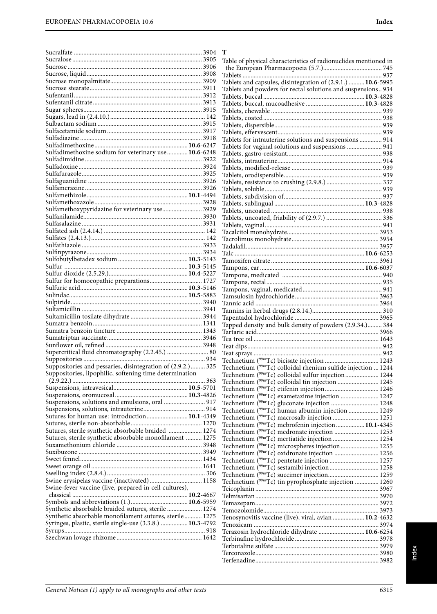**T**

| Sulfadimethoxine sodium for veterinary use  10.6-6248                                                                                                                                                                   |  |
|-------------------------------------------------------------------------------------------------------------------------------------------------------------------------------------------------------------------------|--|
|                                                                                                                                                                                                                         |  |
|                                                                                                                                                                                                                         |  |
|                                                                                                                                                                                                                         |  |
|                                                                                                                                                                                                                         |  |
|                                                                                                                                                                                                                         |  |
|                                                                                                                                                                                                                         |  |
|                                                                                                                                                                                                                         |  |
| Sulfamethoxypyridazine for veterinary use 3929                                                                                                                                                                          |  |
|                                                                                                                                                                                                                         |  |
|                                                                                                                                                                                                                         |  |
|                                                                                                                                                                                                                         |  |
|                                                                                                                                                                                                                         |  |
|                                                                                                                                                                                                                         |  |
|                                                                                                                                                                                                                         |  |
|                                                                                                                                                                                                                         |  |
|                                                                                                                                                                                                                         |  |
| Sulfur for homoeopathic preparations 1727                                                                                                                                                                               |  |
|                                                                                                                                                                                                                         |  |
|                                                                                                                                                                                                                         |  |
|                                                                                                                                                                                                                         |  |
|                                                                                                                                                                                                                         |  |
|                                                                                                                                                                                                                         |  |
|                                                                                                                                                                                                                         |  |
|                                                                                                                                                                                                                         |  |
|                                                                                                                                                                                                                         |  |
|                                                                                                                                                                                                                         |  |
|                                                                                                                                                                                                                         |  |
|                                                                                                                                                                                                                         |  |
|                                                                                                                                                                                                                         |  |
| Suppositories and pessaries, disintegration of (2.9.2.) 325                                                                                                                                                             |  |
| Suppositories, lipophilic, softening time determination                                                                                                                                                                 |  |
|                                                                                                                                                                                                                         |  |
|                                                                                                                                                                                                                         |  |
|                                                                                                                                                                                                                         |  |
|                                                                                                                                                                                                                         |  |
|                                                                                                                                                                                                                         |  |
|                                                                                                                                                                                                                         |  |
|                                                                                                                                                                                                                         |  |
|                                                                                                                                                                                                                         |  |
|                                                                                                                                                                                                                         |  |
| Suspensions, solutions and emulsions, oral  917<br>Sutures for human use: introduction 10.1-4349<br>Sutures, sterile synthetic absorbable braided  1274<br>Sutures, sterile synthetic absorbable monofilament  1275     |  |
|                                                                                                                                                                                                                         |  |
|                                                                                                                                                                                                                         |  |
|                                                                                                                                                                                                                         |  |
|                                                                                                                                                                                                                         |  |
|                                                                                                                                                                                                                         |  |
|                                                                                                                                                                                                                         |  |
|                                                                                                                                                                                                                         |  |
|                                                                                                                                                                                                                         |  |
| Swine erysipelas vaccine (inactivated) 1158<br>Swine-fever vaccine (live, prepared in cell cultures),<br>Synthetic absorbable braided sutures, sterile  1274<br>Synthetic absorbable monofilament sutures, sterile 1275 |  |
|                                                                                                                                                                                                                         |  |
| Syringes, plastic, sterile single-use (3.3.8.)  10.3-4792                                                                                                                                                               |  |

| Tablets and capsules, disintegration of (2.9.1.)  10.6-5995                                                               |  |
|---------------------------------------------------------------------------------------------------------------------------|--|
| Tablets and powders for rectal solutions and suspensions 934                                                              |  |
|                                                                                                                           |  |
|                                                                                                                           |  |
|                                                                                                                           |  |
|                                                                                                                           |  |
|                                                                                                                           |  |
|                                                                                                                           |  |
| Tablets for intrauterine solutions and suspensions 914                                                                    |  |
| Tablets for vaginal solutions and suspensions  941                                                                        |  |
|                                                                                                                           |  |
|                                                                                                                           |  |
|                                                                                                                           |  |
|                                                                                                                           |  |
|                                                                                                                           |  |
|                                                                                                                           |  |
|                                                                                                                           |  |
|                                                                                                                           |  |
|                                                                                                                           |  |
|                                                                                                                           |  |
|                                                                                                                           |  |
|                                                                                                                           |  |
|                                                                                                                           |  |
|                                                                                                                           |  |
|                                                                                                                           |  |
|                                                                                                                           |  |
|                                                                                                                           |  |
|                                                                                                                           |  |
|                                                                                                                           |  |
|                                                                                                                           |  |
|                                                                                                                           |  |
|                                                                                                                           |  |
|                                                                                                                           |  |
|                                                                                                                           |  |
|                                                                                                                           |  |
| Tapped density and bulk density of powders (2.9.34.) 384                                                                  |  |
|                                                                                                                           |  |
|                                                                                                                           |  |
|                                                                                                                           |  |
|                                                                                                                           |  |
|                                                                                                                           |  |
| Technetium ( <sup>99m</sup> Tc) colloidal rhenium sulfide injection  1244                                                 |  |
| Technetium (99mTc) colloidal sulfur injection 1244                                                                        |  |
| Technetium (99mTc) colloidal tin injection  1245                                                                          |  |
|                                                                                                                           |  |
|                                                                                                                           |  |
| Technetium ( <sup>99m</sup> Tc) gluconate injection  1248                                                                 |  |
| Technetium ( <sup>99m</sup> Tc) human albumin injection  1249                                                             |  |
| Technetium ( <sup>99m</sup> Tc) macrosalb injection  1251                                                                 |  |
| Technetium ( <sup>99m</sup> Tc) mebrofenin injection  10.1-4345                                                           |  |
| Technetium ( <sup>99m</sup> Tc) medronate injection  1253                                                                 |  |
| Technetium ( <sup>99m</sup> Tc) mertiatide injection  1254                                                                |  |
|                                                                                                                           |  |
| Technetium ( <sup>99m</sup> Tc) microspheres injection 1255<br>Technetium ( <sup>99m</sup> Tc) oxidronate injection  1256 |  |
|                                                                                                                           |  |
|                                                                                                                           |  |
| Technetium (99mTc) sestamibi injection 1258                                                                               |  |
|                                                                                                                           |  |
| Technetium ( <sup>99m</sup> Tc) tin pyrophosphate injection  1260                                                         |  |
|                                                                                                                           |  |
|                                                                                                                           |  |
|                                                                                                                           |  |
|                                                                                                                           |  |
| Tenosynovitis vaccine (live), viral, avian  10.2-4632                                                                     |  |
|                                                                                                                           |  |
|                                                                                                                           |  |
|                                                                                                                           |  |
|                                                                                                                           |  |
|                                                                                                                           |  |
| Terazosin hydrochloride dihydrate  10.6-6254                                                                              |  |

Table of physical characteristics of radionuclides mentioned in the European Pharmacopoeia (5.7.)..................................... 745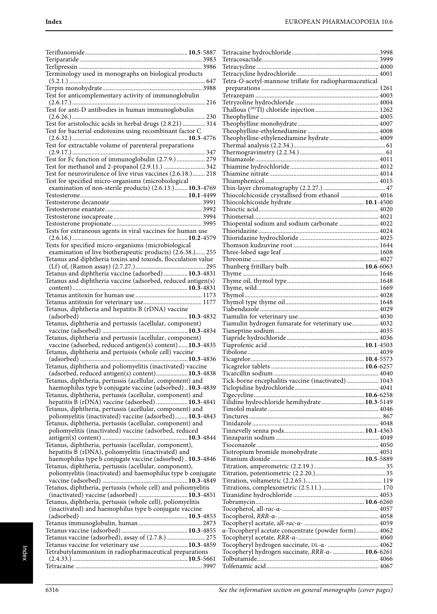| Terminology used in monographs on biological products                                                                       |               |
|-----------------------------------------------------------------------------------------------------------------------------|---------------|
|                                                                                                                             |               |
| Test for anticomplementary activity of immunoglobulin                                                                       |               |
| Test for anti-D antibodies in human immunoglobulin                                                                          |               |
| Test for aristolochic acids in herbal drugs (2.8.21)  314                                                                   |               |
| Test for bacterial endotoxins using recombinant factor C                                                                    |               |
| Test for extractable volume of parenteral preparations                                                                      |               |
| 347<br>Test for Fc function of immunoglobulin (2.7.9.) 279                                                                  |               |
| Test for methanol and 2-propanol (2.9.11.)  342                                                                             |               |
| Test for neurovirulence of live virus vaccines (2.6.18.) 218                                                                |               |
| Test for specified micro-organisms (microbiological<br>examination of non-sterile products) (2.6.13.) 10.3-4769             |               |
|                                                                                                                             |               |
|                                                                                                                             |               |
|                                                                                                                             |               |
|                                                                                                                             |               |
| Tests for extraneous agents in viral vaccines for human use                                                                 |               |
|                                                                                                                             |               |
| Tests for specified micro-organisms (microbiological                                                                        |               |
| examination of live biotherapeutic products) (2.6.38.) 255<br>Tetanus and diphtheria toxins and toxoids, flocculation value |               |
|                                                                                                                             |               |
| Tetanus and diphtheria vaccine (adsorbed)  10.3-4831                                                                        |               |
| Tetanus and diphtheria vaccine (adsorbed, reduced antigen(s)                                                                |               |
|                                                                                                                             |               |
|                                                                                                                             |               |
|                                                                                                                             |               |
| Tetanus, diphtheria and hepatitis B (rDNA) vaccine                                                                          |               |
| Tetanus, diphtheria and pertussis (acellular, component)                                                                    |               |
| Tetanus, diphtheria and pertussis (acellular, component)                                                                    |               |
| vaccine (adsorbed, reduced antigen(s) content) 10.3-4835                                                                    |               |
| Tetanus, diphtheria and pertussis (whole cell) vaccine                                                                      |               |
| Tetanus, diphtheria and poliomyelitis (inactivated) vaccine                                                                 |               |
| (adsorbed, reduced antigen(s) content) 10.3-4838                                                                            |               |
| Tetanus, diphtheria, pertussis (acellular, component) and<br>haemophilus type b conjugate vaccine (adsorbed) 10.3-4839      | j             |
| Tetanus, diphtheria, pertussis (acellular, component) and                                                                   |               |
| hepatitis B (rDNA) vaccine (adsorbed)  10.3-4841                                                                            |               |
| Tetanus, diphtheria, pertussis (acellular, component) and                                                                   |               |
| poliomyelitis (inactivated) vaccine (adsorbed) 10.3-4843<br>Tetanus, diphtheria, pertussis (acellular, component) and       |               |
| poliomyelitis (inactivated) vaccine (adsorbed, reduced                                                                      |               |
| Tetanus, diphtheria, pertussis (acellular, component),                                                                      |               |
| hepatitis B (rDNA), poliomyelitis (inactivated) and                                                                         |               |
| haemophilus type b conjugate vaccine (adsorbed) 10.3-4846<br>Tetanus, diphtheria, pertussis (acellular, component),         |               |
| poliomyelitis (inactivated) and haemophilus type b conjugate                                                                | $\frac{1}{2}$ |
| Tetanus, diphtheria, pertussis (whole cell) and poliomyelitis                                                               | r             |
| (inactivated) vaccine (adsorbed)  10.3-4851                                                                                 |               |
| Tetanus, diphtheria, pertussis (whole cell), poliomyelitis<br>(inactivated) and haemophilus type b conjugate vaccine        |               |
|                                                                                                                             |               |
|                                                                                                                             |               |
|                                                                                                                             | $\mathbf$     |
| Tetanus vaccine (adsorbed), assay of (2.7.8.)  275                                                                          | $\frac{1}{2}$ |
| Tetanus vaccine for veterinary use  10.3-4859<br>Tetrabutylammonium in radiopharmaceutical preparations                     |               |
|                                                                                                                             |               |
|                                                                                                                             |               |

| Tetra-O-acetyl-mannose triflate for radiopharmaceutical |  |
|---------------------------------------------------------|--|
|                                                         |  |
|                                                         |  |
|                                                         |  |
|                                                         |  |
|                                                         |  |
|                                                         |  |
|                                                         |  |
| Theophylline-ethylenediamine hydrate 4009               |  |
|                                                         |  |
|                                                         |  |
|                                                         |  |
|                                                         |  |
|                                                         |  |
|                                                         |  |
| Thiocolchicoside crystallised from ethanol  4016        |  |
|                                                         |  |
|                                                         |  |
| Thiopental sodium and sodium carbonate  4022            |  |
|                                                         |  |
|                                                         |  |
|                                                         |  |
|                                                         |  |
|                                                         |  |
|                                                         |  |
|                                                         |  |
|                                                         |  |
|                                                         |  |
|                                                         |  |
|                                                         |  |
|                                                         |  |
|                                                         |  |
| Tiamulin hydrogen fumarate for veterinary use 4032      |  |
|                                                         |  |
|                                                         |  |
|                                                         |  |
|                                                         |  |
|                                                         |  |
|                                                         |  |
| Tick-borne encephalitis vaccine (inactivated)  1043     |  |
|                                                         |  |
| Tilidine hydrochloride hemihydrate  10.3-5149           |  |
|                                                         |  |
|                                                         |  |
|                                                         |  |
|                                                         |  |
|                                                         |  |
|                                                         |  |
|                                                         |  |
|                                                         |  |
|                                                         |  |
|                                                         |  |
|                                                         |  |
|                                                         |  |
|                                                         |  |
|                                                         |  |
|                                                         |  |
| a-Tocopheryl acetate concentrate (powder form) 4062     |  |
|                                                         |  |
| Tocopheryl hydrogen succinate, DL-a-  4062              |  |
| Tocopheryl hydrogen succinate, RRR-a-  10.6-6261        |  |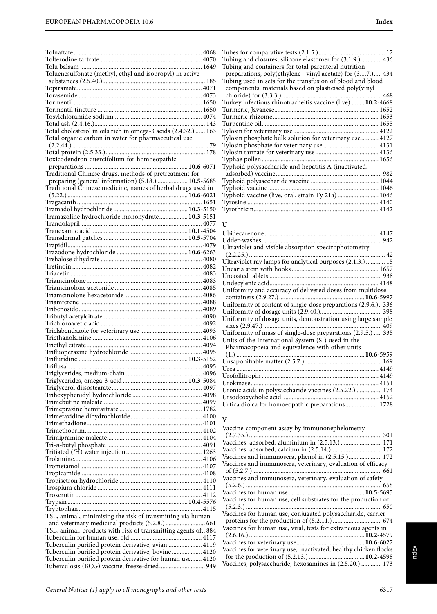| Toluenesulfonate (methyl, ethyl and isopropyl) in active                                                               |  |
|------------------------------------------------------------------------------------------------------------------------|--|
|                                                                                                                        |  |
|                                                                                                                        |  |
|                                                                                                                        |  |
|                                                                                                                        |  |
|                                                                                                                        |  |
|                                                                                                                        |  |
| Total cholesterol in oils rich in omega-3 acids (2.4.32.)  163<br>Total organic carbon in water for pharmaceutical use |  |
|                                                                                                                        |  |
|                                                                                                                        |  |
| Toxicodendron quercifolium for homoeopathic                                                                            |  |
| Traditional Chinese drugs, methods of pretreatment for                                                                 |  |
| preparing (general information) (5.18.)  10.5-5685                                                                     |  |
| Traditional Chinese medicine, names of herbal drugs used in                                                            |  |
|                                                                                                                        |  |
|                                                                                                                        |  |
| Tramazoline hydrochloride monohydrate 10.3-5151                                                                        |  |
|                                                                                                                        |  |
|                                                                                                                        |  |
|                                                                                                                        |  |
|                                                                                                                        |  |
|                                                                                                                        |  |
|                                                                                                                        |  |
|                                                                                                                        |  |
|                                                                                                                        |  |
|                                                                                                                        |  |
|                                                                                                                        |  |
|                                                                                                                        |  |
|                                                                                                                        |  |
|                                                                                                                        |  |
|                                                                                                                        |  |
|                                                                                                                        |  |
|                                                                                                                        |  |
|                                                                                                                        |  |
|                                                                                                                        |  |
|                                                                                                                        |  |
|                                                                                                                        |  |
|                                                                                                                        |  |
|                                                                                                                        |  |
|                                                                                                                        |  |
|                                                                                                                        |  |
|                                                                                                                        |  |
|                                                                                                                        |  |
|                                                                                                                        |  |
|                                                                                                                        |  |
|                                                                                                                        |  |
|                                                                                                                        |  |
|                                                                                                                        |  |
|                                                                                                                        |  |
|                                                                                                                        |  |
|                                                                                                                        |  |
|                                                                                                                        |  |
| TSE, animal, minimising the risk of transmitting via human                                                             |  |
| and veterinary medicinal products (5.2.8.)  661                                                                        |  |
| TSE, animal, products with risk of transmitting agents of 884                                                          |  |
|                                                                                                                        |  |
| Tuberculin purified protein derivative, avian  4119                                                                    |  |
| Tuberculin purified protein derivative, bovine 4120                                                                    |  |
| Tuberculin purified protein derivative for human use 4120<br>Tuberculosis (BCG) vaccine, freeze-dried 949              |  |
|                                                                                                                        |  |

| Tubing and closures, silicone elastomer for (3.1.9.) 436      |  |
|---------------------------------------------------------------|--|
| Tubing and containers for total parenteral nutrition          |  |
| preparations, poly(ethylene - vinyl acetate) for (3.1.7.) 434 |  |
|                                                               |  |
| Tubing used in sets for the transfusion of blood and blood    |  |
| components, materials based on plasticised poly(vinyl         |  |
|                                                               |  |
| Turkey infectious rhinotracheitis vaccine (live)  10.2-4668   |  |
|                                                               |  |
|                                                               |  |
|                                                               |  |
|                                                               |  |
| Tylosin phosphate bulk solution for veterinary use  4127      |  |
|                                                               |  |
|                                                               |  |
|                                                               |  |
| Typhoid polysaccharide and hepatitis A (inactivated,          |  |
|                                                               |  |
|                                                               |  |
|                                                               |  |
| Typhoid vaccine (live, oral, strain Ty 21a)  1046             |  |
|                                                               |  |
|                                                               |  |
|                                                               |  |

#### **U**

| Ultraviolet and visible absorption spectrophotometry           |  |
|----------------------------------------------------------------|--|
|                                                                |  |
| Ultraviolet ray lamps for analytical purposes (2.1.3.)  15     |  |
|                                                                |  |
|                                                                |  |
|                                                                |  |
| Uniformity and accuracy of delivered doses from multidose      |  |
|                                                                |  |
| Uniformity of content of single-dose preparations (2.9.6.) 336 |  |
|                                                                |  |
| Uniformity of dosage units, demonstration using large sample   |  |
|                                                                |  |
| Uniformity of mass of single-dose preparations (2.9.5.)  335   |  |
| Units of the International System (SI) used in the             |  |
| Pharmacopoeia and equivalence with other units                 |  |
|                                                                |  |
|                                                                |  |
|                                                                |  |
|                                                                |  |
| Urokinase                                                      |  |
| Uronic acids in polysaccharide vaccines (2.5.22.)  174         |  |
|                                                                |  |
| Urtica dioica for homoeopathic preparations 1728               |  |

#### **V**

| Vaccine component assay by immunonephelometry                    |  |
|------------------------------------------------------------------|--|
|                                                                  |  |
| Vaccines, adsorbed, aluminium in (2.5.13.) 171                   |  |
| Vaccines, adsorbed, calcium in (2.5.14.) 172                     |  |
| Vaccines and immunosera, phenol in (2.5.15.) 172                 |  |
| Vaccines and immunosera, veterinary, evaluation of efficacy      |  |
|                                                                  |  |
| Vaccines and immunosera, veterinary, evaluation of safety        |  |
|                                                                  |  |
|                                                                  |  |
| Vaccines for human use, cell substrates for the production of    |  |
|                                                                  |  |
| Vaccines for human use, conjugated polysaccharide, carrier       |  |
|                                                                  |  |
| Vaccines for human use, viral, tests for extraneous agents in    |  |
|                                                                  |  |
|                                                                  |  |
| Vaccines for veterinary use, inactivated, healthy chicken flocks |  |
|                                                                  |  |
| Vaccines, polysaccharide, hexosamines in (2.5.20.)  173          |  |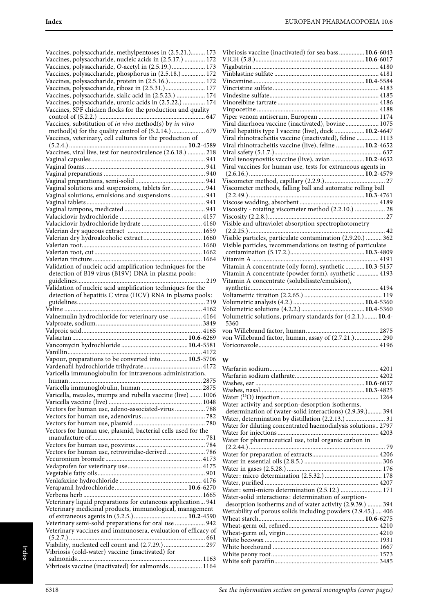| Vaccines, polysaccharide, methylpentoses in (2.5.21.) 173<br>Vaccines, polysaccharide, nucleic acids in (2.5.17.)  172 |
|------------------------------------------------------------------------------------------------------------------------|
|                                                                                                                        |
| Vaccines, polysaccharide, O-acetyl in (2.5.19.) 173                                                                    |
| Vaccines, polysaccharide, phosphorus in (2.5.18.) 172                                                                  |
| Vaccines, polysaccharide, protein in (2.5.16.) 172                                                                     |
| Vaccines, polysaccharide, ribose in (2.5.31.) 177                                                                      |
| Vaccines, polysaccharide, sialic acid in (2.5.23.)  174                                                                |
| Vaccines, polysaccharide, uronic acids in (2.5.22.)  174                                                               |
| Vaccines, SPF chicken flocks for the production and quality                                                            |
|                                                                                                                        |
|                                                                                                                        |
| Vaccines, substitution of in vivo method(s) by in vitro                                                                |
|                                                                                                                        |
| Vaccines, veterinary, cell cultures for the production of                                                              |
|                                                                                                                        |
| Vaccines, viral live, test for neurovirulence (2.6.18.)  218                                                           |
|                                                                                                                        |
|                                                                                                                        |
|                                                                                                                        |
|                                                                                                                        |
|                                                                                                                        |
| Vaginal solutions and suspensions, tablets for 941                                                                     |
| Vaginal solutions, emulsions and suspensions 941                                                                       |
|                                                                                                                        |
|                                                                                                                        |
|                                                                                                                        |
|                                                                                                                        |
|                                                                                                                        |
|                                                                                                                        |
|                                                                                                                        |
|                                                                                                                        |
|                                                                                                                        |
|                                                                                                                        |
| Validation of nucleic acid amplification techniques for the                                                            |
| detection of B19 virus (B19V) DNA in plasma pools:                                                                     |
|                                                                                                                        |
|                                                                                                                        |
| Validation of nucleic acid amplification techniques for the                                                            |
| detection of hepatitis C virus (HCV) RNA in plasma pools:                                                              |
|                                                                                                                        |
|                                                                                                                        |
|                                                                                                                        |
|                                                                                                                        |
| Valnemulin hydrochloride for veterinary use  4164                                                                      |
|                                                                                                                        |
|                                                                                                                        |
|                                                                                                                        |
|                                                                                                                        |
|                                                                                                                        |
| Vapour, preparations to be converted into 10.5-5706                                                                    |
|                                                                                                                        |
| Varicella immunoglobulin for intravenous administration,                                                               |
| human                                                                                                                  |
|                                                                                                                        |
|                                                                                                                        |
| Varicella, measles, mumps and rubella vaccine (live) 1006                                                              |
|                                                                                                                        |
| Vectors for human use, adeno-associated-virus  788                                                                     |
|                                                                                                                        |
|                                                                                                                        |
| Vectors for human use, plasmid, bacterial cells used for the                                                           |
|                                                                                                                        |
|                                                                                                                        |
|                                                                                                                        |
| Vectors for human use, retroviridae-derived 786                                                                        |
|                                                                                                                        |
|                                                                                                                        |
|                                                                                                                        |
|                                                                                                                        |
|                                                                                                                        |
|                                                                                                                        |
| Veterinary liquid preparations for cutaneous application 941                                                           |
|                                                                                                                        |
| Veterinary medicinal products, immunological, management                                                               |
|                                                                                                                        |
| Veterinary semi-solid preparations for oral use  942                                                                   |
| Veterinary vaccines and immunosera, evaluation of efficacy of                                                          |
|                                                                                                                        |
| Viability, nucleated cell count and (2.7.29.)  297                                                                     |
| Vibriosis (cold-water) vaccine (inactivated) for                                                                       |
| Vibriosis vaccine (inactivated) for salmonids 1164                                                                     |

| Vibriosis vaccine (inactivated) for sea bass 10.6-6043       |  |
|--------------------------------------------------------------|--|
|                                                              |  |
|                                                              |  |
|                                                              |  |
|                                                              |  |
|                                                              |  |
|                                                              |  |
|                                                              |  |
|                                                              |  |
|                                                              |  |
| Viral diarrhoea vaccine (inactivated), bovine 1075           |  |
| Viral hepatitis type I vaccine (live), duck  10.2-4647       |  |
| Viral rhinotracheitis vaccine (inactivated), feline  1113    |  |
| Viral rhinotracheitis vaccine (live), feline  10.2-4652      |  |
|                                                              |  |
| Viral tenosynovitis vaccine (live), avian  10.2-4632         |  |
| Viral vaccines for human use, tests for extraneous agents in |  |
|                                                              |  |
|                                                              |  |
| Viscometer methods, falling ball and automatic rolling ball  |  |
|                                                              |  |
|                                                              |  |
| Viscosity - rotating viscometer method (2.2.10.)  28         |  |
|                                                              |  |
|                                                              |  |
| 42                                                           |  |
| Visible particles, particulate contamination (2.9.20.)  362  |  |
| Visible particles, recommendations on testing of particulate |  |
|                                                              |  |
|                                                              |  |
| Vitamin A concentrate (oily form), synthetic  10.3-5157      |  |
| Vitamin A concentrate (powder form), synthetic  4193         |  |
| Vitamin A concentrate (solubilisate/emulsion),               |  |
|                                                              |  |
|                                                              |  |
|                                                              |  |
| Volumetric solutions, primary standards for (4.2.1.) 10.4-   |  |
| 5360                                                         |  |
|                                                              |  |
| von Willebrand factor, human, assay of (2.7.21.) 290         |  |
|                                                              |  |

#### **W**

| Water activity and sorption-desorption isotherms,             |
|---------------------------------------------------------------|
| determination of (water-solid interactions) (2.9.39.) 394     |
| Water, determination by distillation (2.2.13.) 31             |
| Water for diluting concentrated haemodialysis solutions 2797  |
|                                                               |
| Water for pharmaceutical use, total organic carbon in         |
|                                                               |
|                                                               |
|                                                               |
|                                                               |
|                                                               |
|                                                               |
| Water: semi-micro determination (2.5.12.)  171                |
| Water-solid interactions: determination of sorption-          |
| desorption isotherms and of water activity (2.9.39.)  394     |
| Wettability of porous solids including powders (2.9.45.)  406 |
|                                                               |
|                                                               |
|                                                               |
|                                                               |
|                                                               |
|                                                               |
|                                                               |
|                                                               |